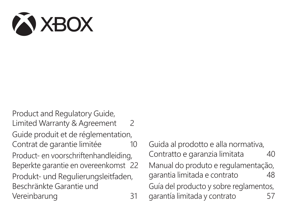

Product and Regulatory Guide, Limited Warranty & Agreement 2 Guide produit et de réglementation, Contrat de garantie limitée du 10 Product- en voorschriftenhandleiding, Beperkte garantie en overeenkomst 22 Produkt- und Regulierungsleitfaden, Beschränkte Garantie und Vereinbarung 31

Guida al prodotto e alla normativa, Contratto e garanzia limitata 40 Manual do produto e regulamentação, garantia limitada e contrato 48 Guía del producto y sobre reglamentos, garantía limitada y contrato 57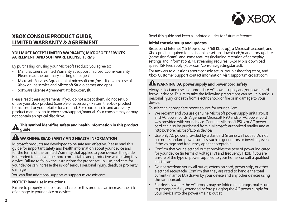

### **XBOX CONSOLE PRODUCT GUIDE, LIMITED WARRANTY & AGREEMENT**

#### **YOU MUST ACCEPT LIMITED WARRANTY, MICROSOFT SERVICES AGREEMENT, AND SOFTWARE LICENSE TERMS**

By purchasing or using your Microsoft Product, you agree to:

- Manufacturer's Limited Warranty at support.microsoft.com/warranty. Please read the summary starting on page 7.
- Microsoft Services Agreement at microsoft.com/msa. It governs use of Xbox online service and Microsoft Studio games and apps.
- Software License Agreement at xbox.com/slt.

Please read these agreements. If you do not accept them, do not set up or use your xbox product (console or accessory). Return the xbox product to microsoft or your retailer for a refund. For xbox console and accessory product manuals, go to xbox.com/support/manual. Your console may or may not contain an optical disc drive.

#### **This symbol identifies safety and health information in this product guide**

### **WARNING: READ SAFETY AND HEALTH INFORMATION**

Microsoft products are developed to be safe and effective. Please read this guide for important safety and health information about your device and for the terms of the Limited Warranty that applies to your device. The guide is intended to help you be more comfortable and productive while using this device. Failure to follow the instructions for proper set up, use, and care for your device can increase the risk of serious personal injury, death, or property damage.

You can find additional support at support.microsoft.com.

#### **NOTICE: Read use instructions**

Failure to properly set up, use, and care for this product can increase the risk of damage to your device or devices.

Read this guide and keep all printed guides for future reference.

#### **Initial console setup and updates**

Broadband Internet (1.5 Mbps down/768 Kbps up), a Microsoft account, and Xbox profile required for initial online set-up, downloads/mandatory updates (some significant), and some features (including retention of gameplay settings and information). 4K streaming requires 18-24 Mbps download speed. ISP fees apply (xbox.com/consoles/gettingstarted).

For answers to questions about console setup, troubleshooting steps, and Xbox Customer Support contact information, visit support.microsoft.com.

### **WARNING: AC power supply and power cord safety**

Always select and use an appropriate AC power supply and/or power cord for your device. Failure to take the following precautions can result in serious personal injury or death from electric shock or fire or in damage to your device.

To select an appropriate power source for your device:

- We recommend you use genuine Microsoft power supply units (PSUs) and AC power cords. A genuine Microsoft PSU and/or AC power cord was provided with your device. Genuine Microsoft PSUs or AC power cord can also be purchased from a Microsoft-authorized retailer and at https://store.microsoft.com/devices.
- Use only AC power provided by a standard (mains) wall outlet. Do not use non-standard power sources, such as generators or inverters, even if the voltage and frequency appear acceptable.
- Confirm that your electrical outlet provides the type of power indicated for your device (in terms of voltage [V] and frequency [Hz]). If you are unsure of the type of power supplied to your home, consult a qualified electrician.
- Do not overload your wall outlet, extension cord, power strip, or other electrical receptacle. Confirm that they are rated to handle the total current (in amps [A]) drawn by your device and any other devices using the same circuit.
- For devices where the AC prongs may be folded for storage, make sure its prongs are fully extended before plugging the AC power supply for your device into the power (mains) outlet.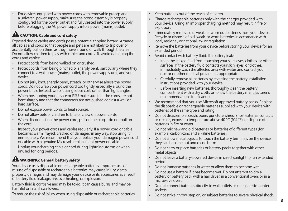• For devices equipped with power cords with removable prongs and a universal power supply, make sure the prong assembly is properly configured for the power outlet and fully seated into the power supply before plugging the AC power supply into a power (mains) outlet.

## **ALCAUTION: Cable and cord safety**

Exposed device cables and cords pose a potential tripping hazard. Arrange all cables and cords so that people and pets are not likely to trip over or accidentally pull on them as they move around or walk through the area. Do not allow children to play with cables and cords. To avoid damaging the cords and cables:

- Protect cords from being walked on or crushed.
- Protect cords from being pinched or sharply bent, particularly where they connect to a wall power (mains) outlet, the power supply unit, and your device.
- Do not jerk, knot, sharply bend, stretch, or otherwise abuse the power cords. Do not wrap your power cord too tightly, especially around the power brick. Instead, wrap it using loose coils rather than tight angles.
- When positioning your device or PSU make sure that the cords are not bent sharply and that the connectors are not pushed against a wall or hard surface.
- Do not expose power cords to heat sources.
- Do not allow pets or children to bite or chew on power cords.
- When disconnecting the power cord, pull on the plug—do not pull on the cord.
- Inspect your power cords and cables regularly. If a power cord or cable becomes warm, frayed, cracked or damaged in any way, stop using it immediately. We recommend that you replace your damaged power cord or cable with a genuine Microsoft replacement power or cable.
- Unplug your charging cable or cord during lightning storms or when unused for long periods.

# **WARNING: General battery safety**

Your device uses disposable or rechargeable batteries. Improper use or misuse of disposable or rechargeable batteries may cause injury, death, property damage, and may damage your device or its accessories as a result of battery fluid leakage, fire, overheating, or explosion.

Battery fluid is corrosive and may be toxic. It can cause burns and may be harmful or fatal if swallowed.

To reduce the risk of injury when using disposable or rechargeable batteries:

- Keep batteries out of the reach of children.
- Charge rechargeable batteries only with the charger provided with your device. Using an improper charging method may result in fire or explosion.
- Immediately remove old, weak, or worn out batteries from your device. Recycle or dispose of old, weak, or worn batteries in accordance with local, regional, or national law or regulation.
- Remove the batteries from your device before storing your device for an extended period.
- Avoid contact with battery fluid. If a battery leaks:
	- $^{\circ}$  Keep the leaked fluid from touching your skin, eyes, clothes, or other surfaces. If the battery fluid contacts your skin, eyes, or clothes, immediately wash the affected area with water and contact your doctor or other medical provider as appropriate.
	- - Carefully remove all batteries by reversing the battery installation instructions provided with your device.
	- - Before inserting new batteries, thoroughly clean the battery compartment with a dry cloth, or follow the battery manufacturer's recommendations for cleanup.
- We recommend that you use Microsoft approved battery packs. Replace the disposable or rechargeable batteries supplied with your device with batteries of the same type and rating.
- Do not disassemble, crush, open, puncture, shred, short external contacts or circuits, expose to temperature above 40 °C (104 °F), or dispose of batteries in fire or water.
- Do not mix new and old batteries or batteries of different types (for example, carbon-zinc and alkaline batteries).
- Do not allow metal objects to touch the battery terminals on the device; they can become hot and cause burns.
- Do not carry or place batteries or battery packs together with other metal objects.
- Do not leave a battery-powered device in direct sunlight for an extended period.
- Do not immerse batteries in water or allow them to become wet.
- Do not use a battery if it has become wet. Do not attempt to dry a battery or battery pack with a hair dryer, in a conventional oven, or in a microwave oven.
- Do not connect batteries directly to wall outlets or car cigarette-lighter sockets.
- Do not strike, throw, step on, or subject batteries to severe physical shock.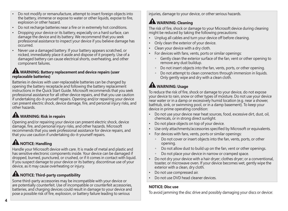- Do not modify or remanufacture, attempt to insert foreign objects into the battery, immerse or expose to water or other liquids, expose to fire, explosion or other hazard.
- Do not recharge batteries near a fire or in extremely hot conditions.
- Dropping your device or its battery, especially on a hard surface, can damage the device and its battery. We recommend that you seek professional assistance to inspect your device if you believe damage has occurred.
- Never use a damaged battery. If your battery appears scratched, or nicked, immediately place it aside and dispose of it properly. Use of a damaged battery can cause electrical shorts, overheating, and other component failures.

### **WARNING: Battery replacement and device repairs (user replaceable batteries)**

Batteries in devices with user-replaceable batteries can be changed by opening the battery receptacle and following the battery replacement instructions in the Quick Start Guide. Microsoft recommends that you seek professional assistance for all other device repairs, and that you use caution if undertaking do-it-yourself repairs. Opening and/or repairing your device can present electric shock, device damage, fire, and personal injury risks, and other hazards.

# **WARNING: Risk in repairs**

Opening and/or repairing your device can present electric shock, device damage, fire, and personal injury risks, and other hazards. Microsoft recommends that you seek professional assistance for device repairs, and that you use caution if undertaking do-it-yourself repairs.

# **AL NOTICE: Handling**

Handle your Microsoft device with care. It is made of metal and plastic and has sensitive electronic components inside. Your device can be damaged if dropped, burned, punctured, or crushed, or if it comes in contact with liquid. If you suspect damage to your device or its battery, discontinue use of your device, as it may cause overheating or injury.

# **AN** NOTICE: Third-party compatibility

Some third-party accessories may be incompatible with your device or are potentially counterfeit. Use of incompatible or counterfeit accessories, batteries, and charging devices could result in damage to your device and pose a possible risk of fire, explosion, or battery failure leading to serious

injuries, damage to your device, or other serious hazards.

## **AM** WARNING: Cleaning

The risk of fire, shock or damage to your Microsoft device during cleaning might be reduced by taking the following precautions:

- Unplug all cables and turn your device off before cleaning.
- Only clean the exterior of your device.
- Clean your device with a dry cloth.
- For devices with fans, vents, ports or similar openings:
	- - Gently clean the exterior surface of the fan, vent or other opening to remove any dust buildup.
	- -Do not insert objects into the fan, vents, ports, or other opening.
	- -Do not attempt to clean connectors through immersion in liquids. Only gently wipe and dry with a clean cloth.

# **WARNING: Usage**

To reduce the risk of fire, shock or damage to your device, do not expose your device to rain, snow or other types of moisture. Do not use your device near water or in a damp or excessively humid location (e.g. near a shower, bathtub, sink, or swimming pool, or in a damp basement). To keep your device in prime operating condition:

- Do not use your device near heat sources, food, excessive dirt, dust, oil, chemicals, or in strong direct sunlight.
- Do not place objects on top of your device.
- Use only attachments/accessories specified by Microsoft or equivalents.
- For devices with fans, vents, ports or similar openings:
	- $\circ$  Do not cover or insert objects into the fan, vents, ports, or other opening.
	- -Do not allow dust to build up on the fan, vent or other openings.
	- -Do not place your device in narrow or cramped space.
- Do not dry your device with a hair dryer; clothes dryer; or a conventional, toaster, or microwave oven. If your device becomes wet, gently wipe the exterior with a clean, dry cloth.
- Do not use compressed air.
- Do not use DVD head cleaner devices.

### **NOTICE: Disc use**

To avoid jamming the disc drive and possibly damaging your discs or device: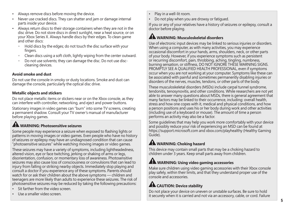- Always remove discs before moving the device.
- Never use cracked discs. They can shatter and jam or damage internal parts inside your device.
- Always return discs to their storage containers when they are not in the disc drive. Do not store discs in direct sunlight, near a heat source, or on your Xbox Series X. Always handle discs by their edges. To clean game and other discs:
	- Hold discs by the edges; do not touch the disc surface with your fingers.
	- Clean discs using a soft cloth, lightly wiping from the center outward.
	- - Do not use solvents; they can damage the disc. Do not use disccleaning devices.

### **Avoid smoke and dust**

Do not use the console in smoky or dusty locations. Smoke and dust can damage the console, particularly the optical disc drive.

#### **Metallic objects and stickers**

Do not place metallic items or stickers near or on the Xbox console, as they can interfere with controller, networking, and eject and power buttons.

Stationary images in video games can "burn" into some TV screens, creating a permanent shadow. Consult your TV owner's manual of manufacturer before playing games.

# **WARNING: Photosensitive seizures**

Some people may experience a seizure when exposed to flashing lights or patterns in moving images or video games. Even people who have no history of seizures or epilepsy may have an undiagnosed condition that can cause "photosensitive seizures" while watching moving images or video games.

These seizures may have a variety of symptoms, including lightheadedness, altered vision, eye or face twitching, jerking or shaking of arms or legs, disorientation, confusion, or momentary loss of awareness. Photosensitive seizures may also cause loss of consciousness or convulsions that can lead to injury from falling or striking nearby objects. Immediately stop playing and consult a doctor if you experience any of these symptoms. Parents should watch for or ask their children about the above symptoms — children and teenagers are more likely than adults to experience these seizures. The risk of photosensitive seizures may be reduced by taking the following precautions:

- Sit farther from the video screen
- Use a smaller video screen.
- Play in a well-lit room.
- Do not play when you are drowsy or fatigued.

If you or any of your relatives have a history of seizures or epilepsy, consult a doctor before playing.

### **WARNING: Musculoskeletal disorders**

Use of electronic input devices may be linked to serious injuries or disorders. When using a computer, as with many activities, you may experience occasional discomfort in your hands, arms, shoulders, neck, or other parts of your body. However, if you experience symptoms such as persistent or recurring discomfort, pain, throbbing, aching, tingling, numbness, burning sensation, or stiffness, DO NOT IGNORE THESE WARNING SIGNS. PROMPTLY SEE A QUALIFIED HEALTH PROFESSIONAL, even if symptoms occur when you are not working at your computer. Symptoms like these can be associated with painful and sometimes permanently disabling injuries or disorders of the nerves, muscles, tendons, or other parts of the body.

These musculoskeletal disorders (MSDs) include carpal tunnel syndrome, tendonitis, tenosynovitis, and other conditions. While researchers are not yet able to answer many questions about MSDs, there is general agreement that many factors may be linked to their occurrence, including: overall health, stress and how one copes with it, medical and physical conditions, and how a person positions and uses his or her body during work and other activities (including use of a keyboard or mouse). The amount of time a person performs an activity may also be a factor.

Some guidelines that may help you work more comfortably with your device and possibly reduce your risk of experiencing an MSD can be found at https://support.microsoft.com and xbox.com/playhealthy (Healthy Gaming Guide).

## **WARNING: Choking hazard**

This device may contain small parts that may be a choking hazard to children under 3 years. Keep small parts away from children.

### **WARNING: Using video gaming accessories**

Make sure children using video gaming accessories with their Xbox console play safely, within their limits, and that they understand proper use of the console and accessories.

# **AL CAUTION: Device stability**

Do not place your device on uneven or unstable surfaces. Be sure to hold it securely when it is carried and not via an accessory, cable, or cord. Failure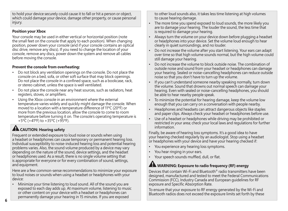to hold your device securely could cause it to fall or hit a person or object, which could damage your device, damage other property, or cause personal injury.

### **Position your Xbox**

Your console may be used in either vertical or horizontal position (note the small feet on the console that apply to each position). When changing position, power down your console (and if your console contains an optical disc drive, remove any discs). If you need to change the location of your console, remove any discs, power down the system and remove all cables before moving the console.

### **Prevent the console from overheating:**

- Do not block any ventilation openings on the console. Do not place the console on a bed, sofa, or other soft surface that may block openings. Do not place the console in a confined space, such as a bookcase, rack, or stereo cabinet, unless the space is well ventilated.
- Do not place the console near any heat sources, such as radiators, heat registers, stoves, or amplifiers.
- Using the Xbox console in an environment where the external temperature varies widely and quickly might damage the console. When moved to a location with a temperature difference of 11ºC (20ºF) or more from the previous location, allow the console to come to room temperature before turning it on. The console's operating temperature is +5ºC (+41ºF) to +35ºC (+95ºF).

# **AL CAUTION: Hearing safety**

Frequent or extended exposure to loud noise or sounds when using a headset or headphones can cause temporary or permanent hearing loss. Individual susceptibility to noise-induced hearing loss and potential hearing problems varies. Also, the sound volume produced by a device may vary depending on the nature of the sound, device settings, and the headset or headphones used. As a result, there is no single volume setting that is appropriate for everyone or for every combination of sound, settings, and equipment.

Here are a few common-sense recommendations to minimize your exposure to loud noises or sounds when using a headset or headphones with your device:

• Minimize your time listening to loud sound. All of the sound you are exposed to each day adds up. At maximum volume, listening to music or other content on your device with a headset or headphones can permanently damage your hearing in 15 minutes. If you are exposed

to other loud sounds also, it takes less time listening at high volumes to cause hearing damage.

- The more time you spend exposed to loud sounds, the more likely you are to damage your hearing. The louder the sound, the less time that is required to damage your hearing.
- Always turn the volume on your device down before plugging a headset or headphones into your device. Set the volume loud enough to hear clearly in quiet surroundings, and no louder.
- Do not increase the volume after you start listening. Your ears can adapt over time so that high volume sounds normal, but the high volume could still damage your hearing.
- Do not increase the volume to block outside noise. The combination of outside noise and sound from your headset or headphones can damage your hearing. Sealed or noise-cancelling headphones can reduce outside noise so that you don't have to turn up the volume.
- If you can't understand someone nearby speaking normally, turn down the volume. Sound that drowns out normal speech can damage your hearing. Even with sealed or noise-cancelling headphones, you should be able to hear nearby people speak.
- To minimize the potential for hearing damage, keep the volume low enough that you can carry on a conversation with people nearby.
- Headphones and headsets can attract dangerous objects like staples and paper clips. Always check your headset or headphones before use.
- Use of a headset or headphones while driving may be prohibited or restricted in your area: check your local laws and requlations for further information.

Finally, be aware of hearing loss symptoms. It's a good idea to have your hearing checked regularly by an audiologist. Stop using a headset or headphones with your device and have your hearing checked if:

- You experience any hearing loss symptoms.
- You hear ringing in your ears.
- Your speech sounds muffled, dull, or flat.

## **WARNING: Exposure to radio frequency (RF) energy**

Devices that contain Wi-Fi and Bluetooth® radio transmitters have been designed, manufactured and tested to meet the Federal Communications Commission (FCC), Industry Canada and European guidelines for RF exposure and Specific Absorption Rate.

To ensure that your exposure to RF energy generated by the Wi-Fi and Bluetooth radios does not exceed the exposure limits set forth by these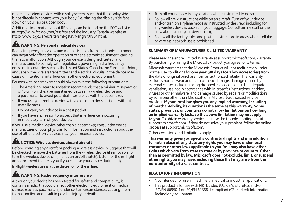guidelines, orient devices with display screens such that the display side is not directly in contact with your body (i.e. placing the display side face down on your lap or upper body).

Additional information about RF safety can be found on the FCC website at http://www.fcc.gov/oet/rfsafety and the Industry Canada website at http://www.ic.gc.ca/eic/site/smt-gst.nsf/eng/sf01904.html.

## **WARNING: Personal medical devices**

Radio-frequency emissions and magnetic fields from electronic equipment can negatively affect the operation of other electronic equipment, causing them to malfunction. Although your device is designed, tested, and manufactured to comply with regulations governing radio frequency emission in countries such as the United States, Canada, the European Union, and Japan, the wireless transmitters and electrical circuits in the device may cause unintentional interference in other electronic equipment.

Persons with pacemakers should always take the following precautions:

- The American Heart Association recommends that a minimum separation of 15 cm (6 inches) be maintained between a wireless device and a pacemaker to avoid potential interference with the pacemaker.
- If you use your mobile device with a case or holder select one without metallic parts.
- Do not carry your device in a chest pocket.
- If you have any reason to suspect that interference is occurring immediately turn off your device.

If you use a medical device other than a pacemaker, consult the device manufacturer or your physician for information and instructions about the use of other electronic devices near your medical device.

# **NOTICE: Wireless devices aboard aircraft**

Before boarding any aircraft or packing a wireless device in luggage that will be checked, remove the batteries from the wireless device (if removable) or turn the wireless device off (if it has an on/off switch). Listen for the in-flight announcement that tells you if you can use your device during a flight.

In-flight wireless use is at the discretion of the airline.

# **WARNING: Radiofrequency interference**

Although your device has been tested for safety and compatibility, it contains a radio that could affect other electronic equipment or medical devices (such as pacemakers) under certain circumstances, causing them to malfunction and result in possible injury or death.

- Turn off your device in any location where instructed to do so.
- Follow all crew instructions while on an aircraft. Turn off your device and/or turn on airplane mode as instructed by the crew, including for any wireless devices packed in your luggage. Consult airline staff or the crew about using your device in flight.
- Follow all the facility rules and posted instructions in areas where cellular or wireless network use is prohibited.

#### **SUMMARY OF MANUFACTURER'S LIMITED WARRANTY**

Please read the entire Limited Warranty at support.microsoft.com/warranty. By purchasing or using the Microsoft Product, you agree to its terms.

Microsoft warrants that the Microsoft Product will not malfunction under normal use conditions for **one year (90 days for Xbox accessories)** from the date of original purchase from an authorized retailer. The warranty excludes normal wear and tear, cosmetic damage, damage caused by external causes including being dropped, exposed to liquid, inadequate ventilation, use not in accordance with Microsoft's instructions, hacking, viruses or other malware, and damage caused by repairs or modifications by someone other than Microsoft or a Microsoft-authorized service provider. **If your local law gives you any implied warranty, including of merchantability, its duration is the same as this warranty. Some states, provinces, or countries do not allow limitations on how long an implied warranty lasts, so the above limitation may not apply to you.** To obtain warranty service, first use the troubleshooting tips at support.microsoft.com. If they do not solve your problem, follow the online process at support.microsoft.com.

Other exclusions and limitations apply.

**This warranty gives you specific contractual rights and is in addition to, not in place of, any statutory rights you may have under local consumer or other laws applicable to you. You may also have other rights which vary from state to state or by province or country. Other than as permitted by law, Microsoft does not exclude, limit, or suspend other rights you may have, including those that may arise from the nonconformity of a sales contract.**

#### **REGULATORY INFORMATION**

- Not intended for use in machinery, medical or industrial applications.
- This product is for use with NRTL Listed (UL, CSA, ETL, etc.), and/or IEC/EN 60950-1 or IEC/EN 62368-1 compliant (CE marked) Information Technology equipment.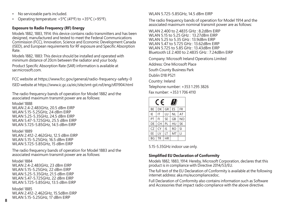- No serviceable parts included.
- Operating temperature: +5ºC (41ºF) to +35ºC (+95ºF).

#### **Exposure to Radio Frequency (RF) Energy**

Models 1882, 1883, 1914: this device contains radio transmitters and has been designed, manufactured and tested to meet the Federal Communications Commission (FCC), Innovation, Science and Economic Development Canada (ISED), and European requirements for RF exposure and Specific Absorption Rate.

Models 1882, 1883: This device should be installed and operated with minimum distance of 20cm between the radiator and your body. Product Specific Absorption Rate (SAR) information is available at sar.microsoft.com

FCC website at https://www.fcc.gov/general/radio-frequency-safety-0 ISED website at https://www.ic.gc.ca/eic/site/smt-gst.nsf/eng/sf01904.html

The radio frequency bands of operation for Model 1882 and the associated maximum transmit power are as follows:

Model 1888 WLAN 2.4-2.483GHz, 20.5 dBm EIRP WLAN 5.15-5.25GHz, 24 dBm EIRP WLAN 5.25-5.35GHz, 24.5 dBm EIRP WLAN 5.47-5.725GHz, 25.5 dBm EIRP WLAN 5.725-5.85GHz, 14.5 dBm EIRP

Model 1889 WLAN 2.412-2.462GHz, 12.5 dBm EIRP WLAN 5.15-5.25GHz, 16.5 dBm EIRP WLAN 5.725-5.85GHz, 15 dBm EIRP

The radio frequency bands of operation for Model 1883 and the associated maximum transmit power are as follows:

Model 1884 WLAN 2.4-2.483GHz, 23 dBm EIRP WLAN 5.15-5.25GHz, 22 dBm EIRP WLAN 5.25-5.35GHz, 21.5 dBm EIRP WLAN 5.47-5.725GHz, 22 dBm EIRP WLAN 5.725-5.85GHz, 13.5 dBm EIRP

Model 1885 WLAN 2.412-2.462GHz, 15.5dBm EIRP WLAN 5.15-5.25GHz, 17 dBm EIRP

#### WLAN 5.725-5.85GHz, 14.5 dBm EIRP

The radio frequency bands of operation for Model 1914 and the associated maximum nominal transmit power are as follows:

WLAN 2.400 to 2.4835 GHz : 8.2dBm EIRP WLAN 5.15 to 5.25 GHz : 13.27dBm EIRP WLAN 5.25 to 5.35 GHz : 13.9dBm EIRP WLAN 5.47 to 5.725 GHz : 13.62dBm EIRP WLAN 5.725 to 5.85 GHz : 13.43dBm EIRP Bluetooth LE 2.400 to 2.4835 GHz : 7.24dBm EIRP

Company: Microsoft Ireland Operations Limited Address: One Microsoft Place South County Business Park Dublin D18 P521 Country: Ireland Telephone number: +353 1 295 3826 Fax number: +353 1 706 4110

| F<br>W    |    |           |           |                |  |
|-----------|----|-----------|-----------|----------------|--|
| <b>BF</b> | DK | GR        | FS.       | FR             |  |
| IE        | IT | LU        | <b>NL</b> | AT             |  |
| PT        | FI | <b>SE</b> | GB        | N <sub>O</sub> |  |
| DE        | CH | PL        | HU        | <b>SK</b>      |  |
| CZ        | CY | IS        | <b>RO</b> | SI             |  |
| FF        | IV | IT        | MT        | П              |  |
| BG        | TR | <b>HR</b> |           |                |  |

5.15-5.35GHz indoor use only.

### **Simplified EU Declaration of Conformity**

Models 1882, 1883, 1914: Hereby, Microsoft Corporation, declares that this product is in compliance with Directive 2014/53/EU.

The full text of the EU Declaration of Conformity is available at the following internet address: aka.ms/eucompliancedoc.

Full Declaration of Conformity also contains information such as Software and Accessories that impact radio compliance with the above directive.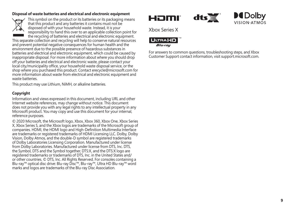#### **Disposal of waste batteries and electrical and electronic equipment**



This symbol on the product or its batteries or its packaging means that this product and any batteries it contains must not be disposed of with your household waste. Instead, it is your responsibility to hand this over to an applicable collection point for the recycling of batteries and electrical and electronic equipment.

This separate collection and recycling will help to conserve natural resources and prevent potential negative consequences for human health and the environment due to the possible presence of hazardous substances in batteries and electrical and electronic equipment, which could be caused by inappropriate disposal. For more information about where you should drop off your batteries and electrical and electronic waste, please contact your local city/municipality office, your household waste disposal service, or the shop where you purchased this product. Contact erecycle@microsoft.com for more information about waste from electrical and electronic equipment and waste batteries.

This product may use Lithium, NiMH, or alkaline batteries.

### **Copyright**

Information and views expressed in this document, including URL and other Internet website references, may change without notice. This document does not provide you with any legal rights to any intellectual property in any Microsoft product. You may copy and use this document for your internal, reference purposes.

© 2020 Microsoft, the Microsoft logo, Xbox, Xbox 360, Xbox One, Xbox Series X, Xbox Series S, and the Xbox logos are trademarks of the Microsoft group of companies. HDMI, the HDMI logo and High-Definition Multimedia Interface are trademarks or registered trademarks of HDMI Licensing LLC. Dolby, Dolby Vision, Dolby Atmos, and the double-D symbol are registered trademarks of Dolby Laboratories Licensing Corporation. Manufactured under license from Dolby Laboratories. Manufactured under license from DTS, Inc. DTS, the Symbol, DTS and the Symbol together, DTS:X, and the DTS:X logo are registered trademarks or trademarks of DTS, Inc. in the United States and/ or other countries. © DTS, Inc. All Rights Reserved. For consoles containing a Blu-ray™ optical disc drive: Blu-ray Disc™, Blu-ray™, Ultra HD Blu-ray™ word marks and logos are trademarks of the Blu-ray Disc Association.





Xbox Series X



For answers to common questions, troubleshooting steps, and Xbox Customer Support contact information, visit support.microsoft.com.

 $dts \leq$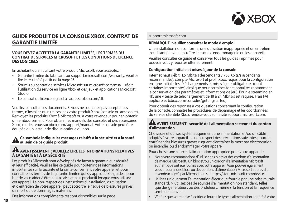

### **GUIDE PRODUIT DE LA CONSOLE XBOX, CONTRAT DE GARANTIE LIMITÉE**

#### **VOUS DEVEZ ACCEPTER LA GARANTIE LIMITÉE, LES TERMES DU CONTRAT DE SERVICES MICROSOFT ET LES CONDITIONS DE LICENCE DES LOGICIELS**

En achetant ou en utilisant votre produit Microsoft, vous acceptez :

- Garantie limitée du fabricant sur support.microsoft.com/warranty. Veuillez lire le résumé à partir de la page 16.
- Soumis au contrat de services Microsoft sur microsoft.com/msa. Il régit l'utilisation du service en ligne Xbox et des jeux et applications Microsoft Studio.
- Le contrat de licence logiciel à l'adresse xbox.com/slt.

Veuillez consulter ces documents. Si vous ne souhaitez pas accepter ces termes, n'installez ou n'utilisez pas votre produit Xbox (console ou accessoire). Renvoyez les produits Xbox à Microsoft ou à votre revendeur pour en obtenir un remboursement. Pour obtenir les manuels des consoles et des accessoires Xbox, rendez-vous sur xbox.com/support/manual. Votre console peut être équipée d'un lecteur de disque optique ou non.

#### **Ce symbole indique les messages relatifs à la sécurité et à la santé au sein de ce guide produit.**

#### **AVERTISSEMENT : VEUILLEZ LIRE LES INFORMATIONS RELATIVES À LA SANTÉ ET À LA SÉCURITÉ**

Les produits Microsoft sont développés de façon à garantir leur sécurité et leur efficacité. Veuillez lire ce guide pour obtenir des informations importantes sur la sécurité et la santé concernant votre appareil et pour connaître les termes de la garantie limitée qui s'y applique. Ce guide a pour but de vous aider à être plus à l'aise et plus productif lorsque vous utilisez cet appareil. Le non-respect des instructions d'installation, d'utilisation et d'entretien de votre appareil peut accroître le risque de blessures graves, de mort ou de dommages matériels.

Des informations complémentaires sont disponibles sur la page

#### support.microsoft.com.

#### **REMARQUE : veuillez consulter le mode d'emploi**

Une installation non conforme, une utilisation inappropriée et un entretien insuffisant peuvent accroître le risque d'endommager le ou les appareils.

Veuillez consulter ce guide et conserver tous les guides imprimés pour pouvoir vous y reporter ultérieurement.

#### **Configuration initiale et mises à jour de la console**

Internet haut débit (1,5 Mbits/s descendants / 768 Kbits/s ascendants recommandés), compte Microsoft et profil Xbox requis pour la configuration en ligne initiale, les téléchargements et mises à jour obligatoires (dont certaines importantes) ainsi que pour certaines fonctionnalités (notamment la conservation des paramètres et informations de jeu). Pour le streaming en 4K, une vitesse de téléchargement de 18 à 24 Mbits/s est requise. Frais FAI applicables (xbox.com/consoles/gettingstarted).

Pour obtenir des réponses à vos questions concernant la configuration de la console, connaître les procédures de dépannage et les coordonnées du service clientèle Xbox, rendez-vous sur le site support.microsoft.com.

#### **AVERTISSEMENT : sécurité de l'alimentation secteur et du cordon d'alimentation**

Choisissez et utilisez systématiquement une alimentation et/ou un câble adaptés à votre appareil. Le non-respect des précautions suivantes pourrait entraîner des blessures graves risquant d'entraîner la mort par électrocution ou incendie, ou d'endommager votre appareil.

Pour choisir une source d'alimentation appropriée pour votre appareil :

- Nous vous recommandons d'utiliser des blocs et des cordons d'alimentation de marque Microsoft. Un bloc et/ou un cordon d'alimentation Microsoft authentique ont été fournis avec votre appareil. Vous pouvez également vous procurer des blocs ou des cordons d'alimentation Microsoft auprès d'un revendeur agréé par Microsoft ou sur https://store.microsoft.com/devices.
- Utilisez uniquement l'alimentation électrique fournie par une prise murale standard. N'utilisez pas de sources d'alimentation non standard, telles que des générateurs ou des onduleurs, même si la tension et la fréquence semblent convenir.
- Vérifiez que votre prise électrique fournit le type d'alimentation adapté à votre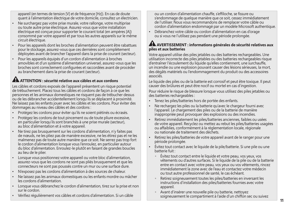appareil (en termes de tension [V] et de fréquence [Hz]). En cas de doute quant à l'alimentation électrique de votre domicile, consultez un électricien.

- Ne surchargez pas votre prise murale, votre rallonge, votre multiprise ou toute autre prise électrique. Assurez-vous que votre installation électrique est conçue pour supporter le courant total (en ampères [A]) consommé par votre appareil et par tous les autres appareils sur le même circuit électrique.
- Pour les appareils dont les broches d'alimentation peuvent être rabattues pour le stockage, assurez-vous que ces dernières sont complètement déployées avant de brancher l'appareil dans la prise de courant (secteur).
- Pour les appareils équipés d'un cordon d'alimentation à broches amovibles et d'un système d'alimentation universel, assurez-vous que les broches sont correctement configurées et raccordées avant de procéder au branchement dans la prise de courant (secteur).

## **ATTENTION : sécurité relative aux câbles et aux cordons**

Les câbles et cordons exposés de l'appareil présentent un risque potentiel de trébuchement. Placez tous les câbles et cordons de façon à ce que les personnes et les animaux domestiques ne risquent pas de trébucher dessus ou de les débrancher accidentellement lorsqu'ils se déplacent à proximité. Ne laissez pas les enfants jouer avec les câbles et les cordons. Pour éviter des dommages au niveau des câbles et des cordons :

- Protégez les cordons pour éviter qu'ils ne soient piétinés ou écrasés.
- Protégez les cordons de tout pincement ou de toute pliure excessive, en particulier lorsqu'ils sont branchés à une prise murale (secteur), au bloc d'alimentation et à votre appareil.
- Ne tirez pas brusquement sur les cordons d'alimentation, n'y faites pas de nœuds, ne les pliez pas de manière excessive, ne les étirez pas et ne les malmenez pas de toute autre manière que ce soit. Ne serrez pas trop fort le cordon d'alimentation lorsque vous l'enroulez, en particulier autour du bloc d'alimentation. Enroulez-le plutôt en faisant de grandes boucles au lieu de le plier.
- Lorsque vous positionnez votre appareil ou votre bloc d'alimentation, assurez-vous que les cordons ne sont pas pliés brusquement et que les connecteurs ne sont pas poussés contre un mur ou une surface dure.
- N'exposez pas les cordons d'alimentation à des sources de chaleur.
- Ne laissez pas les animaux domestiques ou les enfants mordre ou mâcher les cordons d'alimentation.
- Lorsque vous débranchez le cordon d'alimentation, tirez sur la prise et non sur le cordon.
- Vérifiez régulièrement vos câbles et cordons d'alimentation. Si un câble

ou un cordon d'alimentation chauffe, s'effiloche, se fissure ou s'endommage de quelque manière que ce soit, cessez immédiatement de l'utiliser. Nous vous recommandons de remplacer votre câble ou cordon d'alimentation endommagé par un modèle Microsoft authentique.

• Débranchez votre câble ou cordon d'alimentation en cas d'orage ou si vous ne l'utilisez pas pendant une période prolongée.

#### **AVERTISSEMENT : informations générales de sécurité relatives aux piles et aux batteries**

Votre appareil utilise des piles jetables ou des batteries rechargeables. Une utilisation incorrecte des piles jetables ou des batteries rechargeables risque d'entraîner l'écoulement du liquide qu'elles contiennent, une surchauffe, un incendie ou une explosion pouvant causer des lésions sérieuses, la mort, des dégâts matériels ou l'endommagement du produit ou des accessoires associés.

Le liquide des piles ou de la batterie est corrosif et peut être toxique. Il peut causer des brûlures et peut être nocif ou mortel en cas d'ingestion.

Pour réduire le risque de blessure lorsque vous utilisez des piles jetables ou des batteries rechargeables :

- Tenez les piles/batteries hors de portée des enfants.
- Ne rechargez les piles ou la batterie qu'avec le chargeur fourni avec l'appareil. Le chargement des piles ou de la batterie de manière inappropriée peut provoquer des explosions ou des incendies.
- Retirez immédiatement les piles/batteries anciennes, faibles ou usées de votre appareil. Recyclez ou mettez au rebut les piles/batteries usagées ou affaiblies, conformément à la réglementation locale, régionale ou nationale de traitement des déchets.
- Retirez les piles/batteries de votre appareil avant de le ranger pour une période prolongée.
- Évitez tout contact avec le liquide de la pile/batterie. Si une pile ou une batterie fuit :
	- $^{\circ}$  Évitez tout contact entre le liquide et votre peau, vos yeux, vos vêtements ou d'autres surfaces. Si le liquide de la pile ou de la batterie entre en contact avec votre peau, vos yeux ou vos vêtements, rincez immédiatement la zone avec de l'eau et contactez votre médecin ou tout autre professionnel de santé, le cas échéant.
	- - Retirez soigneusement toutes les piles/batteries en inversant les instructions d'installation des piles/batteries fournies avec votre appareil.
	- - Avant d'insérer une nouvelle pile ou batterie, nettoyez soigneusement le compartiment à l'aide d'un chiffon sec ou suivez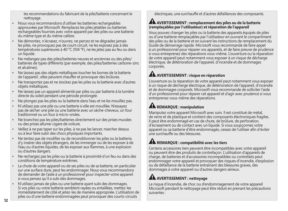les recommandations du fabricant de la pile/batterie concernant le nettoyage.

- Nous vous recommandons d'utiliser les batteries rechargeables approuvées par Microsoft. Remplacez les piles jetables ou batteries rechargeables fournies avec votre appareil par des piles ou une batterie du même type et du même calibre.
- Ne démontez, n'écrasez, n'ouvrez, ne percez et ne dégradez jamais les piles, ne provoquez pas de court-circuit, ne les exposez pas à des températures supérieures à 40 °C (104 °F), ne les jetez pas au feu ou dans un liquide.
- Ne mélangez pas des piles/batteries neuves et anciennes ou des piles/ batteries de types différents (par exemple, des piles/batteries carbone-zinc et alcalines).
- Ne laissez pas des objets métalliques toucher les bornes de la batterie de l'appareil ; elles peuvent chauffer et provoquer des brûlures.
- Ne transportez pas et ne stockez pas les piles ou la batterie avec d'autres objets métalliques.
- Ne laissez pas un appareil alimenté par piles ou par batterie à la lumière directe du soleil pendant une période prolongée.
- Ne plongez pas les piles ou la batterie dans l'eau et ne les mouillez pas.
- N'utilisez pas une pile ou une batterie si elle est mouillée. N'essayez pas de sécher une pile ou une batterie avec un sèche-cheveux, un four traditionnel ou un four à micro-ondes.
- Ne branchez pas les piles/batteries directement sur des prises murales ou des prises allume-cigare de voiture.
- Veillez à ne pas taper sur les piles, à ne pas les lancer, marcher dessus ou à leur faire subir des chocs physiques importants.
- Ne tentez pas de modifier ou de reconditionner les piles ou la batterie, d'y insérer des objets étrangers, de les immerger ou de les exposer à de l'eau ou d'autres liquides, de les exposer aux flammes, à une explosion ou d'autres dangers.
- Ne rechargez pas les piles ou la batterie à proximité d'un feu ou dans des conditions de température extrêmes.
- La chute de votre appareil ou de ses piles ou de sa batterie, en particulier sur une surface dure, peut les endommager. Nous vous recommandons de demander de l'aide à un professionnel pour inspecter votre appareil si vous pensez qu'il a subi des dommages.
- N'utilisez jamais de piles ou une batterie ayant subi des dommages. Si vos piles ou votre batterie semblent rayées ou entaillées, mettez-les immédiatement de côté et jetez-les de manière appropriée. L'utilisation de piles ou d'une batterie endommagées peut provoquer des courts-circuits

électriques, une surchauffe et d'autres défaillances des composants.

#### **AVERTISSEMENT : remplacement des piles ou de la batterie (remplaçables par l'utilisateur) et réparation de l'appareil**

Vous pouvez changer les piles ou la batterie des appareils équipés de piles ou d'une batterie remplaçables par l'utilisateur en ouvrant le compartiment des piles ou de la batterie et en suivant les instructions de remplacement du Guide de démarrage rapide. Microsoft vous recommande de faire appel à un professionnel pour réparer vos appareils, et de faire preuve de prudence si vous entreprenez des réparations vous-même. L'ouverture ou la réparation de votre appareil peut notamment vous exposer à un risque de décharge électrique, de détérioration de l'appareil, d'incendie et de dommages corporels.

## **AVERTISSEMENT : risque en réparation**

L'ouverture ou la réparation de votre appareil peut notamment vous exposer à un risque de décharge électrique, de détérioration de l'appareil, d'incendie et de dommages corporels. Microsoft vous recommande de solliciter l'aide d'un professionnel pour réparer cet appareil et d'agir avec prudence si vous entreprenez vous-même des réparations.

# **REMARQUE : manipulation**

Manipulez votre appareil Microsoft avec soin. Il est constitué de métal, de verre et de plastique et contient des composants électroniques fragiles. Il peut être endommagé en cas de chute, de brûlure, de perforation, d'écrasement ou de contact avec un liquide. Si vous soupçonnez votre appareil ou sa batterie d'être endommagés, cessez de l'utiliser afin d'éviter une surchauffe ou des blessures.

# **REMARQUE : compatibilité avec les tiers**

Certains accessoires tiers peuvent être incompatibles avec votre appareil ou peuvent être des produits de contrefaçon. L'utilisation d'appareils de charge, de batteries et d'accessoires incompatibles ou contrefaits peut endommager votre appareil et provoquer des risques d'incendie, d'explosion ou de défaillance de la batterie entraînant des blessures graves, des dommages à votre appareil ou d'autres dangers sérieux.

# **AVERTISSEMENT : nettoyage**

Le risque d'incendie, de choc ou d'endommagement de votre appareil Microsoft pendant le nettoyage peut être réduit en prenant les précautions suivantes :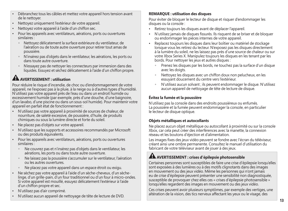- Débranchez tous les câbles et mettez votre appareil hors tension avant de le nettoyer.
- Nettoyez uniquement l'extérieur de votre appareil.
- Nettoyez votre appareil à l'aide d'un chiffon sec.
- Pour les appareils avec ventilateurs, aérations, ports ou ouvertures similaires :
	- Nettoyez délicatement la surface extérieure du ventilateur, de l'aération ou de toute autre ouverture pour retirer tout amas de poussière.
	- N'insérez pas d'objets dans le ventilateur, les aérations, les ports ou dans toute autre ouverture.
	- N'essayez pas de nettoyer les connecteurs par immersion dans des liquides. Essuyez et séchez délicatement à l'aide d'un chiffon propre.

# **AVERTISSEMENT : utilisation**

Pour réduire le risque d'incendie, de choc ou d'endommagement de votre appareil, ne l'exposez pas à la pluie, à la neige ou à d'autres types d'humidité. N'utilisez pas votre appareil près de l'eau ou dans un endroit humide ou excessivement humide (par exemple, près d'une douche, d'une baignoire, d'un lavabo, d'une piscine ou dans un sous-sol humide). Pour maintenir votre appareil en parfait état de fonctionnement :

- N'utilisez pas votre appareil à proximité de sources de chaleur, de nourriture, de saleté excessive, de poussière, d'huile, de produits chimiques ou sous la lumière directe et forte du soleil.
- Ne placez pas d'objets sur votre appareil.
- N'utilisez que les supports et accessoires recommandés par Microsoft ou des produits équivalents.
- Pour les appareils avec ventilateurs, aérations, ports ou ouvertures similaires :
	- Ne couvrez pas et n'insérez pas d'objets dans le ventilateur, les aérations, les ports ou dans toute autre ouverture.
	- Ne laissez pas la poussière s'accumuler sur le ventilateur, l'aération ou les autres ouvertures.
	- Ne placez pas votre appareil dans un espace étroit ou exigu.
- Ne séchez pas votre appareil à l'aide d'un sèche-cheveux, d'un sèchelinge, d'un grille-pain, d'un four traditionnel ou d'un four à micro-ondes. Si votre appareil est mouillé, essuyez délicatement l'extérieur à l'aide d'un chiffon propre et sec.
- N'utilisez pas d'air comprimé.
- N'utilisez aucun appareil de nettoyage de tête de lecture de DVD.

### **REMARQUE : utilisation des disques**

Pour éviter de bloquer le lecteur de disque et risquer d'endommager les disques ou la console :

- Retirez toujours les disques avant de déplacer l'appareil.
- N'utilisez jamais de disques fissurés. Ils risquent de se briser et de bloquer ou endommager les pièces internes de votre appareil.
- Replacez toujours les disques dans leur boîtier ou matériel de stockage lorsque vous les retirez du lecteur. N'exposez pas les disques directement à la lumière du soleil, ne les laissez pas près d'une source de chaleur ou sur votre Xbox Series X. Manipulez toujours les disques en les tenant par les bords. Pour nettoyer les jeux et autres disques :
	- Prenez les disques par les bords, ne touchez pas la surface d'un disque avec les doigts.
	- - Nettoyez les disques avec un chiffon doux non pelucheux, en les essuyant doucement du centre vers l'extérieur.
	- $^{\circ}$  N'utilisez aucun solvant ; ils peuvent endommager le disque. N'utilisez aucun appareil de nettoyage de tête de lecture de disque.

### **Évitez la fumée et la poussière**

N'utilisez pas la console dans des endroits poussiéreux ou enfumés. La poussière et la fumée peuvent endommager la console, en particulier le lecteur de disque optique.

#### **Objets métalliques et autocollants**

Ne placez aucun objet métallique ou autocollant à proximité ou sur la console Xbox, car cela peut créer des interférences avec la manette, la connexion réseau et les boutons d'éjection et d'alimentation.

Les images fixes des jeux vidéo peuvent se fondre avec l'écran du téléviseur, créant ainsi une ombre permanente. Consultez le manuel d'utilisation du fabricant de votre téléviseur avant de jouer à des jeux.

## **AVERTISSEMENT : crises d'épilepsie photosensible**

Certaines personnes sont susceptibles de faire une crise d'épilepsie lorsqu'elles sont exposées à des lumières ou à des motifs clignotants dans des images en mouvement ou des jeux vidéo. Même les personnes qui n'ont jamais eu de crise d'épilepsie peuvent présenter une sensibilité non diagnostiquée, susceptible de provoquer chez elles ces « crises d'épilepsie photosensible » lorsqu'elles regardent des images en mouvement ou des jeux vidéo.

Ces crises peuvent avoir plusieurs symptômes, par exemple des vertiges, une altération de la vision, des tics nerveux affectant les yeux ou le visage, des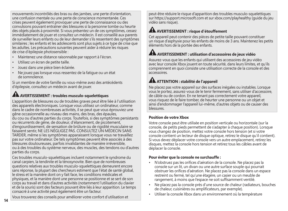mouvements incontrôlés des bras ou des jambes, une perte d'orientation, une confusion mentale ou une perte de conscience momentanée. Ces crises peuvent également provoquer une perte de connaissance ou des convulsions pouvant entraîner des blessures si la personne tombe ou heurte des objets placés à proximité. Si vous présentez un de ces symptômes, cessez immédiatement de jouer et consultez un médecin. Il est conseillé aux parents de surveiller leurs enfants ou de leur demander s'ils ressentent des symptômes similaires ; les enfants et les adolescents sont plus sujets à ce type de crise que les adultes. Les précautions suivantes peuvent aider à réduire les risques de crise d'épilepsie photosensible :

- Maintenez une distance raisonnable par rapport à l'écran.
- Utilisez un écran de petite taille.
- Jouez dans une pièce bien éclairée.
- Ne jouez pas lorsque vous ressentez de la fatigue ou un état de somnolence.

Si un membre de votre famille ou vous-même avez des antécédents d'épilepsie, consultez un médecin avant de jouer.

# **AVERTISSEMENT : troubles musculo-squelettiques**

L'apparition de blessures ou de troubles graves peut être liée à l'utilisation des appareils électroniques. Lorsque vous utilisez un ordinateur, comme dans le cadre de nombreuses activités, il se peut que vous éprouviez une gêne occasionnelle au niveau des mains, des bras, des épaules, du cou ou d'autres parties du corps. Toutefois, si des symptômes persistants ou récurrents de gêne, de douleur, d'élancement, de picotement, d'engourdissement, de sensation de brûlure ou de rigidité musculaire se faisaient sentir, NE LES NÉGLIGEZ PAS. CONSULTEZ UN MÉDECIN SANS TARDER, même si les symptômes apparaissent lorsque vous ne travaillez pas sur votre ordinateur. De tels symptômes peuvent être associés à des blessures douloureuses, parfois invalidantes de manière irréversible, ou à des troubles du système nerveux, des muscles, des tendons ou d'autres parties du corps.

Ces troubles musculo-squelettiques incluent notamment le syndrome du canal carpien, la tendinite et la ténosynovite. Bien que de nombreuses questions relatives aux troubles musculo-squelettiques demeurent encore sans réponse, la plupart des chercheurs estiment que l'état de santé global, le stress et la manière dont on y fait face, les conditions médicales et physiques, et la manière dont une personne se positionne et se sert de son corps au travail et dans d'autres activités (notamment l'utilisation du clavier et de la souris) sont des facteurs pouvant être liés à leur apparition. Le temps consacré à une activité peut également être un facteur.

Vous trouverez des conseils pour améliorer votre confort d'utilisation et

peut-être réduire le risque d'apparition des troubles musculo-squelettiques sur https://support.microsoft.com et sur xbox.com/playhealthy (guide du jeu vidéo sans risque).

## **AVERTISSEMENT : risque d'étouffement**

Cet appareil peut contenir des pièces de petite taille pouvant constituer un risque d'asphyxie pour les enfants de moins de 3 ans. Maintenez les petits éléments hors de la portée des enfants.

# **AVERTISSEMENT : utilisation d'accessoires de jeux vidéo**

Assurez-vous que les enfants qui utilisent des accessoires de jeu vidéo avec leur console Xbox jouent en toute sécurité, dans leurs limites, et qu'ils comprennent en quoi consiste une utilisation correcte de la console et des accessoires.

# **ATTENTION : stabilité de l'appareil**

Ne placez pas votre appareil sur des surfaces inégales ou instables. Lorsque vous le portez, assurez-vous de le tenir fermement, sans utiliser d'accessoire, de câble ou de cordon. En ne tenant pas correctement votre appareil, vous risquez de le faire tomber, de heurter une personne ou un objet et ainsi d'endommager l'appareil lui-même, d'autres objets ou de causer des blessures.

### **Position de votre Xbox**

Votre console peut être utilisée en position verticale ou horizontale (sur la console, de petits pieds permettent de s'adapter à chaque position). Lorsque vous changez de position, mettez votre console hors tension (et si votre console contient un lecteur de disque optique, retirez le disque qu'il contient). Si vous devez déplacer votre console vers un autre emplacement, retirez les disques, mettez la console hors tension et retirez tous les câbles avant de déplacer la console.

#### **Pour éviter que la console ne surchauffe :**

- N'obstruez pas les orifices d'aération de la console. Ne placez pas la console sur un lit, un divan ou une autre surface souple qui pourrait obstruer les orifices d'aération. Ne placez pas la console dans un espace restreint ou fermé, tel qu'une étagère, un casier ou un meuble de rangement, à moins que l'espace ne soit suffisamment ventilé.
- Ne placez pas la console près d'une source de chaleur (radiateurs, bouches de chaleur, cuisinières ou amplificateurs, par exemple).
- Utiliser la console Xbox dans un environnement où la température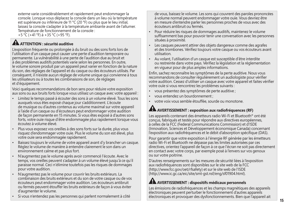externe varie considérablement et rapidement peut endommager la console. Lorsque vous déplacez la console dans un lieu où la température est supérieure ou inférieure de 11 °C (20 °F) ou plus que le lieu initial, laissez la console s'adapter à la température ambiante avant de l'allumer. Température de fonctionnement de la console :

+5 °C (+41 °F) à +35 °C (+95 °F).

## **A ATTENTION : sécurité auditive**

L'exposition fréquente ou prolongée à du bruit ou des sons forts lors de l'utilisation d'un casque peut causer une perte d'audition temporaire ou permanente. La vulnérabilité à une perte de l'audition due au bruit et à des problèmes auditifs potentiels varie selon les personnes. En outre, le volume sonore produit par un appareil peut varier en fonction de la nature du son, des réglages de l'appareil et du casque ou des écouteurs utilisés. Par conséquent, il n'existe aucun réglage de volume unique qui convienne à tous les utilisateurs ou à toutes les combinaisons de son, de réglages et d'équipement.

Voici quelques recommandations de bon sens pour réduire votre exposition aux sons ou aux bruits forts lorsque vous utilisez un casque avec votre appareil :

- Limitez le temps passé à écouter des sons à un volume élevé. Tous les sons auxquels vous êtes exposé chaque jour s'additionnent. L'écoute de musique ou d'autres contenus au volume maximal sur votre appareil à l'aide d'un casque ou d'écouteurs peut endommager votre audition de façon permanente en 15 minutes. Si vous êtes exposé à d'autres sons forts, votre ouïe risque d'être endommagée plus rapidement lorsque vous écoutez à volume élevé.
- Plus vous exposez vos oreilles à des sons forts sur la durée, plus vous risquez d'endommager votre ouïe. Plus le volume du son est élevé, plus votre ouïe sera endommagée rapidement.
- Baissez toujours le volume de votre appareil avant d'y brancher un casque. Réglez le volume de manière à entendre clairement le son dans un environnement calme et pas plus fort.
- N'augmentez pas le volume après avoir commencé l'écoute. Avec le temps, vos oreilles peuvent s'adapter à un volume élevé jusqu'à ce qu'il paraisse normal. Ceci n'élimine toutefois pas les risques de dommages pour votre audition.
- N'augmentez pas le volume pour couvrir les bruits extérieurs. La combinaison des bruits extérieurs et du son de votre casque ou de vos écouteurs peut endommager votre audition. Les écouteurs antibruit ou fermés peuvent étouffer les bruits extérieurs de façon à vous éviter d'augmenter le volume.
- Si vous n'entendez pas les personnes qui parlent normalement à côté

de vous, baissez le volume. Les sons qui couvrent des paroles prononcées à volume normal peuvent endommager votre ouïe. Vous devriez être en mesure d'entendre parler les personnes proches de vous avec des écouteurs antibruit ou fermés.

- Pour réduire les risques de dommages auditifs, maintenez le volume suffisamment bas pour pouvoir tenir une conversation avec les personnes situées à proximité.
- Les casques peuvent attirer des objets dangereux comme des agrafes et des trombones. Vérifiez toujours votre casque ou vos écouteurs avant utilisation.
- Au volant, l'utilisation d'un casque est susceptible d'être interdite ou restreinte dans votre pays. Vérifiez la législation et la réglementation en vigueur pour de plus amples informations.

Enfin, sachez reconnaître les symptômes de la perte auditive. Nous vous recommandons de consulter régulièrement un audiologiste pour vérifier votre audition. Cessez d'utiliser un casque avec votre appareil et faites vérifier votre ouïe si vous rencontrez les problèmes suivants :

- vous présentez des symptômes de perte auditive ;
- vous entendez un bourdonnement ;
- votre voix vous semble étouffée, sourde ou monotone.

# **AVERTISSEMENT : exposition aux radiofréquences (RF)**

Les appareils contenant des émetteurs radio Wi-Fi et Bluetooth® ont été conçus, fabriqués et testés pour répondre aux directives européennes, à celles de la FCC (Federal Communications Commission) et d'ISDE (Innovation, Sciences et Développement économique Canada) concernant l'exposition aux radiofréquences et le débit d'absorption spécifique (DAS).

Pour garantir que votre exposition à l'énergie RF générée par les émetteurs radio Wi-Fi et Bluetooth ne dépasse pas les limites autorisées par ces directives, orientez l'appareil de façon à ce que l'écran ne soit pas directement en contact avec votre corps, par exemple posé à l'envers sur vos genoux ou sur votre poitrine.

D'autres renseignements sur les mesures de sécurité liées à l'exposition aux radiofréquences sont disponibles sur le site web de la FCC (http://www.fcc.gov/oet/rfsafety) et sur le site web de l'ISDE (http://www.ic.gc.ca/eic/site/smt-gst.nsf/eng/sf01904.html).

# **AVERTISSEMENT : dispositifs médicaux personnels**

Les émissions de radiofréquences et les champs magnétiques des appareils électroniques peuvent perturber le fonctionnement d'autres appareils électroniques et provoquer des dysfonctionnements. Bien que l'appareil ait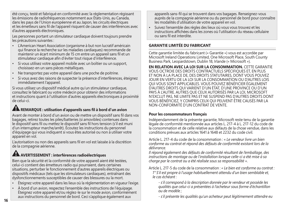été conçu, testé et fabriqué en conformité avec la réglementation régissant les émissions de radiofréquences notamment aux États-Unis, au Canada, dans les pays de l'Union européenne et au Japon, les circuits électriques et les émetteurs sans fil de l'appareil risquent de causer des interférences avec d'autres appareils électroniques.

Les personnes portant un stimulateur cardiaque doivent toujours prendre les précautions suivantes :

- L'American Heart Association (organisme à but non lucratif américain qui finance la recherche sur les maladies cardiaques) recommande de maintenir un écart minimum de 15 cm entre un appareil sans fil et un stimulateur cardiaque afin d'éviter tout risque d'interférence.
- Si vous utilisez votre appareil mobile avec un boîtier ou un support, choisissez-en un sans pièces métalliques.
- Ne transportez pas votre appareil dans une poche de poitrine.
- Si vous avez des raisons de suspecter la présence d'interférences, éteignez immédiatement l'appareil.

Si vous utilisez un dispositif médical autre qu'un stimulateur cardiaque, consultez le fabricant ou votre médecin pour obtenir des informations et instructions quant à l'utilisation d'autres appareils électroniques à proximité de celui-ci.

### **REMARQUE : utilisation d'appareils sans fil à bord d'un avion**

Avant de monter à bord d'un avion ou de mettre un dispositif sans fil dans vos bagages, retirez toutes les piles/batteries (si amovibles) contenues dans le dispositif sans fil ou mettez le dispositif sans fil hors tension (s'il est muni d'un interrupteur marche/arrêt). Écoutez les instructions du personnel d'équipage qui vous indiquent si vous êtes autorisé ou non à utiliser votre appareil en vol.

L'autorisation ou non des appareils sans fil en vol est laissée à la discrétion de la compagnie aérienne.

# **AVERTISSEMENT : interférences radioélectriques**

Bien que la sécurité et la conformité de votre appareil aient été testées, celui-ci contient des émetteurs radio qui pourraient, dans certaines situations, perturber le fonctionnement d'autres appareils électriques ou dispositifs médicaux (tels que les stimulateurs cardiaques), entraînant des dysfonctionnements susceptibles de causer des blessures ou la mort.

- Éteignez votre appareil dans les lieux où la réglementation en vigueur l'exige.
- À bord d'un avion, respectez l'ensemble des instructions de l'équipage. Éteignez votre appareil et/ou réglez-le sur le mode avion, conformément aux instructions du personnel de bord. Ceci s'applique également aux

appareils sans-fil qui se trouvent dans vos bagages. Renseignez-vous auprès de la compagnie aérienne ou du personnel de bord pour connaître les modalités d'utilisation de votre appareil en vol.

• Suivez l'ensemble des règles des lieux où vous vous trouvez et les instructions affichées dans les zones où l'utilisation du réseau cellulaire ou sans fil est interdite.

### **GARANTIE LIMITÉE DU FABRICANT**

Cette garantie limitée du fabricant (« Garantie ») vous est accordée par Microsoft Ireland Operations Limited, One Microsoft Place, South County Business Park, Leopardstown, Dublin 18, Irlande (« Microsoft »).

**EN RELATION AVEC LA LOI SUR LA CONSOMMATION.** CETTE GARANTIE VOUS OCTROIE DES DROITS CONTRACTUELS SPÉCIFIQUES ET, EN PLUS ET NON À LA PLACE DE, DES DROITS STATUTAIRES, DONT VOUS POUVEZ JOUIR EN VERTU DE LA LOI SUR LA CONSOMMATION OU D'AUTRES LOIS QUI VOUS SONT APPLICABLES. VOUS POUVEZ BÉNÉFICIER ÉGALEMENT D'AUTRES DROITS QUI VARIENT D'UN ÉTAT, D'UNE PROVINCE OU D'UN PAYS À L'AUTRE. AUTRES QUE CEUX AUTORISÉS PAR LA LOI, MICROSOFT N'EXCLUT PAS, NE LIMITE PAS ET NE SUSPEND PAS D'AUTRES DROITS DONT VOUS BÉNÉFICIEZ, Y COMPRIS CEUX QUI PEUVENT ÊTRE CAUSÉS PAR LA NON-CONFORMITÉ D'UN CONTRAT DE VENTE.

#### **Pour les consommateurs français**

Indépendamment de la présente garantie, Microsoft reste tenu de la garantie légale de conformité mentionnée aux articles L. 217-4 à L. 217-12 du code de la consommation et de celle relative aux défauts de la chose vendue, dans les conditions prévues aux articles 1641 à 1648 et 2232 du code civil.

Article L. 217-4 du code de la consommation : « *Le vendeur livre un bien conforme au contrat et répond des défauts de conformité existant lors de la délivrance.*

*Il répond également des défauts de conformité résultant de l'emballage, des instructions de montage ou de l'installation lorsque celle-ci a été mise à sa charge par le contrat ou a été réalisée sous sa responsabilité ».*

Article L. 217-5 du code de la consommation : *« Le bien est conforme au contrat : 1° S'il est propre à l'usage habituellement attendu d'un bien semblable et,* 

*le cas échéant :*

*- s'il correspond à la description donnée par le vendeur et possède les qualités que celui-ci a présentées à l'acheteur sous forme d'échantillon ou de modèle ;*

*- s'il présente les qualités qu'un acheteur peut légitimement attendre eu*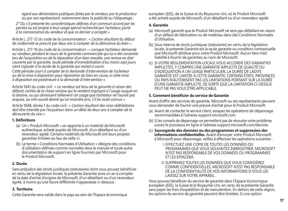*égard aux déclarations publiques faites par le vendeur, par le producteur ou par son représentant, notamment dans la publicité ou l'étiquetage ;*

*2° Ou s'il présente les caractéristiques définies d'un commun accord par les parties ou est propre à tout usage spécial recherché par l'acheteur, porté à la connaissance du vendeur et que ce dernier a accepté ».*

Article L. 217-12 du code de la consommation : *« L'action résultant du défaut de conformité se prescrit par deux ans à compter de la délivrance du bien ».*

Article L. 217-16 du code de la consommation : *« Lorsque l'acheteur demande au vendeur, pendant le cours de la garantie commerciale qui lui a été consentie lors de l'acquisition ou de la réparation d'un bien meuble, une remise en état couverte par la garantie, toute période d'immobilisation d'au moins sept jours vient s'ajouter à la durée de la garantie qui restait à courir. Cette période court à compter de la demande d'intervention de l'acheteur* 

*ou de la mise à disposition pour réparation du bien en cause, si cette mise à disposition est postérieure à la demande d'intervention ».*

Article 1641 du code civil : *« Le vendeur est tenu de la garantie à raison des défauts cachés de la chose vendue qui la rendent impropre à l'usage auquel on la destine, ou qui diminuent tellement cet usage que l'acheteur ne l'aurait pas acquise, ou n'en aurait donné qu'un moindre prix, s'il les avait connus ».*

Article 1648, alinéa 1 du code civil : *« L'action résultant des vices rédhibitoires doit être intentée par l'acquéreur dans un délai de deux ans à compter de la découverte du vice ».*

#### **1. Définitions**

- (a) Un « Produit Microsoft » se rapporte à un matériel de Microsoft authentique, acheté auprès de Microsoft, d'un détaillant ou d'un revendeur agréé. Certains matériels de Microsoft ont leurs propres garanties limitées au lieu de celle-ci.
- (b) Le terme « Conditions Normales d'Utilisation » désigne des conditions d'utilisation définies comme normales dans le manuel et toute autre documentation de support en ligne fourni(e) par Microsoft pour le Produit Microsoft.

#### **2. Durée**

Sans préjudice des droits juridiques (statutaires) dont vous pouvez bénéficier en vertu de la législation locale, la présente Garantie dure un an à compter de la date d'achat d'origine de Microsoft, d'un détaillant ou d'un revendeur agréé, à moins qu'une heure différente n'apparaisse ci-dessous :

### **3. Territoire**

Cette Garantie sera valide dans le pays au sein de l'Espace économique

européen (EEE), de la Suisse et du Royaume-Uni, où le Produit Microsoft a été acheté auprès de Microsoft, d'un détaillant ou d'un revendeur agréé.

### **4. Garantie**

- (a) Microsoft garantit que le Produit Microsoft ne sera pas défaillant en raison d'un défaut de fabrication ou de matériau dans des Conditions Normales d'Utilisation.
- (b) Sous réserve de droits juridiques (statutaires) en vertu de la législation locale, la présente Garantie est la seule garantie ou condition contractuelle que Microsoft attribue pour votre Produit Microsoft. Aucun tiers n'est habilité à fournir de garanties au nom de Microsoft.
- (c) SI VOTRE RÉGLEMENTATION LOCALE VOUS ACCORDE DES GARANTIES IMPLICITES, Y COMPRIS UNE GARANTIE IMPLICITE DE QUALITÉ OU D'ADÉQUATION À UN USAGE PARTICULIER, LA DURÉE DE LADITE GARANTIE EST LIMITÉE À CETTE GARANTIE. CERTAINS ÉTATS, PROVINCES OU PAYS N'AUTORISENT PAS LES LIMITATIONS PORTANT SUR LA DURÉE D'UNE GARANTIE IMPLICITE, DE SORTE QUE LA LIMITATION CI-DESSUS PEUT NE PAS VOUS ÊTRE APPLICABLE.

### **5. Comment bénéficier du service de Garantie**

Avant d'offrir des services de garantie, Microsoft ou ses représentants peuvent vous demander de fournir une preuve d'achat pour le Produit Microsoft.

- (a) Avant de contacter le service client, essayez les opérations de dépannage recommandées à l'adresse support.microsoft.com.
- (b) Si les conseils de dépannage ne permettent pas de résoudre votre problème, suivez le processus en ligne à l'adresse support.microsoft.com/devices.
- (c) **Sauvegarde des données ou des programmes et suppression des informations confidentielles.** Avant d'envoyer votre Produit Microsoft à Microsoft pour dépannage, veillez à effectuer les opérations suivantes :
	- I. EFFECTUEZ UNE COPIE DE TOUTES LES DONNÉES OU PROGRAMMES QUE VOUS SOUHAITEZ ENREGISTRER. MICROSOFT N'EST PAS RESPONSABLE DE VOS DONNÉES OU PROGRAMMES ET LES EFFACERA.
	- II. SUPPRIMEZ TOUTES LES DONNÉES QUE VOUS CONSIDÉREZ COMME CONFIDENTIELLES. MICROSOFT N'EST PAS RESPONSABLE DE LA CONFIDENTIALITÉ DE VOS INFORMATIONS SI VOUS LES LAISSEZ SUR VOTRE APPAREIL.

Vous pouvez bénéficier du service de garantie dans l'Espace économique européen (EEE), la Suisse et le Royaume-Uni, en vertu de la présente Garantie sans payer les frais d'expédition et de manutention. En dehors de cette région, les options du service de garantie peuvent être limitées. Si une option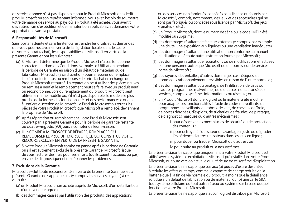de service donnée n'est pas disponible pour le Produit Microsoft dans ledit pays, Microsoft ou son représentant informe si vous avez besoin de soumettre votre demande de service au pays où le Produit a été acheté, vous avertit des autres frais d'expédition et de manutention applicables, et demande votre approbation avant la prestation.

### **6. Responsabilités de Microsoft**

Sans porter atteinte et sans limiter ou restreindre les droits et les demandes que vous pourriez avoir en vertu de la législation locale, dans le cadre de votre contrat (achat), les responsabilités de Microsoft en vertu de la présente Garantie sont les suivantes :

- (a) Si Microsoft détermine que le Produit Microsoft n'a pas fonctionné correctement dans des Conditions Normales d'Utilisation pendant la période de Garantie en raison d'un défaut de matériau ou de fabrication, Microsoft, (à sa discrétion) pourra réparer ou remplacer la pièce défectueuse, ou rembourser le prix d'achat en échange du Produit Microsoft retourné. La réparation peut utiliser des pièces neuves ou remises à neuf et le remplacement peut se faire avec un produit neuf ou reconditionné. Lors du remplacement du produit, Microsoft peut utiliser le même modèle ou, s'il n'est pas disponible, le modèle le plus proche de la forme, des fonctionnalités et des performances d'origine, à l'entière discrétion de Microsoft. Le Produit Microsoft ou toutes les pièces de votre Produit Microsoft, que Microsoft a remplacé, deviennent la propriété de Microsoft.
- (b) Après réparation ou remplacement, votre Produit Microsoft sera couvert par la présente Garantie pour la période de garantie restante ou quatre-vingt-dix (90) jours à compter de leur livraison.
- (c) IL INCOMBE À MICROSOFT DE RÉPARER, REMPLACER OU REMBOURSER LE PRODUIT MICROSOFT, CE QUI CONSTITUE VOTRE RECOURS EXCLUSIF EN VERTU DE LA PRÉSENTE GARANTIE.
- (d) Si votre Produit Microsoft tombe en panne après la période de Garantie ou s'il est autrement exclu de la présente Garantie, Microsoft risque de vous facturer des frais pour ses efforts (qu'ils soient fructueux ou pas) en vue de diagnostiquer et de dépanner les problèmes.

### **7. Exclusions de la Garantie**

Microsoft exclut toute responsabilité en vertu de la présente Garantie, et la présente Garantie ne s'applique pas (y compris les services payants) à ce qui suit :

- (a) un Produit Microsoft non acheté auprès de Microsoft, d'un détaillant ou d'un revendeur agréé ;
- (b) des dommages causés par l'utilisation des produits, des applications

ou des services non fabriqués, concédés sous licence ou fournis par Microsoft (y compris, notamment, des jeux et des accessoires qui ne sont pas fabriqués ou concédés sous licence par Microsoft, des jeux « piratés », etc.) ;

- (c) un Produit Microsoft, dont le numéro de série ou le code IMEI a été modifié ou supprimé ;
- (d) des dommages résultant de facteurs externes (y compris, par exemple, une chute, une exposition aux liquides ou une ventilation inadéquate) ;
- (e) des dommages résultant d'une utilisation non conforme au manuel d'utilisation ou à toute autre instruction fournie par Microsoft ;
- (f) des dommages résultant de réparations ou de modifications effectuées par une personne autre que Microsoft ou un fournisseur de services agréé de Microsoft ;
- (g) des rayures, des entailles, d'autres dommages cosmétiques, ou dommages raisonnablement prévisibles en raison de l'usure normale ;
- (h) des dommages résultant du piratage, de l'infiltration, de virus ou d'autres programmes malveillants, ou d'un accès non autorisé aux services, comptes, systèmes informatiques ou réseaux ; ou
- un Produit Microsoft dont le logiciel ou le matériel a été modifié pour adapter ses fonctionnalités à l'aide de codes malveillants, de programmes malveillants, de robots, de vers, de chevaux de Troie, de portes dérobées, d'exploits, de tricheries, de fraudes, de piratages, de diagnostics masqués ou d'autres mécanismes :
	- i. pour désactiver les mécanismes de sécurité ou de protection des contenus ;
	- ii. pour octroyer à l'utilisateur un avantage injuste ou dégrader l'expérience d'autres utilisateurs dans les jeux en ligne ;
	- iii. pour duper ou frauder Microsoft ou d'autres ; ou
	- iv. pour nuire au produit ou à nos systèmes.

La présente Garantie s'applique uniquement si votre Produit Microsoft est utilisé avec le système d'exploitation Microsoft préinstallé dans votre Produit Microsoft, ou toute version actuelle ou ultérieure de ce système d'exploitation.

La présente Garantie ne s'applique pas aux (a) pièces d'usure destinées à réduire les effets du temps, comme la capacité de charge réduite de la batterie due à la fin de vie normale du produit, à moins que la défaillance soit due à un défaut de fabrication ou de matériau, ou (b) une carte SIM, tout système cellulaire ou tout autre réseau ou système sur la base duquel fonctionne votre Produit Microsoft.

La présente Garantie ne s'applique à aucun logiciel distribué par Microsoft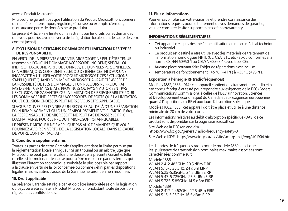avec le Produit Microsoft.

Microsoft ne garantit pas que l'utilisation du Produit Microsoft fonctionnera de manière ininterrompue, régulière, sécurisée ou exempte d'erreurs, ni qu'aucune perte de données ne se produira.

Le présent Article 7 ne limite ou ne restreint pas les droits ou les demandes que vous pourriez avoir en vertu de la législation locale, dans le cadre de votre contrat (achat).

#### **8. EXCLUSION DE CERTAINS DOMMAGES ET LIMITATION DES TYPES DE RESPONSABILITÉ**

EN VERTU DE LA PRÉSENTE GARANTIE, MICROSOFT NE PEUT ÊTRE TENUE responsable D'AUCUN DOMMAGE ACCESSOIRE, INCIDENT, SPÉCIAL OU INDIRECT, D'AUCUNE PERTE DE DONNÉES, DE DONNÉES PERSONNELLES, D'INFORMATIONS CONFIDENTIELLES OU DE BÉNÉFICES, NI D'AUCUNE INCAPACITÉ À UTILISER VOTRE PRODUIT MICROSOFT. CES EXCLUSIONS S'APPLIQUENT QUAND BIEN MÊME MICROSOFT AURAIT ÉTÉ AVISÉE DE LA POSSIBILITÉ DE TELS DOMMAGES ET UN RECOURS NE PRODUIRAIT PAS D'EFFET. CERTAINS ÉTATS, PROVINCES OU PAYS N'AUTORISENT PAS L'EXCLUSION DE GARANTIES OU LA LIMITATION DE RESPONSABILITÉ POUR LES DOMMAGES INDIRECTS OU ACCESSOIRES, DE SORTE QUE LA LIMITATION OU L'EXCLUSION CI-DESSUS PEUT NE PAS VOUS ÊTRE APPLICABLE.

SI VOUS POUVEZ PRÉTENDRE À UN RECOURS AU-DELÀ D'UNE RÉPARATION, D'UN REMPLACEMENT OU D'UN REMBOURSEMENT, VOIR L'ARTICLE 6(c), LA RESPONSABILITÉ DE MICROSOFT NE PEUT PAS DÉPASSER LE PRIX D'ACHAT VERSÉ POUR LE PRODUIT MICROSOFT (SI APPLICABLE).

LE PRÉSENT ARTICLE 8 NE S'APPLIQUE PAS AUX DEMANDES QUE VOUS POURRIEZ AVOIR EN VERTU DE LA LÉGISLATION LOCALE, DANS LE CADRE DE VOTRE CONTRAT (ACHAT).

#### **9. Conditions supplémentaires**

Toutes les parties de cette Garantie s'appliquent dans la limite permise par la réglementation locale en vigueur. Si un tribunal ou un arbitre juge que Microsoft ne peut pas faire valoir une clause de la présente Garantie, telle qu'elle est formulée, cette clause pourra être remplacée par des termes qui illustrent l'intention économique souhaitée le plus possible par rapport à la clause en vertu de la loi concernée ou comme défini par les dispositions légales, mais les autres clauses de la Garantie ne seront en rien modifiées.

#### **10. Droit applicable**

La présente Garantie est régie par, et doit être interprétée selon, la législation du pays où a été acheté le Produit Microsoft, nonobstant toute disposition régissant les conflits de lois.

#### **11. Plus d'informations**

Pour en savoir plus sur votre Garantie et prendre connaissance des informations requises pour le traitement de vos demandes de garantie, veuillez consulter le site : support.microsoft.com/warranty.

### **INFORMATIONS RÉGLEMENTAIRES**

- Cet appareil n'est pas destiné à une utilisation en milieu médical technique ou industriel.
- Ce produit est destiné à être utilisé avec des matériels de traitement de l'information homologués NRTL (UL, CSA, ETL, etc.) et/ou conformes à la norme CEI/EN 60950-1 ou CEI/EN 62368-1 (avec label CE).
- Aucune pièce pouvant faire l'objet de réparations n'est incluse.
- Température de fonctionnement :  $+5$  °C ( $+41$  °F) à  $+35$  °C ( $+95$  °F).

### **Exposition à l'énergie RF (radiofréquences)**

Modèles 1882, 1883, 1914 : cet appareil contient des transmetteurs radio et a été conçu, fabriqué et testé pour répondre aux exigences de la FCC (Federal Communications Commission), à celles de l'ISED (Innovation, Sciences et Développement économique) du Canada et aux exigences européennes quant à l'exposition aux RF et aux taux d'absorption spécifiques.

Modèles 1882, 1883 : cet appareil doit être placé et utilisé à une distance minimale de 20 cm de votre corps.

Les informations relatives au débit d'absorption spécifique (DAS) de ce produit sont disponibles sur la page sar.microsoft.com.

Site Web de la FCC (en anglais) :

https://www.fcc.gov/general/radio-frequency-safety-0

Site Web d'ISDE : https://www.ic.gc.ca/eic/site/smt-gst.nsf/eng/sf01904.html

Les bandes de fréquences radio pour le modèle 1882, ainsi que les puissance de transmission nominales maximales associées sont caractérisées comme suit :

Modèle 1888 WLAN 2.4-2.483GHz, 20.5 dBm EIRP WLAN 5.15-5.25GHz, 24 dBm EIRP WLAN 5.25-5.35GHz, 24.5 dBm EIRP WLAN 5.47-5.725GHz, 25.5 dBm EIRP WLAN 5.725-5.85GHz, 14.5 dBm EIRP

Modèle 1889 WLAN 2.412-2.462GHz, 12.5 dBm EIRP WLAN 5.15-5.25GHz, 16.5 dBm EIRP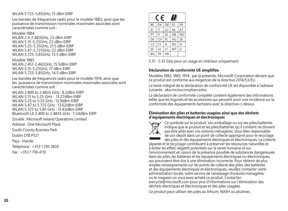#### WLAN 5.725-5.85GHz, 15 dBm EIRP

Les bandes de fréquences radio pour le modèle 1883, ainsi que les puissance de transmission nominales maximales associées sont caractérisées comme suit :

Modèle 1884 WLAN 2.4-2.483GHz, 23 dBm EIRP WLAN 5.15-5.25GHz, 22 dBm EIRP WLAN 5.25-5.35GHz, 21.5 dBm EIRP WLAN 5.47-5.725GHz, 22 dBm EIRP WLAN 5.725-5.85GHz, 13.5 dBm EIRP

Modèle 1885 WLAN 2.412-2.462GHz, 15.5dBm EIRP WLAN 5.15-5.25GHz, 17 dBm FIRP WLAN 5.725-5.85GHz, 14.5 dBm EIRP

Les bandes de fréquences radio pour le modèle 1914, ainsi que les puissance de transmission nominales maximales associées sont caractérisées comme suit :

WI AN 2.400 to 2.4835 GHz : 8.2dBm EIRP WLAN 5.15 to 5.25 GHz : 13.27dBm EIRP WLAN 5.25 to 5.35 GHz : 13.9dBm EIRP WLAN 5.47 to 5.725 GHz : 13.62dBm EIRP WLAN 5.725 to 5.85 GHz : 13.43dBm EIRP Bluetooth LE 2.400 to 2.4835 GHz : 7.24dBm EIRP

Société : Microsoft Ireland Operations Limited

Adresse : One Microsoft Place

South County Business Park

Dublin D18 P521

Pays : Irlande

Téléphone : +353 1 295 3826

Fax : +353 1 706 4110

| F<br>$\ddot{\phantom{0}}$ |    |           |           |                |  |
|---------------------------|----|-----------|-----------|----------------|--|
| BE                        | DK | GR        | FS.       | <b>FR</b>      |  |
| IE                        | IT | ш         | ΝI        | AT             |  |
| PT                        | FI | <b>SE</b> | GB        | N <sub>O</sub> |  |
| DE                        | CH | PL        | HU        | <b>SK</b>      |  |
| CZ                        | CY | IS        | <b>RO</b> | SI             |  |
| EE                        | LV | LT        | MT        | Ц              |  |
| BG                        | TR | HR        |           |                |  |

5.15 - 5.35 GHz pour un usage en intérieur uniquement.

#### **Déclaration de conformité UE simplifiée**

Modèles 1882, 1883, 1914 : par la présente, Microsoft Corporation déclare que ce produit est conforme aux exigences de la directive 2014/53/EU.

Le texte intégral de la déclaration de conformité UE est disponible à l'adresse suivante : aka.ms/eucompliancedoc.

La déclaration de conformité complète contient également des informations telles que les logiciels et les accessoires qui peuvent avoir une incidence sur la conformité des équipements hertziens avec la directive ci-dessus.

#### **Élimination des piles et batteries usagées ainsi que des déchets d'équipements électriques et électroniques**



Ce symbole sur le produit, son emballage ou sur ses piles/batteries indique que le produit et les piles/batteries qu'il contient ne doivent pas être jetés avec vos ordures ménagères. Vous êtes responsable de son dépôt dans un point de collecte approprié pour le recyclage des piles et des équipements électriques et électroniques. La collecte

séparée et le recyclage contribuent à préserver les ressources naturelles et à éviter les effets négatifs potentiels sur la santé humaine et sur l'environnement en raison de la présence possible de substances dangereuses dans les piles, les batteries et les équipements électriques ou électroniques, qui pourraient être dus à une élimination incorrecte. Pour obtenir de plus amples renseignements sur les points de collecte des piles, des batteries et des équipements électriques et électroniques, veuillez contacter votre administration locale, votre service de ramassage d'ordures ménagères ou le magasin où vous avez acheté ce produit. Contactez erecycle@microsoft.com pour plus d'informations sur l'élimination des déchets électriques et électroniques et des piles usagées.

Ce produit peut utiliser des piles au lithium, NiMH ou alcalines.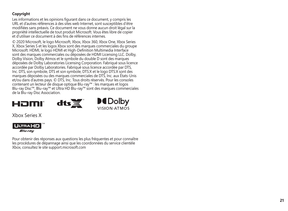### **Copyright**

Les informations et les opinions figurant dans ce document, y compris les URL et d'autres références à des sites web Internet, sont susceptibles d'être modifiées sans préavis. Ce document ne vous donne aucun droit légal sur la propriété intellectuelle de tout produit Microsoft. Vous êtes libre de copier et d'utiliser ce document à des fins de références internes.

© 2020 Microsoft, le logo Microsoft, Xbox, Xbox 360, Xbox One, Xbox Series X, Xbox Series S et les logos Xbox sont des marques commerciales du groupe Microsoft. HDMI, le logo HDMI et High-Definition Multimedia Interface sont des marques commerciales ou déposées de HDMI Licensing LLC. Dolby, Dolby Vision, Dolby Atmos et le symbole du double D sont des marques déposées de Dolby Laboratories Licensing Corporation. Fabriqué sous licence accordée par Dolby Laboratories. Fabriqué sous licence accordée par DTS, Inc. DTS, son symbole, DTS et son symbole, DTS:X et le logo DTS:X sont des marques déposées ou des marques commerciales de DTS, Inc. aux États-Unis et/ou dans d'autres pays. © DTS, Inc. Tous droits réservés. Pour les consoles contenant un lecteur de disque optique Blu-ray™ : les marques et logos Blu-ray Disc™, Blu-ray™ et Ultra HD Blu-ray™ sont des marques commerciales de la Blu-ray Disc Association.





Xbox Series X



Pour obtenir des réponses aux questions les plus fréquentes et pour connaître les procédures de dépannage ainsi que les coordonnées du service clientèle Xbox, consultez le site support.microsoft.com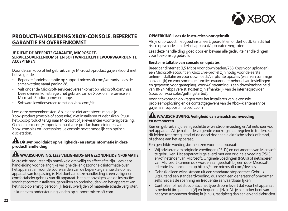

### **PRODUCTHANDLEIDING XBOX-CONSOLE, BEPERKTE GARANTIE EN OVEREENKOMST**

#### **JE DIENT DE BEPERKTE GARANTIE, MICROSOFT-SERVICESOVEREENKOMST EN SOFTWARELICENTIEVOORWAARDEN TE ACCEPTEREN**

Door de aankoop of het gebruik van je Microsoft-product ga je akkoord met het volgende:

- Beperkte fabrieksgarantie op support.microsoft.com/warranty. Lees de samenvatting vanaf pagina 28.
- Valt onder de Microsoft-servicesovereenkomst op microsoft.com/msa. Deze overeenkomst regelt het gebruik van de Xbox online service en Microsoft Studio-games en -apps.
- Softwarelicentieovereenkomst op xbox.com/slt.

Lees deze overeenkomsten. Als je deze niet accepteert, mag je je Xbox-product (console of accessoire) niet installeren of gebruiken. Stuur het Xbox-product terug naar Microsoft of je leverancier voor terugbetaling. Ga naar xbox.com/support/manual voor producthandleidingen van Xbox-consoles en -accessoires. Je console bevat mogelijk een optisch disc-station.

#### **Dit symbool duidt op veiligheids- en statusinformatie in deze producthandleiding**

### **WAARSCHUWING: LEES VEILIGHEIDS- EN GEZONDHEIDSINFORMATIE**

Microsoft-producten zijn ontwikkeld om veilig en effectief te zijn. Lees deze handleiding voor belangrijke veiligheids- en gezondheidsinformatie over het apparaat en voor de voorwaarden van de beperkte garantie die op het apparaat van toepassing is. Het doel van deze handleiding is een veiliger en comfortabeler gebruik van dit apparaat. Het niet opvolgen van de instructies voor het correct installeren, gebruiken en onderhouden van het apparaat kan het risico op ernstig persoonlijk letsel, overlijden of materiële schade vergroten.

Je kunt extra ondersteuning vinden op support.microsoft.com.

#### **OPMERKING: Lees de instructies voor gebruik**

Als je dit product niet goed installeert, gebruikt en onderhoudt, kan dit het risico op schade aan de/het apparaat/apparaten vergroten.

Lees deze handleiding goed door en bewaar alle gedrukte handleidingen voor toekomstig gebruik.

#### **Eerste installatie van console en updates**

Breedbandinternet (1,5 Mbps voor downloaden/768 Kbps voor uploaden), een Microsoft-account en Xbox Live-profiel zijn nodig voor de eerste online-installatie en voor downloads/verplichte updates (waarvan sommige aanzienlijk) en voor sommige functies (waaronder behoud van instellingen en gegevens voor gameplay). Voor 4K-streaming is een downloadsnelheid van 18-24 Mbps vereist. Kosten zijn afhankelijk van de internetprovider (xbox.com/consoles/gettingstarted).

Voor antwoorden op vragen over het installeren van je console, probleemoplossing en de contactgegevens van de Xbox-klantenservice ga je naar support.microsoft.com

#### **WAARSCHUWING: Veiligheid van wisselstroomvoeding en netsnoeren**

Kies en gebruik altijd een geschikte wisselstroomvoeding en/of netsnoer voor het apparaat. Als je nalaat de volgende voorzorgsmaatregelen te treffen, kan dit leiden tot ernstig letsel of de dood door een elektrische schok of brand, of schade aan het apparaat.

Een geschikte voedingsbron kiezen voor het apparaat:

- Wij adviseren om originele voedingen (PSU's) en netsnoeren van Microsoft te gebruiken. Het apparaat is geleverd met een originele voeding (PSU) en/of netsnoer van Microsoft. Originele voedingen (PSU's) of netsnoeren van Microsoft kunnen ook worden aangeschaft bij een door Microsoft erkende leverancier en op https://store.microsoft.com/devices.
- Gebruik alleen wisselstroom uit een standaard stopcontact. Gebruik uitsluitend een standaardvoeding, dus nooit een generator of omvormer, zelfs niet als de spanning en frequentie aanvaardbaar lijken.
- Controleer of het stopcontact het type stroom levert dat voor het apparaat is bedoeld (in spanning [V] en frequentie [Hz]). Als je niet zeker bent van het type stroomvoorziening in je huis, raadpleeg dan een erkend elektricien.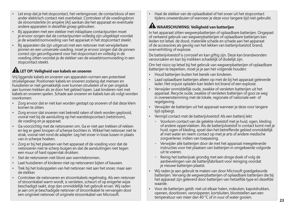- Let erop dat je het stopcontact, het verlengsnoer, de contactdoos of een ander elektrisch contact niet overbelast. Controleer of de voedingsbron de stroomsterkte (in ampère [A]) aankan die het apparaat en eventuele andere apparaten in dezelfde groep gebruiken.
- Bij apparaten met een stekker met inklapbare contactpunten moet je ervoor zorgen dat de contactpunten volledig zijn uitgeklapt voordat je de wisselstroomvoeding van het apparaat in het stopcontact steekt.
- Bij apparaten die zijn uitgerust met een netsnoer met verwijderbare pinnen en een universele voeding, moet je ervoor zorgen dat de pinnen correct zijn geconfigureerd voor het stopcontact en volledig in de voeding zitten voordat je de stekker van de wisselstroomvoeding in een stopcontact steekt.

## **LET OP: Veiligheid van kabels en snoeren**

Vrij liggende kabels en snoeren van apparaten vormen een potentieel struikelgevaar. Positioneer kabels en snoeren zodanig dat mensen en huisdieren er niet gemakkelijk over kunnen struikelen of er per ongeluk aan kunnen trekken als ze door het gebied lopen. Laat kinderen niet met kabels en snoeren spelen. Schade aan snoeren en kabels kan als volgt worden voorkomen:

- Zorg ervoor dat er niet kan worden gestapt op snoeren of dat deze klem komen te zitten.
- Zorg ervoor dat snoeren niet bekneld raken of sterk worden geplooid, vooral niet bij de aansluiting op het wandstopcontact (netstroom), de voeding en je apparaat.
- Ga voorzichtig met de netsnoeren om. Ga er niet aan trekken of rekken en leg er geen knopen of scherpe bochten in. Wikkel het netsnoer niet te strak, vooral niet rond de adapter. Leg het snoer in losse lussen in plaats van in scherpe hoeken.
- Zorg er bij het plaatsen van het apparaat of de voeding voor dat de netsnoeren niet te scherp buigen en dat de aansluitingen niet tegen een muur of hard oppervlak drukken.
- Stel de netsnoeren niet bloot aan warmtebronnen.
- Laat huisdieren of kinderen niet op netsnoeren bijten of kauwen.
- Trek bij het loskoppelen van het netsnoer niet aan het snoer, maar aan de stekker.
- Controleer de netsnoeren en stroomkabels regelmatig. Als een netsnoer of stroomkabel warm wordt, is versleten, scheurt of op enigerlei wijze beschadigd raakt, stop dan onmiddellijk het gebruik ervan. Wij raden je aan om je beschadigde netsnoer of stroomkabel te vervangen door een origineel netsnoer of originele stroomkabel van Microsoft.

• Haal de stekker van de oplaadkabel of het snoer uit het stopcontact tijdens onweersbuien of wanneer je deze voor langere tijd niet gebruikt.

# **WAARSCHUWING: Veiligheid van batterijen**

In het apparaat zitten wegwerpbatterijen of oplaadbare batterijen. Ongepast of verkeerd gebruik van wegwerpbatterijen of oplaadbare batterijen kan leiden tot letsel, de dood, materiële schade en schade aan het apparaat of de accessoires als gevolg van het lekken van batterijvloeistof, brand, oververhitting of explosie.

De batterijvloeistof is corrosief en kan giftig zijn. Deze kan brandwonden veroorzaken en kan bij inslikken schadelijk of dodelijk zijn.

Om het risico op letsel bij het gebruik van wegwerpbatterijen of oplaadbare batterijen te beperken, moet je je aan het volgende houden:

- Houd batterijen buiten het bereik van kinderen.
- Laad oplaadbare batterijen alleen op met de bij het apparaat geleverde lader. Het onjuist opladen kan leiden tot brand of een explosie.
- Verwijder onmiddellijk oude, zwakke of versleten batterijen uit het apparaat. Recycle oude, zwakke of versleten batterijen of gooi ze weg in overeenstemming met de lokale, regionale of nationale wet- of regelgeving.
- Verwijder de batterijen uit het apparaat wanneer je deze voor langere tijd opbergt.
- Vermijd contact met de batterijvloeistof. Als een batterij lekt:
	- $^{\circ}$  Voorkom contact van de gelekte vloeistof met je huid, ogen, kleding of andere oppervlakken. Als de batterijvloeistof in contact komt met je huid, ogen of kleding, spoel dan het betreffende gebied onmiddellijk af met water en neem contact op met je arts of andere medische zorgverlener, indien van toepassing.
	- - Verwijder alle batterijen door de met het apparaat meegeleverde instructies voor het plaatsen van batterijen in omgekeerde volgorde uit te voeren.
	- - Reinig het batterijvak grondig met een droge doek of volg de aanbevelingen van de batterijfabrikant voor reiniging voordat ie nieuwe batterijen plaatst.
- Wij raden je aan gebruik te maken van door Microsoft goedgekeurde batterijen. Vervang de wegwerpbatterijen of oplaadbare batterijen die bij het apparaat zijn geleverd door batterijen van hetzelfde type en dezelfde waarde.
- Voor de batterijen geldt: niet uit elkaar halen, indeuken, kapotdrukken, openen, doorboren, versnipperen, kortsluiten, blootstellen aan een temperatuur van meer dan 40 °C of in vuur of water gooien.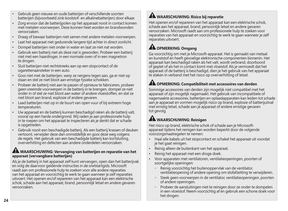- Gebruik geen nieuwe en oude batterijen of verschillende soorten batterijen (bijvoorbeeld zink-koolstof- en alkalinebatterijen) door elkaar.
- Zorg ervoor dat de batterijpolen op het apparaat nooit in contact komen met metalen voorwerpen. Deze kunnen heet worden en brandwonden veroorzaken.
- Draag of bewaar batterijen niet samen met andere metalen voorwerpen.
- Laat het apparaat niet gedurende langere tijd achter in direct zonlicht.
- Dompel batterijen niet onder in water en laat ze niet nat worden.
- Gebruik een batterij niet als deze nat is geworden. Probeer een batterij niet met een haardroger, in een normale oven of in een magnetron te drogen.
- Sluit batterijen niet rechtstreeks aan op een stopcontact of de sigarettenaansteker in een auto.
- Gooi niet met de batterijen, werp ze nergens tegen aan, ga er niet op staan en stel ze niet bloot aan ernstige fysieke schokken.
- Probeer de batterij niet aan te passen of opnieuw te fabriceren, probeer geen vreemde voorwerpen in de batterij in te brengen, dompel ze niet onder in of stel ze niet bloot aan water of andere vloeistoffen, en stel ze niet bloot aan brand, explosie of andere gevaren.
- Laad batterijen niet op in de buurt van open vuur of bij extreem hoge temperaturen.
- Uw apparaat en de batterij kunnen beschadigd raken als de batterij valt, vooral op een harde ondergrond. Wij raden je aan professionele hulp in te roepen om het apparaat te inspecteren als je denkt dat er schade is opgetreden.
- Gebruik nooit een beschadigde batterij. Als een batterij krassen of deuken vertoont, verwijder deze dan onmiddellijk en gooi deze weg volgens de regels. Het gebruik van een beschadigde batterij kan kortsluiting, oververhitting en defecten aan andere onderdelen veroorzaken.

### **WAARSCHUWING: Vervanging van batterijen en reparatie van het apparaat (vervangbare batterijen)**

Als je de batterij in het apparaat zelf kunt vervangen, open dan het batterijvak en volg de daarvoor geldende instructies in de snelstartgids. Microsoft raadt aan om professionele hulp te zoeken voor alle andere reparaties van het apparaat en voorzichtig te werk te gaan wanneer je zelf reparaties uitvoert. Het openen en/of repareren van het apparaat kan een elektrische schok, schade aan het apparaat, brand, persoonlijk letsel en andere gevaren veroorzaken.

# **WAARSCHUWING: Risico bij reparatie**

Het openen en/of repareren van het apparaat kan een elektrische schok, schade aan het apparaat, brand, persoonlijk letsel en andere gevaren veroorzaken. Microsoft raadt aan om professionele hulp te zoeken voor reparaties van het apparaat en voorzichtig te werk te gaan wanneer je zelf reparaties uitvoert.

# **AL OPMERKING: Omgang**

Ga voorzichtig om met je Microsoft-apparaat. Het is gemaakt van metaal en kunststof en heeft gevoelige elektronische componenten binnenin. Het apparaat kan beschadigd raken als het valt, wordt verbrand, doorboord of geplet of als het in contact komt met vloeistof. Als je vermoedt dat het apparaat of de batterij is beschadigd, dien je het gebruik van het apparaat te staken in verband met het risico op oververhitting of letsel.

# **AL OPMERKING: Compatibiliteit met accessoires van derden**

Sommige accessoires van derden zijn mogelijk niet compatibel met het apparaat of zijn mogelijk nagemaakt. Het gebruik van incompatibele of nagemaakte accessoires, batterijen en oplaadapparaten kan leiden tot schade aan je apparaat en vormen mogelijk risico op brand, explosie of batterijuitval met ernstig letsel, schade aan je apparaat of andere ernstige gevaren tot gevolg.

## *M* WAARSCHUWING: Reinigen

Het risico op brand, elektrische schok of schade aan je Microsoftapparaat tijdens het reinigen kan worden beperkt door de volgende voorzorgsmaatregelen te nemen:

- Haal alle kabels uit het stopcontact en schakel het apparaat uit voordat ie het gaat reinigen.
- Reinig alleen de buitenkant van het apparaat.
- Reinig het apparaat met een droge doek.
- Voor apparaten met ventilatoren, ventilatieopeningen, poorten of soortgelijke openingen:
	- - Reinig voorzichtig het buitenoppervlak van de ventilator, ventilatieopening of andere opening om stofafzetting te verwijderen.
	- - Steek geen voorwerpen in de ventilator, ventilatieopeningen, poorten of andere openingen.
	- $^\circ$  Probeer de aansluitingen niet te reinigen door ze onder te dompelen in een vloeistof. Neem voorzichtig af en gebruik een schone doek voor het drogen.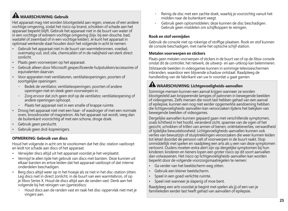# **WAARSCHUWING: Gebruik**

Het apparaat mag niet worden blootgesteld aan regen, sneeuw of een andere vochtige omgeving, zodat het risico op brand, schokken of schade aan het apparaat beperkt blijft. Gebruik het apparaat niet in de buurt van water of in een vochtige of extreem vochtige omgeving (bijv. bij een douche, bad, wastafel of zwembad of in een vochtige kelder). Je kunt het apparaat in optimaal werkende staat houden door het volgende in acht te nemen:

- Gebruik het apparaat niet in de buurt van warmtebronnen, voedsel, overmatig vuil, stof, olie, chemicaliën of in de nabijheid van sterk direct zonlicht.
- Plaats geen voorwerpen op het apparaat.
- Gebruik alleen door Microsoft gespecificeerde hulpstukken/accessoires of equivalenten daarvan.
- Voor apparaten met ventilatoren, ventilatieopeningen, poorten of soortgelijke openingen:
	- - Bedek de ventilator, ventilatieopeningen, poorten of andere openingen niet en steek geen voorwerpen in.
	- Zorg ervoor dat zich geen stof op de ventilator, ventilatieopening of andere openingen ophoopt.
	- Plaats het apparaat niet in een smalle of krappe ruimte.
- Droog het apparaat niet met een haar- of wasdroger of met een normale oven, broodrooster of magnetron. Als het apparaat nat wordt, veeg dan de buitenkant voorzichtig af met een schone, droge doek.
- Gebruik geen perslucht.
- Gebruik geen dvd-kopreinigers.

### **OPMERKING: Gebruik van discs**

Houd het volgende in acht om te voorkomen dat het disc-station vastloopt en leidt tot schade aan discs of het apparaat:

- Verwijder discs altijd uit het apparaat voordat je het verplaatst.
- Vermijd te allen tijde het gebruik van discs met barsten. Deze kunnen uit elkaar barsten en ertoe leiden dat het apparaat vastloopt of dat interne onderdelen beschadigen.
- Berg discs altijd weer op in het hoesje als ze niet in het disc-station zitten. Leg discs niet in direct zonlicht, in de buurt van een warmtebron, of op je Xbox Series X. Houd de discs altijd aan de randen vast. Denk aan het volgende bij het reinigen van (game)discs:
	- Houd discs aan de randen vast en raak het disc-oppervlak niet met je vingers aan.
- - Reinig de disc met een zachte doek, waarbij je voorzichtig vanuit het midden naar de buitenkant veegt.
- $\circ$  Gebruik geen oplosmiddelen; deze kunnen de disc beschadigen. Gebruik geen middelen om schijfkoppen te reinigen.

### **Rook en stof vermijden**

Gebruik de console niet op rokerige of stoffige plaatsen. Rook en stof kunnen de console beschadigen, met name het optische schijf-station.

#### **Metalen voorwerpen en stickers**

Plaats geen metalen voorwerpen of stickers in de buurt van of op de Xbox-console omdat dit de controller, het netwerk, de uitwerp- en aan-uitknop kan belemmeren.

Stilstaande beelden in videogames kunnen in sommige televisieschermen inbranden, waardoor een blijvende schaduw ontstaat. Raadpleeg de handleiding van de fabrikant van uw tv voordat u gaat gamen.

# **WAARSCHUWING: Lichtgevoeligheids-aanvallen**

Sommige mensen kunnen een aanval krijgen wanneer ze worden blootgesteld aan knipperende lampjes of patronen in bewegende beelden of videogames. Zelfs mensen die nooit last hebben gehad van een aanval of epilepsie, kunnen een nog niet eerder opgemerkte aandoening hebben die lichtgevoeligheids-aanvallen kan veroorzaken tijdens het bekijken van bewegende beelden of videogames.

Dergelijke aanvallen kunnen gepaard gaan met verschillende symptomen, zoals lichtheid in het hoofd, veranderd zicht, spasmes van de ogen of het gezicht, schokken of trillen van armen of benen, oriëntatieverlies, verwardheid of tijdelijke bewusteloosheid. Lichtgevoeligheids-aanvallen kunnen ook verlies van bewustzijn of stuiptrekkingen veroorzaken die weer kunnen leiden tot letsel doordat de persoon valt of voorwerpen in de buurt raakt. Stop onmiddellijk met spelen en raadpleeg een arts als u een van deze symptomen vertoont. Ouders moeten extra alert zijn op dergelijke symptomen bij hun kinderen; kinderen en tieners lopen een groter risico op dit soort aanvallen dan volwassenen. Het risico op lichtgevoeligheids-aanvallen kan worden beperkt door de volgende voorzorgsmaatregelen te nemen:

- Ga verder van het beeldscherm weg zitten.
- Gebruik een kleiner beeldscherm.
- Speel in een goed verlichte ruimte.
- Speel niet wanneer je slaperig of moe bent.

Raadpleeg een arts voordat je begint met spelen als jij of een van je familieleden eerder last heeft gehad van aanvallen of epilepsie.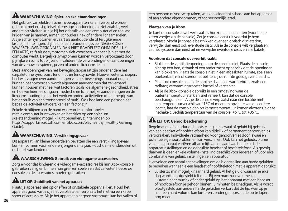# **WAARSCHUWING: Spier- en skeletaandoeningen**

Het gebruik van elektronische invoerapparaten kan in verband worden gebracht met ernstig letsel of ernstige aandoeningen. Net zoals bij veel andere activiteiten kun je bij het gebruik van een computer af en toe last krijgen van je handen, armen, schouders, nek of andere lichaamsdelen. Als je echter symptomen ervaart als aanhoudende of terugkerende last, pijn, tintelingen, stijfheid of een brandend gevoel NEGEER DEZE WAARSCHUWINGSSIGNALEN DAN NIET. RAADPLEEG ONMIDDELLIJK EEN ARTS, zelfs als de symptomen zich voordoen wanneer je niet met de computer werkt. Dergelijke symptomen kunnen worden veroorzaakt door pijnlijke en soms tot blijvend invaliderende verwondingen of aandoeningen van de zenuwen, spieren, pezen of andere lichaamsdelen.

Deze aandoeningen van het bewegingsapparaat zijn onder andere het carpaletunnelsyndroom, tendinitis en tenosynovitis. Hoewel wetenschappers heel wat vragen over aandoeningen van het bewegingsapparaat nog niet kunnen beantwoorden, wordt algemeen aangenomen dat ze verband kunnen houden met heel wat factoren, zoals: de algemene gezondheid, stress en hoe we hiermee omgaan, medische en lichamelijke aandoeningen en de lichaamshouding tijdens het werk en andere activiteiten (met inbegrip van het gebruik van een toetsenbord of muis). Ook hoe lang een persoon een bepaalde activiteit uitvoert, kan een factor zijn.

Enkele richtlijnen aan de hand waarvan je comfortabeler met je computer kunt werken en het risico op een spier- en skeletaandoening mogelijk kunt beperken, zijn te vinden op https://support.microsoft.com en xbox.com/playhealthy (Healthy Gaming Guide).

# **WAARSCHUWING: Verstikkingsgevaar**

Dit apparaat kan kleine onderdelen bevatten die een verstikkingsgevaar kunnen vormen voor kinderen jonger dan 3 jaar. Houd kleine onderdelen uit de buurt van kinderen.

# **WAARSCHUWING: Gebruik van videogame-accessoires**

Zorg ervoor dat kinderen die videogame-accessoires bij hun Xbox-console gebruiken veilig en binnen hun grenzen spelen en dat ze weten hoe ze de console en de accessoires moeten gebruiken.

## **LET OP: Stabiliteit van het apparaat**

Plaats je apparaat niet op oneffen of onstabiele oppervlakken. Houd het apparaat goed vast als je het verplaatst en verplaats het niet via een kabel, snoer of accessoire. Als je het apparaat niet goed vasthoudt, kan het vallen of een persoon of voorwerp raken, wat kan leiden tot schade aan het apparaat of aan andere eigendommen, of tot persoonlijk letsel.

### **Plaatsen van je Xbox**

Je kunt de console zowel verticaal als horizontaal neerzetten (voor beide zitten voetjes op de console). Zet je console eerst uit voordat je hem verplaatst. Mocht je console beschikken over een optisch disc-station, verwijder dan eerst ook eventuele discs. Als je de console wilt verplaatsen, zet het systeem dan eerst uit en verwijder eventuele discs en alle kabels.

### **Voorkom dat console oververhit raakt:**

- Blokkeer de ventilatieopeningen op de console niet. Plaats de console niet op een bed, zitbank of een ander zacht oppervlak dat de openingen kan blokkeren. Plaats de console niet in een afgesloten ruimte, zoals een boekenkast, rek of stereomeubel, tenzij de ruimte goed geventileerd is.
- Plaats de console niet in de nabijheid van een warmtebron, zoals een radiator, verwarmingsrooster, kachel of versterker.
- Als je de Xbox-console gebruikt in een omgeving waar de buitentemperatuur sterk en snel varieert, kan dat de console beschadigd raken. Als je de console verplaatst naar een locatie met een temperatuurverschil van 11 ºC of meer ten opzichte van de eerdere locatie, laat de console dan op kamertemperatuur komen alvorens je deze inschakelt. Bedrijfstemperatuur van de console: +5ºC tot +35ºC.

# **ALLET OP: Gehoorbescherming**

Regelmatige of langdurige blootstelling aan lawaai of geluid bij gebruik van een headset of hoofdtelefoon kan tijdelijk of permanent gehoorverlies veroorzaken. Individuele vatbaarheid voor gehoorverlies door lawaai en potentiële gehoorproblemen kan verschillen. Ook kan het geluidsvolume van een apparaat variëren afhankelijk van de aard van het geluid, de apparaatinstellingen en de gebruikte headset of hoofdtelefoon. Als gevolg daarvan is geen enkele volume-instelling geschikt voor iedereen of voor elke combinatie van geluid, instellingen en apparatuur.

Hier volgen een aantal aanbevelingen om de blootstelling aan harde geluiden te beperken wanneer je een headset of hoofdtelefoon met je apparaat gebruikt:

• Luister zo min mogelijk naar hard geluid. Al het geluid waaraan je elke dag wordt blootgesteld telt mee. Bij een maximaal volume kan het luisteren naar muziek of ander geluid op het apparaat met een headset of hoofdtelefoon je gehoor binnen 15 minuten beschadigen. Als je wordt blootgesteld aan andere harde geluiden verkort dat de tijd waarop je naar een hard volume kan luisteren zonder gehoorschade op te lopen nog meer.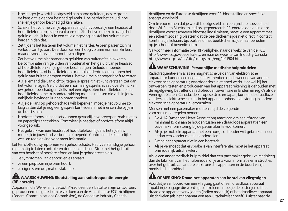- Hoe langer je wordt blootgesteld aan harde geluiden, des te groter de kans dat je gehoor beschadigd raakt. Hoe harder het geluid, hoe sneller je gehoor beschadigd kan raken.
- Schakel het volume van je apparaat altijd uit voordat je een headset of hoofdtelefoon op je apparaat aansluit. Stel het volume zo in dat je het geluid duidelijk hoort in een stille omgeving, en stel het volume niet harder in dan dat.
- Zet tijdens het luisteren het volume niet harder. Je oren passen zich na verloop van tijd aan. Daardoor kan een hoog volume normaal klinken, maar desondanks je gehoor beschadigen.
- Zet het volume niet harder om geluiden van buitenaf te blokkeren. De combinatie van geluiden van buitenaf en het geluid van je headset of hoofdtelefoon kan je gehoor beschadigen. Geluiddempende hoofdtelefoons of hoofdtelefoons met ruisonderdrukking kunnen het geluid van buiten dempen zodat u het volume niet hoger hoeft te zetten.
- Als je iemand die van dichtbij tegen je spreekt niet kunt verstaan, zet dan het volume lager. Geluid dat een normaal gespreksniveau overstemt, kan uw gehoor beschadigen. Zelfs met een afgesloten hoofdtelefoon of een hoofdtelefoon met ruisonderdrukking moet je mensen die zich in jouw nabijheid bevinden kunnen horen spreken.
- Als je de kans op gehoorschade wilt beperken, moet je het volume zo laag zetten dat je nog een gesprek kunt voeren met mensen die bij je in de buurt staan.
- Hoofdtelefoons en headsets kunnen gevaarlijke voorwerpen zoals nietjes en paperclips aantrekken. Controleer je headset of hoofdtelefoon altijd voor gebruik.
- Het gebruik van een headset of hoofdtelefoon tijdens het rijden is mogelijk in jouw land verboden of beperkt. Controleer de plaatselijke wet- en regelgeving voor meer informatie.

Let ten slotte op symptomen van gehoorschade. Het is verstandig je gehoor regelmatig te laten controleren door een audicien. Stop met het gebruik van een headset of hoofdtelefoon en laat je gehoor testen als:

- Je symptomen van gehoorverlies ervaart.
- Je een pieptoon in je oren hoort.
- Je eigen stem dof, mat of vlak klinkt.

#### **WAARSCHUWING: Blootstelling aan radiofrequentie-energie (RF-energie)**

Apparaten die Wi-Fi- en Bluetooth®-radiozenders bevatten, zijn ontworpen, geproduceerd en getest om te voldoen aan de Amerikaanse FCC-richtlijnen (Federal Communications Commission), de Canadese Industry Canadarichtlijnen en de Europese richtlijnen voor RF-blootstelling en specifieke absorptiesnelheid.

Om te voorkomen dat je wordt blootgesteld aan een grotere hoeveelheid door Wi-Fi- en Bluetooth-radio's gegenereerde RF-energie dan de in deze richtlijnen voorgeschreven blootstellingslimieten, moet je een apparaat met een scherm zodanig plaatsen dat de beeldschermzijde niet direct in contact komt met je lichaam, bijvoorbeeld met beeldschermzijde naar beneden op je schoot of bovenlichaam.

Ga voor meer informatie over RF-veiligheid naar de website van de FCC, http://www.fcc.gov/oet/rfsafety, en naar de website van Industry Canada http://www.ic.gc.ca/eic/site/smt-gst.nsf/eng/sf01904.html.

## **WAARSCHUWING: Persoonlijke medische hulpmiddelen**

Radiofrequentie-emissies en magnetische velden van elektronische apparatuur kunnen een negatief effect hebben op de werking van andere elektronische apparatuur, waardoor deze niet goed werkt. Hoewel bij het ontwerpen, testen en produceren van het apparaat rekening is gehouden met de regelgeving betreffende radiofrequentie-emissie in landen en regio's als de Verenigde Staten, Canada, de Europese Unie en Japan, kunnen de draadloze zenders en elektrische circuits in het apparaat onbedoelde storing in andere elektronische apparatuur veroorzaken.

Mensen met een pacemaker moeten altijd de volgende voorzorgsmaatregelen nemen:

- De AHA (American Heart Association) raadt aan om een afstand van minimaal 15 cm aan te houden tussen een draadloos apparaat en een pacemaker om storing bij de pacemaker te voorkomen.
- Als je je mobiele apparaat met een hoesje of houder wilt gebruiken, neem er dan een zonder metalen onderdelen.
- Draag het apparaat niet in een borstzak.
- Als je vermoedt dat er sprake is van interferentie, moet je het apparaat onmiddellijk uitschakelen.

Als je een ander medisch hulpmiddel dan een pacemaker gebruikt, raadpleeg dan de fabrikant van het hulpmiddel of je arts voor informatie en instructies over het gebruik van andere elektronische apparaten in de buurt van je medische hulpmiddel.

## **AL OPMERKING: Draadloze apparaten aan boord van vliegtuigen**

Voordat je aan boord van een vliegtuig gaat of een draadloos apparaat inpakt in je bagage die wordt gecontroleerd, moet je de batterijen uit het draadloze apparaat verwijderen (indien mogelijk) of het draadloze apparaat uitschakelen (als het apparaat een aan-uitschakelaar heeft). Luister naar de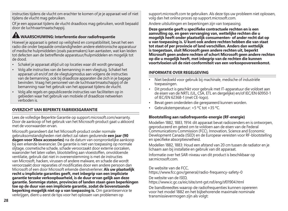instructies tijdens de vlucht om erachter te komen of je je apparaat wel of niet tijdens de vlucht mag gebruiken.

Of je een apparaat tijdens de vlucht draadloos mag gebruiken, wordt bepaald door de luchtvaartmaatschappij.

### **WAARSCHUWING: Interferentie door radiofrequentie**

Hoewel je apparaat is getest op veiligheid en compatibiliteit, bevat het een radio die onder bepaalde omstandigheden andere elektronische apparatuur of medische hulpmiddelen (zoals pacemakers) kan aantasten, wat kan leiden tot defecten aan de betreffende apparatuur/hulpmiddelen en mogelijk tot de dood.

- Schakel je apparaat altijd uit op locaties waar dit wordt gevraagd.
- Volg alle instructies van de bemanning in een vliegtuig. Schakel het apparaat uit en/of zet de vliegtuigmodus aan volgens de instructies van de bemanning, ook bij draadloze apparaten die zich in je bagage bevinden. Vraag het personeel van de luchtvaartmaatschappij of de bemanning naar het gebruik van het apparaat tijdens de vlucht.
- Volg alle regels en gepubliceerde instructies van faciliteiten op in gebieden waar het gebruik van mobiele of draadloze netwerken verboden is.

### **OVERZICHT VAN BEPERKTE FABRIEKSGARANTIE**

Lees de volledige Beperkte Garantie op support.microsoft.com/warranty. Door de aankoop of het gebruik van het Microsoft-product gaat u akkoord met de voorwaarden ervan.

Microsoft garandeert dat het Microsoft-product onder normale gebruiksomstandigheden niet defect zal raken gedurende **een jaar (90 dagen voor Xbox accessories)** na de datum van oorspronkelijke aankoop bij een erkende leverancier. De garantie is niet van toepassing op normale slijtage, cosmetische schade, schade veroorzaakt door externe oorzaken, waaronder het laten vallen, blootstelling aan vloeistoffen, onvoldoende ventilatie, gebruik dat niet in overeenstemming is met de instructies van Microsoft, hacken, virussen of andere malware, en schade die wordt veroorzaakt door reparaties of modificaties door een andere persoon dan Microsoft of een door Microsoft erkende dienstverlener. **Als uw plaatselijk recht u impliciete garanties geeft, met inbegrip van een impliciete garantie terzake verkoopbaarheid, is de duur ervan gelijk aan deze garantie. Sommige staten, provincies of landen staan geen beperkingen toe op de duur van een impliciete garantie, zodat de bovenstaande beperking mogelijk niet op u van toepassing is.** Om garantieservice te verkrijgen, dient u eerst de tips voor het oplossen van problemen op

support.microsoft.com te gebruiken. Als deze tips uw probleem niet oplossen, volg dan het online proces op support.microsoft.com.

Andere uitsluitingen en beperkingen zijn van toepassing.

**Deze garantie geeft u specifieke contractuele rechten en is een aanvulling op, en geen vervanging van, wettelijke rechten die u mogelijk heeft onder plaatselijk consumenten- of ander recht dat op u van toepassing is. U kunt ook andere rechten hebben die van staat tot staat of per provincie of land verschillen. Anders dan wettelijk is toegestaan, sluit Microsoft geen andere rechten uit, beperkt Microsoft geen andere rechten of schort Microsoft geen andere rechten op die u mogelijk heeft, met inbegrip van de rechten die kunnen voortvloeien uit de niet-conformiteit van een verkoopovereenkomst.**

#### **INFORMATIE OVER REGELGEVING**

- Niet bedoeld voor gebruik bij machinale, medische of industriële toepassingen.
- Dit product is geschikt voor gebruik met IT-apparatuur die voldoet aan de eisen van de NRTL (UL, CSA, ETL en dergelijke) en/of IEC/EN 60950-1 of IEC/EN 62368-1 (met CE-logo).
- Bevat geen onderdelen die gerepareerd kunnen worden.
- Gebruikstemperatuur: +5 ºC tot +35 ºC.

### **Blootstelling aan radiofrequentie-energie (RF-energie)**

Modellen 1882, 1883, 1914: dit apparaat bevat radiozenders en is ontworpen, geproduceerd en getest om te voldoen aan de eisen van de Federal Communications Commission (FCC), Innovation, Science and Economic Development Canada (ISED) en de Europese vereisten voor RF-blootstelling en specifieke absorptiesnelheid.

Modellen 1882, 1883: Houd een afstand van 20 cm tussen de radiator en je lichaam aan bij installatie en gebruik van dit apparaat.

Informatie over het SAR-niveau van dit product is beschikbaar op sarmicrosoft.com

De website van de FCC,

https://www.fcc.gov/general/radio-frequency-safety-0

De website van de ISED,

https://www.ic.gc.ca/eic/site/smt-gst.nsf/eng/sf01904.html

De bandbreedtes waarop de radiofrequenties kunnen opereren voor het model 1882 en het bijbehorende maximale nominale transmissievermogen zijn als volgt: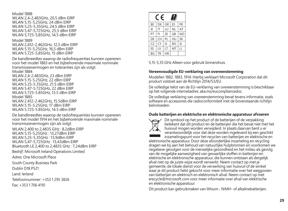Model 1888 WLAN 2,4-2,483GHz, 20,5 dBm EIRP WLAN 5,15-5,25GHz, 24 dBm EIRP WLAN 5,25-5,35GHz, 24,5 dBm EIRP WLAN 5,47-5,725GHz, 25,5 dBm EIRP WLAN 5,725-5,85GHz, 14,5 dBm EIRP

Model 1889 WLAN 2,412-2,462GHz, 12,5 dBm EIRP WLAN 5,15-5,25GHz, 16,5 dBm EIRP WLAN 5,725-5,85GHz, 15 dBm EIRP

De bandbreedtes waarop de radiofrequenties kunnen opereren voor het model 1883 en het bijbehorende maximale nominale transmissievermogen en toleranties zijn als volgt: Model 1884 WLAN 2.4-2.483GHz, 23 dBm EIRP

WLAN 5.15-5.25GHz, 22 dBm EIRP WLAN 5.25-5.35GHz, 21.5 dBm EIRP WLAN 5.47-5.725GHz, 22 dBm EIRP WLAN 5.725-5.85GHz, 13.5 dBm EIRP Model 1885 WLAN 2.412-2.462GHz, 15.5dBm EIRP WLAN 5.15-5.25GHz, 17 dBm EIRP WLAN 5.725-5.85GHz, 14.5 dBm EIRP

De bandbreedtes waarop de radiofrequenties kunnen opereren voor het model 1914 en het bijbehorende maximale nominale transmissievermogen zijn als volgt:

WLAN 2,400 to 2,4835 GHz : 8,2dBm EIRP WLAN 5,15-5,25GHz : 13,27dBm EIRP WLAN 5,25-5,35GHz : 13,9dBm EIRP WLAN 5,47-5,725GHz : 13,43dBm EIRP Bluetooth LE 2,400 to 2,4835 GHz : 7,24dBm EIRP

Bedrijf: Microsoft Ireland Operations Limited

Adres: One Microsoft Place

South County Business Park

Dublin D18 P521

Land: Ierland

Telefoonnummer: +353 1 295 3826

Fax: +353 1 706 4110

| $\epsilon$<br>Ш |    |           |           |                |  |
|-----------------|----|-----------|-----------|----------------|--|
| <b>BF</b>       | DK | GR        | ES        | FR             |  |
| IE              | IT | LU        | NL        | AT             |  |
| PT              | FI | <b>SE</b> | GB        | N <sub>O</sub> |  |
| DE              | CH | PL        | HU        | <b>SK</b>      |  |
| CZ              | CY | IS        | <b>RO</b> | SI             |  |
| EE              | IV | IT        | MT        | П              |  |
| <b>BG</b>       | TR | HR        |           |                |  |

5,15-5,35 GHz Alleen voor gebruik binnenshuis.

#### **Vereenvoudigde EU-verklaring van overeenstemming**

Modellen 1882, 1883, 1914: Hierbij verklaart Microsoft Corporation dat dit product voldoet aan de Richtlijn 2014/53/EU.

De volledige tekst van de EU-verklaring van overeenstemming is beschikbaar op het volgende internetadres: aka.ms/eucompliancedoc.

De volledige verklaring van overeenstemming bevat tevens informatie, zoals software en accessoires die radioconformiteit met de bovenstaande richtlijn beïnvloeden.

#### **Oude batterijen en elektrische en elektronische apparatuur afvoeren**



Dit symbool op het product of de batterijen of de verpakking betekent dat dit product en de batterijen die het bevat niet met het huisvuil mogen worden verwijderd. In plaats daarvan bent u er verantwoordelijk voor dat deze worden ingeleverd bij een geschikt inzamelingspunt voor het recyclen van batterijen en elektrische en

elektronische apparatuur. Door deze afzonderlijke inzameling en recycling dragen we bij aan het behoud van natuurlijke hulpbronnen en voorkomen we negatieve gevolgen voor de menselijke gezondheid en het milieu als gevolg van de mogelijke aanwezigheid van gevaarlijke stoffen in batterijen en elektrische en elektronische apparatuur, die kunnen ontstaan als dergelijk afval niet op de juiste wijze wordt verwerkt. Neem contact op met je gemeente, de lokale dienst voor de verwerking van huisvuil of de winkel waar je dit product hebt gekocht voor meer informatie over het weggooien van batterijen en elektrisch en elektronisch afval. Neem contact op met erecycle@microsoft.com voor meer informatie over afval van elektrische en elektronische apparatuur.

Dit product kan gebruikmaken van lithium-, NiMH- of alkalinebatterijen.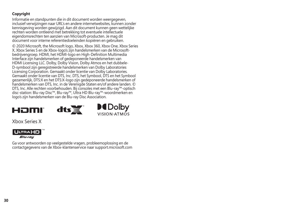### **Copyright**

Informatie en standpunten die in dit document worden weergegeven, inclusief verwijzingen naar URL's en andere internetwebsites, kunnen zonder kennisgeving worden gewijzigd. Aan dit document kunnen geen wettelijke rechten worden ontleend met betrekking tot eventuele intellectuele eigendomsrechten ten aanzien van Microsoft-producten. Je mag dit document voor interne referentiedoeleinden kopiëren en gebruiken.

© 2020 Microsoft, the Microsoft logo, Xbox, Xbox 360, Xbox One, Xbox Series X, Xbox Series S en de Xbox-logo's zijn handelsmerken van de Microsoftbedrijvengroep. HDMI, het HDMI-logo en High-Definition Multimedia Interface zijn handelsmerken of gedeponeerde handelsmerken van HDMI Licensing LLC. Dolby, Dolby Vision, Dolby Atmos en het dubbele-D-symbool zijn geregistreerde handelsmerken van Dolby Laboratories Licensing Corporation. Gemaakt onder licentie van Dolby Laboratories. Gemaakt onder licentie van DTS, Inc. DTS, het Symbool, DTS en het Symbool gezamenlijk, DTS:X en het DTS:X-logo zijn gedeponeerde handelsmerken of handelsmerken van DTS, Inc. in de Verenigde Staten en/of andere landen. © DTS, Inc. Alle rechten voorbehouden. Bij consoles met een Blu-ray™-optisch disc-station: Blu-ray Disc™, Blu-ray™, Ultra HD Blu-ray™-woordmerken en logo's zijn handelsmerken van de Blu-ray Disc Association.

# Həmi





Xbox Series X



Ga voor antwoorden op veelgestelde vragen, probleemoplossing en de contactgegevens van de Xbox-klantenservice naar support.microsoft.com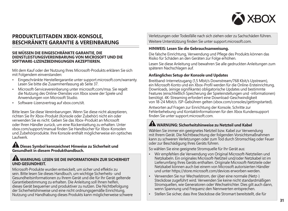

### **PRODUKTLEITFADEN XBOX-KONSOLE, BESCHRÄNKTE GARANTIE & VEREINBARUNG**

#### **SIE MÜSSEN DIE EINGESCHRÄNKTE GARANTIE, DIE DIENSTLEISTUNGSVEREINBARUNG VON MICROSOFT UND DIE SOFTWARE-LIZENZBEDINGUNGEN AKZEPTIEREN.**

Mit dem Kauf oder der Nutzung Ihres Microsoft-Produkts erklären Sie sich mit Folgendem einverstanden:

- Eingeschränkte Herstellergarantie unter support.microsoft.com/warranty. Lesen Sie bitte die Zusammenfassung ab Seite 37.
- Microsoft-Servicevereinbarung unter microsoft.com/msa. Sie regelt die Nutzung des Online-Dienstes von Xbox sowie der Spiele und Anwendungen von Microsoft Studio.
- Software-Lizenzvertrag auf xbox.com/slt.

Bitte lesen Sie diese Vereinbarungen. Wenn Sie diese nicht akzeptieren, richten Sie Ihr Xbox-Produkt (Konsole oder Zubehör) nicht ein oder verwenden Sie es nicht. Geben Sie das Xbox-Produkt an Microsoft oder Ihren Händler zurück, um eine Rückerstattung zu erhalten. Unter xbox.com/support/manual finden Sie Handbücher für Xbox-Konsolen und Zubehörprodukte. Ihre Konsole enthält möglicherweise ein optisches Laufwerk.

#### **Dieses Symbol kennzeichnet Hinweise zu Sicherheit und Gesundheit in diesem Produkthandbuch.**

#### **WARNUNG: LESEN SIE DIE INFORMATIONEN ZUR SICHERHEIT UND GESUNDHEIT.**

Microsoft-Produkte wurden entwickelt, um sicher und effektiv zu sein. Bitte lesen Sie dieses Handbuch, um wichtige Sicherheits- und Gesundheitsinformationen zu Ihrem Gerät und die für Ihr Gerät geltende Garantiebestimmung zu erhalten. Die Anleitung soll Ihnen helfen, dieses Gerät bequemer und produktiver zu nutzen. Die Nichtbefolgung der Sicherheitshinweise und eine nicht ordnungsgemäße Einrichtung, Nutzung und Handhabung dieses Produkts kann möglicherweise schwere Verletzungen oder Todesfälle nach sich ziehen oder zu Sachschäden führen. Weitere Unterstützung finden Sie unter support.microsoft.com.

#### **HINWEIS: Lesen Sie die Gebrauchsanweisung.**

Die falsche Einrichtung, Verwendung und Pflege des Produkts können das Risiko für Schäden an den Geräten zur Folge erhöhen.

Lesen Sie diese Anleitung und bewahren Sie alle gedruckten Anleitungen zum späteren Nachschlagen auf.

#### **Anfängliches Setup der Konsole und Updates**

Breitband-Internetzugang (1,5 Mbit/s Downstream/768 Kbit/s Upstream), ein Microsoft-Konto und ein Xbox-Profil werden für die Online-Ersteinrichtung, Downloads, (einige signifikante) obligatorische Updates und bestimmte Features (einschließlich Speicherung der Spieleinstellungen und -informationen) benötigt. 4K-Streaming erfordert eine Download-Geschwindigkeit von 18-24 Mbit/s. ISP-Gebühren gelten (xbox.com/consoles/gettingstarted).

Antworten auf Fragen zur Einrichtung der Konsole, Schritte zur Fehlerbehebung und Kontaktinformationen für den Xbox Kundensupport finden Sie unter support.microsoft.com.

### **WARNUNG: Sicherheitshinweise zu Netzteil und Kabel**

Wählen Sie immer ein geeignetes Netzteil bzw. Kabel zur Verwendung mit Ihrem Gerät. Die Nichtbeachtung der folgenden Vorsichtsmaßnahmen kann zu schweren Verletzungen oder zum Tod durch Stromschlag oder Feuer oder zur Beschädigung Ihres Geräts führen.

So wählen Sie eine geeignete Stromquelle für Ihr Gerät aus:

- Wir empfehlen die Verwendung von Original Microsoft-Netzteilen und Netzkabeln. Ein originales Microsoft-Netzteil und/oder Netzkabel ist im Lieferumfang Ihres Geräts enthalten. Originale Microsoft-Netzteile oder Netzkabel können auch bei einem von Microsoft autorisierten Händler und unter https://store.microsoft.com/devices erworben werden.
- Verwenden Sie nur Wechselstrom, der über eine normale (Netz-) Steckdose zugeführt wird. Verwenden Sie keine nicht standardmäßigen Stromquellen, wie Generatoren oder Wechselrichter. Dies gilt auch dann, wenn Spannung und Frequenz den Nennwerten entsprechen.
- Stellen Sie sicher, dass Ihre Steckdose die Stromart bereitstellt, die für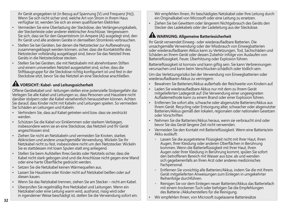ihr Gerät angegeben ist (in Bezug auf Spannung [V] und Frequenz [Hz]). Wenn Sie sich nicht sicher sind, welche Art von Strom in Ihrem Haus verfügbar ist, wenden Sie sich an einen qualifizierten Elektriker.

- Vermeiden Sie eine Überlastung der Steckdose, des Verlängerungskabels, der Steckerleiste oder anderer elektrischer Anschlüsse. Vergewissern Sie sich, dass sie für den Gesamtstrom (in Ampere [A]) ausgelegt sind, den Ihr Gerät und alle anderen Geräte in demselben Stromkreis verbrauchen.
- Stellen Sie bei Geräten, bei denen die Netzstecker zur Aufbewahrung zusammengeklappt werden können, sicher, dass die Kontaktstifte des Netzstecker vollständig ausgeklappt sind, bevor Sie das Netzteil Ihres Geräts in die Netzsteckdose stecken.
- Stellen Sie bei Geräten, die mit Netzkabeln mit abnehmbaren Stiften und einem universellen Netzteil ausgestattet sind, sicher, dass die Stiftbaugruppe für die Steckdose richtig konfiguriert ist und fest in der Steckdose sitzt, bevor Sie das Netzteil an eine Steckdose anschließen.

# **VORSICHT: Kabel- und Leitungssicherheit**

Offene Gerätekabel und -leitungen stellen eine potenzielle Stolpergefahr dar. Verlegen Sie alle Kabel und Leitungen so, dass Personen und Haustiere nicht darüber stolpern oder die Kabel versehentlich herausziehen können. Achten Sie darauf, dass Kinder nicht mit Kabeln und Leitungen spielen. So vermeiden Sie Schäden an Leitungen und Kabeln:

- Verhindern Sie, dass auf Kabel getreten wird bzw. dass sie zerdrückt werden.
- Schützen Sie die Kabel vor Einklemmen oder starkem Verbiegen, insbesondere wenn sie an eine Steckdose, das Netzteil und Ihr Gerät angeschlossen sind.
- Ziehen Sie nicht an Netzkabeln und vermeiden Sie Knoten, starkes Abknicken und andere unsachgemäße Verwendung. Wickeln Sie Ihr Netzkabel nicht zu fest, insbesondere nicht um den Netzstecker. Wickeln Sie es stattdessen mit losen Spulen statt eng anliegend.
- Stellen Sie beim Aufstellen Ihres Geräts oder Netzteils sicher, dass die Kabel nicht stark gebogen sind und die Anschlüsse nicht gegen eine Wand oder eine harte Oberfläche gedrückt werden.
- Setzen Sie die Netzkabel keinen Wärmequellen aus.
- Lassen Sie Haustiere oder Kinder nicht auf Netzkabel beißen oder auf diesen kauen.
- Wenn Sie das Netzkabel trennen, ziehen Sie am Stecker nicht am Kabel.
- Überprüfen Sie regelmäßig Ihre Netzkabel und Leitungen. Wenn ein Netzkabel oder eine Leitung warm wird, ausfranst, rissig wird oder in irgendeiner Weise beschädigt ist, stellen Sie die Verwendung sofort ein.

Wir empfehlen Ihnen, Ihr beschädigtes Netzkabel oder Ihre Leitung durch ein Originalkabel von Microsoft oder eine Leitung zu ersetzen.

• Ziehen Sie bei Gewittern oder längerem Nichtgebrauch des Geräts den Stecker des Ladekabels oder der Ladeleitung aus der Steckdose.

### **WARNUNG: Allgemeine Batteriesicherheit**

Ihr Gerät verwendet Einweg- oder wiederaufladbare Batterien. Die unsachgemäße Verwendung oder der Missbrauch von Einwegbatterien oder wiederaufladbaren Akkus kann zu Verletzungen, Tod, Sachschäden und Schäden an Ihrem Gerät oder dessen Zubehör infolge von Auslaufen von Batterieflüssigkeit, Feuer, Überhitzung oder Explosion führen.

Batterieflüssigkeit ist korrosiv und kann giftig sein. Sie kann Verbrennungen verursachen und kann beim Verschlucken schädlich oder tödlich sein.

Um das Verletzungsrisiko bei der Verwendung von Einwegbatterien oder wiederaufladbaren Akkus zu verringern:

- Bewahren Sie Batterien/Akkus außerhalb der Reichweite von Kindern auf.
- Laden Sie wiederaufladbare Akkus nur mit dem zu Ihrem Gerät mitgelieferten Ladegerät auf. Die Verwendung einer ungeeigneten Auflademethode kann zu einem Brand oder einer Explosion führen.
- Entfernen Sie sofort alte, schwache oder abgenutzte Batterien/Akkus aus Ihrem Gerät. Recycling oder Entsorgung alter, schwacher oder abgenutzter Batterien/Akkus gemäß den lokalen, regionalen oder nationalen Gesetzen oder Vorschriften
- Nehmen Sie die Batterien/Akkus heraus, wenn sie verbraucht sind oder bevor Sie das Gerät längere Zeit nicht verwenden.
- Vermeiden Sie den Kontakt mit Batterieflüssigkeit. Wenn eine Batterie/ein Akku ausläuft:
	- $\circ$  Lassen Sie die ausgetretene Flüssigkeit nicht mit Ihrer Haut, Ihren Augen, Ihrer Kleidung oder anderen Oberflächen in Berührung kommen. Wenn die Batterieflüssigkeit mit Ihrer Haut, Ihren Augen oder Ihrer Kleidung in Berührung kommt, spülen Sie sofort den betroffenen Bereich mit Wasser aus bzw. ab und wenden sich gegebenenfalls an Ihren Arzt oder anderes medizinisches Fachpersonal.
	- - Entfernen Sie vorsichtig alle Batterien/Akkus, indem Sie die mit Ihrem Gerät mitgelieferten Anweisungen zum Einlegen in umgekehrter Reihenfolge durchführen.
	- - Reinigen Sie vor dem Einlegen neuer Batterien/Akkus das Batteriefach mit einem trockenen Tuch oder befolgen Sie die Empfehlungen des Batterie-/Akkuherstellers für die Reinigung.
- Wir empfehlen Ihnen, von Microsoft zugelassene Batteriesätze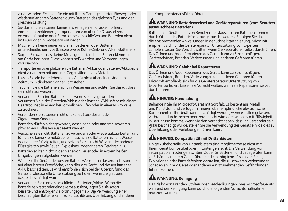zu verwenden. Ersetzen Sie die mit Ihrem Gerät gelieferten Einweg- oder wiederaufladbaren Batterien durch Batterien des gleichen Typs und der gleichen Leistung.

- Sie dürfen die Batterien keinesfalls zerlegen, eindrücken, öffnen, einstechen, zerkleinern, Temperaturen von über 40 °C aussetzen, keine externen Kontakte oder Stromkreise kurzschließen und Batterien nicht im Feuer oder in Gewässern entsorgen.
- Mischen Sie keine neuen und alten Batterien oder Batterien unterschiedlichen Typs (beispielsweise Kohle-Zink- und Alkali-Batterien).
- Sorgen Sie dafür, dass keine Metallgegenstände die Batterieklemmen am Gerät berühren. Diese können heiß werden und Verbrennungen verursachen.
- Transportieren oder platzieren Sie Batterien/Akkus oder Batterie-/Akkupacks nicht zusammen mit anderen Gegenständen aus Metall.
- Lassen Sie ein batteriebetriebenes Gerät nicht über einen längeren Zeitraum in direktem Sonnenlicht stehen.
- Tauchen Sie die Batterien nicht in Wasser ein und achten Sie darauf, dass sie nicht nass werden.
- Verwenden Sie eine Batterie nicht, wenn sie nass geworden ist. Versuchen Sie nicht, Batterien/Akkus oder Batterie-/Akkusätze mit einem Haartrockner, in einem herkömmlichen Ofen oder in einer Mikrowelle zu trocknen.
- Verbinden Sie Batterien nicht direkt mit Steckdosen oder Zigarettenanzündern.
- Batterien dürfen nicht geworfen, geschlagen oder anderen schweren physischen Einflüssen ausgesetzt werden.
- Versuchen Sie nicht, Batterien zu verändern oder wiederaufzuarbeiten, und führen Sie keine Fremdkörper ein. Tauchen Sie Batterien nicht in Wasser oder andere Flüssigkeiten, und setzen Sie sie nicht Wasser oder anderen Flüssigkeiten sowie Feuer-, Explosions- oder anderen Gefahren aus.
- Batterien sollten nicht in der Nähe von Feuer oder in extrem heißen Umgebungen aufgeladen werden.
- Wenn Sie Ihr Gerät oder dessen Batterie/Akku fallen lassen, insbesondere auf einer harten Oberfläche, kann dies das Gerät und dessen Batterie/ Akku beschädigen. Es wird empfohlen, sich bei der Überprüfung des Geräts professionelle Unterstützung zu holen, wenn Sie glauben, dass es beschädigt wurde.
- Verwenden Sie niemals beschädigte Batterien/Akkus. Wenn die Batterie zerkratzt oder eingekerbt aussieht, legen Sie sie sofort beiseite und entsorgen sie ordnungsgemäß. Die Verwendung einer beschädigten Batterie kann zu Kurzschlüssen, Überhitzung und anderen

Komponentenausfällen führen.

#### **WARNUNG: Batteriewechsel und Gerätereparaturen (vom Benutzer austauschbare Batterien)**

Batterien in Geräten mit von Benutzern austauschbaren Batterien können durch Öffnen des Batteriefachs ausgetauscht werden. Befolgen Sie dazu die entsprechenden Anweisungen in der Schnellstartanleitung. Microsoft empfiehlt, sich für die Gerätereparatur Unterstützung von Experten zu holen. Lassen Sie Vorsicht walten, wenn Sie Reparaturen selbst durchführen. Das Öffnen und/oder Reparieren des Geräts kann zu Stromschlägen, Geräteschäden, Bränden, Verletzungen und anderen Gefahren führen.

### **WARNUNG: Gefahr bei Reparaturen**

Das Öffnen und/oder Reparieren des Geräts kann zu Stromschlägen, Geräteschäden, Bränden, Verletzungen und anderen Gefahren führen. Microsoft empfiehlt, sich für die Gerätereparatur Unterstützung von Experten zu holen. Lassen Sie Vorsicht walten, wenn Sie Reparaturen selbst durchführen.

## **AM** HINWEIS: Handhabung

Behandeln Sie Ihr Microsoft-Gerät mit Sorgfalt. Es besteht aus Metall und Kunststoff und verfügt im Inneren über empfindliche elektronische Komponenten. Ihr Gerät kann beschädigt werden, wenn es fallen gelassen, verbrannt, durchstochen oder zerquetscht wird oder wenn es mit Flüssigkeit in Berührung kommt. Wenn Sie den Verdacht haben, dass Ihr Gerät oder sein Akku beschädigt wurde, stellen Sie die Verwendung des Geräts ein, da dies zu Überhitzung oder Verletzungen führen kann.

## **HINWEIS: Kompatibilität mit Drittanbietern**

Einige Zubehörteile von Drittanbietern sind möglicherweise nicht mit Ihrem Gerät kompatibel oder mitunter gefälscht. Die Verwendung von inkompatiblem oder gefälschtem Zubehör, Batterien und Ladegeräten kann zu Schäden an Ihrem Gerät führen und ein mögliches Risiko von Feuer, Explosionen oder Batteriefehlern darstellen, die zu schweren Verletzungen, Schäden an Ihrem Gerät oder anderen ernstzunehmenden Gefährdungen führen können.

# **WARNUNG: Reinigung**

Das Risiko von Bränden, Stößen oder Beschädigungen Ihres Microsoft-Geräts während der Reinigung kann durch die folgenden Vorsichtsmaßnahmen reduziert werden: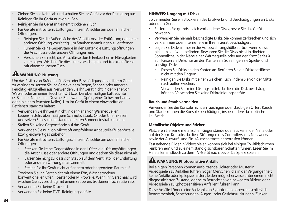- Ziehen Sie alle Kabel ab und schalten Sie Ihr Gerät vor der Reinigung aus.
- Reinigen Sie Ihr Gerät nur von außen.
- Reinigen Sie Ihr Gerät mit einem trockenen Tuch.
- Für Geräte mit Lüftern, Lüftungsschlitzen, Anschlüssen oder ähnlichen Öffnungen:
	- - Reinigen Sie die Außenfläche des Ventilators, der Entlüftung oder einer anderen Öffnung vorsichtig, um Staubansammlungen zu entfernen.
	- Führen Sie keine Gegenstände in den Lüfter, die Lüftungsöffnungen, die Anschlüsse oder andere Öffnungen ein.
	- Versuchen Sie nicht, die Anschlüsse durch Eintauchen in Flüssigkeiten zu reinigen. Wischen Sie diese nur vorsichtig ab und trocknen Sie sie mit einem sauberen Tuch.

# **WARNUNG: Nutzung**

Um das Risiko von Bränden, Stößen oder Beschädigungen an Ihrem Gerät zu verringern, setzen Sie Ihr Gerät keinem Regen, Schnee oder anderen Feuchtigkeitsquellen aus. Verwenden Sie Ihr Gerät nicht in der Nähe von Wasser oder an einem feuchten Ort bzw. bei übermäßiger Luftfeuchte (z. B. in der Nähe einer Dusche, Badewanne, Spüle, eines Schwimmbades oder in einem feuchten Keller). Um Ihr Gerät in einem einwandfreien Betriebszustand zu halten:

- Verwenden Sie Ihr Gerät nicht in der Nähe von Wärmequellen Lebensmitteln, übermäßigem Schmutz, Staub, Öl oder Chemikalien und setzen Sie es keiner starken direkten Sonneneinstrahlung aus.
- Stellen Sie keine Gegenstände auf das Gerät.
- Verwenden Sie nur von Microsoft empfohlene Anbauteile/Zubehörteile bzw. gleichwertiges Zubehör.
- Für Geräte mit Lüftern, Lüftungsschlitzen, Anschlüssen oder ähnlichen Öffnungen:
	- · Stecken Sie keine Gegenstände in den Lüfter, die Lüftungsöffnungen, die Anschlüsse oder andere Öffnungen und decken Sie diese nicht ab.
	- Lassen Sie nicht zu, dass sich Staub auf dem Ventilator, der Entlüftung oder anderen Öffnungen ansammelt.
	- **Stellen Sie Ihr Gerät nicht auf engem oder begrenztem Raum auf.**
- Trocknen Sie Ihr Gerät nicht mit einem Fön, Wäschetrockner, konventionellen Ofen, Toaster oder Mikrowelle. Wenn Ihr Gerät nass wird, wischen Sie es vorsichtig mit einem sauberen, trockenen Tuch außen ab.
- Verwenden Sie keine Druckluft.
- Verwenden Sie keine DVD-Reinigungsgeräte.

### **HINWEIS: Umgang mit Disks**

So vermeiden Sie ein Blockieren des Laufwerks und Beschädigungen an Disks oder dem Gerät:

- Entfernen Sie grundsätzlich vorhandene Disks, bevor Sie das Gerät bewegen.
- Verwenden Sie niemals beschädigte Disks. Sie können zerbrechen und sich verklemmen oder interne Teile in Ihrem Gerät beschädigen.
- Legen Sie Disks immer in die Aufbewahrungshülle zurück, wenn sie sich nicht im Laufwerk befinden. Bewahren Sie die Disks nicht in direktem Sonnenlicht, in der Nähe einer Wärmequelle oder auf der Xbox Series X auf. Fassen Sie Disks nur an den Kanten an. So reinigen Sie Spiele- und sonstige Disks:
	- Fassen Sie Disks an den Kanten an. Berühren Sie die Diskoberfläche nicht mit den Fingern.
	- - Reinigen Sie Disks mit einem weichen Tuch, indem Sie von der Mitte nach außen wischen.
	- - Verwenden Sie keine Lösungsmittel, da diese die Disk beschädigen können. Verwenden Sie keine Diskreinigungsgeräte.

### **Rauch und Staub vermeiden**

Verwenden Sie die Konsole nicht an rauchigen oder staubigen Orten. Rauch und Staub können die Konsole beschädigen, insbesondere das optische Laufwerk.

### **Metallische Objekte und Sticker**

Platzieren Sie keine metallischen Gegenstände oder Sticker in der Nähe oder auf der Xbox-Konsole, da diese Störungen des Controllers, des Netzwerks sowie der Auswurf- und Ein-/Ausschalttaste hervorrufen können.

Feststehende Bilder in Videospielen können sich bei einigen TV-Bildschirmen "einbrennen" und zu einem ständig sichtbaren Schatten führen. Lesen Sie im Herstellerhandbuch zu dem TV-Gerät nach, bevor Sie Spiele spielen.

## **WARNUNG: Photosensitive Anfälle**

Bei einigen Personen können aufblitzende Lichter oder Muster in Videospielen zu Anfällen führen. Sogar Menschen, die in der Vergangenheit keine Anfälle oder Epilepsie hatten, leiden möglicherweise unter einem nicht diagnostizierten Zustand, der beim Betrachten von bewegten Bildern oder Videospielen zu "photosensitiven Anfällen" führen kann.

Diese Anfälle können eine Vielzahl von Symptomen haben, einschließlich Benommenheit, Sehstörungen, Augen- oder Gesichtszuckungen, Zucken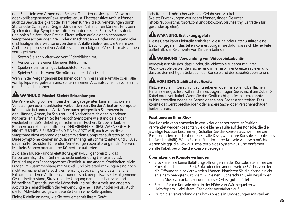oder Schütteln von Armen oder Beinen, Orientierungslosigkeit, Verwirrung oder vorübergehender Bewusstseinsverlust. Photosensitive Anfälle können auch zu Bewusstlosigkeit oder Krämpfen führen, die zu Verletzungen durch Stürze oder Schläge auf Gegenstände in der Nähe führen können. Falls beim Spielen derartige Symptome auftreten, unterbrechen Sie das Spiel sofort, und holen Sie ärztlichen Rat ein. Eltern sollten auf die oben genannten Symptome achten oder ihre Kinder danach fragen – Kinder und Jugendliche sind häufiger als Erwachsene von diesen Anfällen betroffen. Die Gefahr des Auftretens photosensitiver Anfälle kann durch folgende Vorsichtsmaßnahmen verringert werden:

- Setzen Sie sich weiter weg vom Videobildschirm.
- Verwenden Sie einen kleineren Bildschirm.
- Spielen Sie in einem gut beleuchteten Raum.
- Spielen Sie nicht, wenn Sie müde oder erschöpft sind.

Wenn in der Vergangenheit bei Ihnen oder in Ihrer Familie Anfälle oder Fälle von Epilepsie aufgetreten sind, sollten Sie einen Arzt aufsuchen, bevor Sie mit dem Spielen beginnen.

# **WARNUNG: Muskel-Skelett-Erkrankungen**

Die Verwendung von elektronischen Eingabegeräten kann mit schweren Verletzungen oder Krankheiten verbunden sein. Bei der Arbeit am Computer können wie bei anderen Aktivitäten auch gelegentlich Schmerzen in den Händen, Armen, im Schulter- und Nackenbereich oder in anderen Körperteilen auftreten. Sollten jedoch Symptome wie ständige(s) oder wiederkehrende(s) Unbehagen, Schmerzen, Pochen, Kribbeln, Taubheit, Brennen oder Steifheit auftreten, IGNORIEREN SIE DIESE WARNSIGNALE NICHT. SUCHEN SIE UMGEHEND EINEN ARZT AUF, auch wenn diese Symptome nicht während der Arbeit mit dem Computer auftreten sollten. Diese Symptome können im Zusammenhang mit schmerzhaften und u. U. zu dauerhaften Schäden führenden Verletzungen oder Störungen der Nerven, Muskeln, Sehnen oder anderer Körperteile auftreten.

Zu diesen Muskel- und Skelettstörungen (MSD) gehören z. B. das Karpaltunnelsyndrom, Sehnenscheidenentzündung (Tenosynovitis), Entzündung des Sehnengewebes (Tendinitis) und andere Krankheiten. Viele Fragen im Zusammenhang mit Muskel- und Skeletterkrankungen sind noch nicht ausreichend untersucht, es herrscht jedoch Einigkeit, dass manche Faktoren mit deren Auftreten verbunden sind, beispielsweise der allgemeine Gesundheitszustand, Stress und der Umgang damit, medizinische und körperliche Zustände und die Körperhaltung bei der Arbeit und anderen Aktivitäten (einschließlich der Verwendung einer Tastatur oder Maus). Auch die für Aktivitäten aufgewendete Zeit kann eine Rolle spielen.

arbeiten und möglicherweise die Gefahr von Muskel-Skelett-Erkrankungen verringern können, finden Sie unter https://support.microsoft.com und xbox.com/playhealthy (Leitfaden für gesundes Spielen).

### **WARNUNG: Erstickungsgefahr**

Dieses Gerät kann Kleinteile enthalten, die für Kinder unter 3 Jahren eine Erstickungsgefahr darstellen können. Sorgen Sie dafür, dass sich kleine Teile außerhalb der Reichweite von Kindern befinden.

### **WARNUNG: Verwendung von Videospielzubehör**

Vergewissern Sie sich, dass Kinder, die Videospielzubehör mit ihrer Xbox-Konsole verwenden, sicher und innerhalb ihrer Grenzen spielen und dass sie den richtigen Gebrauch der Konsole und des Zubehörs verstehen.

# **VORSICHT: Stabilität des Geräts**

Platzieren Sie Ihr Gerät nicht auf unebenen oder instabilen Oberflächen. Halten Sie es gut fest, während Sie es tragen. Tragen Sie es nicht am Zubehör, Kabel oder Netzkabel. Wenn Sie das Gerät nicht gut festhalten, könnte es hinunterfallen oder eine Person oder einen Gegenstand treffen. Dies könnte das Gerät beschädigen oder andere Sach- oder Personenschäden herbeiführen.

#### **Positionieren Ihrer Xbox**

Ihre Konsole kann entweder in vertikaler oder horizontaler Position verwendet werden (beachten Sie die kleinen Füße auf der Konsole, die die jeweilige Position bestimmen). Schalten Sie die Konsole aus, wenn Sie die Position ändern (und entfernen Sie alle Disks, wenn Ihre Konsole ein optisches Laufwerk enthält). Wenn Sie den Standort Ihrer Konsole wechseln möchten, werfen Sie ggf. die Disk aus, schalten Sie das System aus, und entfernen Sie alle Kabel, bevor Sie die Konsole bewegen.

#### **Überhitzen der Konsole verhindern:**

- Blockieren Sie keine Belüftungsöffnungen an der Konsole. Stellen Sie die Konsole nicht auf ein Bett, Sofa oder eine andere weiche Fläche, von der die Öffnungen blockiert werden können. Platzieren Sie die Konsole nicht an einem beengten Ort wie z. B. in einen Bücherschrank, ein Regal oder einen Musikschrank, es sei denn, dieser Ort ist gut belüftet.
- Stellen Sie die Konsole nicht in der Nähe von Wärmequellen wie Heizkörpern, Heizlüftern, Öfen oder Verstärkern auf.
- Durch die Verwendung der Xbox-Konsole in Umgebungen mit starken

Einige Richtlinien dazu, wie Sie bequemer mit Ihrem Gerät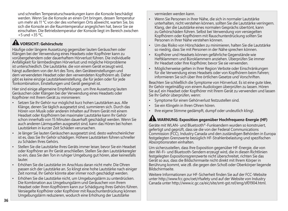und schnellen Temperaturschwankungen kann die Konsole beschädigt werden. Wenn Sie die Konsole an einen Ort bringen, dessen Temperatur um mehr als 11 °C von der des vorherigen Orts abweicht, warten Sie, bis sich die Konsole an die Raumtemperatur angeglichen hat, bevor Sie sie einschalten. Die Betriebstemperatur der Konsole liegt im Bereich zwischen  $+5$  und  $+35$  °C.

## **VORSICHT: Gehörschutz**

Häufige oder längere Aussetzung gegenüber lauten Geräuschen oder Klängen bei der Verwendung eines Headsets oder Kopfhörer kann zu vorübergehendem oder dauerhaftem Hörverlust führen. Die individuelle Anfälligkeit für lärmbedingten Hörverlust und mögliche Hörprobleme ist unterschiedlich. Die Lautstärke, die von einem Gerät erzeugt wird, hängt außerdem von der Art des Tons, den Geräteeinstellungen und dem verwendeten Headset oder den verwendeten Kopfhörern ab. Daher gibt es keine einzige Lautstärkeeinstellung, die für jeden oder für jede Tonkombination, Einstellungen und Gerät geeignet ist.

Hier sind einige allgemeine Empfehlungen, um Ihre Aussetzung lauten Geräuschen oder Klängen bei der Verwendung eines Headsets oder Kopfhörer mit Ihrem Gerät zu minimieren:

- Setzen Sie Ihr Gehör nur möglichst kurz hohen Lautstärken aus. Alle Klänge, denen Sie täglich ausgesetzt sind, summieren sich. Durch das Hören von Musik oder anderen Inhalten auf Ihrem Gerät mit einem Headset oder Kopfhörern bei maximaler Lautstärke kann Ihr Gehör schon innerhalb von 15 Minuten dauerhaft geschädigt werden. Wenn Sie auch anderen Lärmquellen ausgesetzt sind, kann das Hören bei hohen Lautstärken in kurzer Zeit Schäden verursachen.
- Je länger Sie lauten Geräuschen ausgesetzt sind, desto wahrscheinlicher ist es, dass Sie Ihr Gehör schädigen. Höhere Lautstärken führen schneller zu Schäden Ihres Gehörs.
- Stellen Sie die Lautstärke Ihres Geräts immer leiser, bevor Sie ein Headset oder Kopfhörer an Ihr Gerät anschließen. Stellen Sie den Lautstärkeregler so ein, dass Sie den Ton in ruhiger Umgebung gut hören, aber keinesfalls lauter.
- Erhöhen Sie die Lautstärke im Anschluss daran nicht mehr. Die Ohren passen sich der Lautstärke an. So klingt eine hohe Lautstärke nach einiger Zeit normal, Ihr Gehör könnte aber immer noch geschädigt werden.
- Erhöhen Sie die Lautstärke nicht, um Umgebungslärm zu unterdrücken. Die Kombination aus Umgebungslärm und Geräuschen von Ihrem Headset oder Ihren Kopfhörern kann zur Schädigung Ihres Gehörs führen. Versiegelte Kopfhörer oder Kopfhörer mit Rauschunterdrückung können Umgebungslärm reduzieren, wodurch eine Erhöhung der Lautstärke

vermieden werden kann.

- Wenn Sie Personen in Ihrer Nähe, die sich in normaler Lautstärke unterhalten, nicht verstehen können, sollten Sie die Lautstärke verringern. Klang, der die Lautstärke eines normalen Gesprächs übertönt, kann zu Gehörschäden führen. Selbst bei Verwendung von versiegelten Kopfhörern oder Kopfhörern mit Rauschunterdrückung sollten Sie Personen in Ihrer Nähe verstehen können.
- Um das Risiko von Hörschäden zu minimieren, halten Sie die Lautstärke so niedrig, dass Sie mit Personen in der Nähe sprechen können.
- Kopfhörer und Headsets können gefährliche Gegenstände wie Heftklammern und Büroklammern anziehen. Überprüfen Sie immer Ihr Headset oder Ihre Kopfhörer, bevor Sie sie verwenden.
- Möglicherweise gelten in Ihrer Region Verbote oder Einschränkungen für die Verwendung eines Headsets oder von Kopfhörern beim Fahren; informieren Sie sich über Ihre örtlichen Gesetze und Vorschriften.

Beachten Sie schließlich die Symptome von Hörverlust. Es ist eine gute Idee, Ihr Gehör regelmäßig von einem Audiologen überprüfen zu lassen. Hören Sie auf, ein Headset oder Kopfhörer mit Ihrem Gerät zu verwenden und lassen Sie Ihr Gehör überprüfen, wenn:

- Symptome für einen Gehörverlust festzustellen sind.
- Sie ein Klingeln in Ihren Ohren hören.
- Ihre eigene Stimme gedämpft, dumpf oder undeutlich klingt.

## **WARNUNG: Exposition gegenüber Hochfrequenz-Energie (HF)**

Geräte mit WLAN- und Bluetooth®-Funksendern wurden so konstruiert, gefertigt und geprüft, dass sie die von der Federal Communications Commission (FCC), Industry Canada und den zuständigen Behörden in Europa festgelegten Grenzwerte bezüglich HF-Strahlenbelastung und spezifischen Absorptionsraten einhalten.

Um sicherzustellen, dass Ihre Exposition gegenüber HF-Energie, die von den Wi-Fi- und Bluetooth-Sendern erzeugt wird, die in diesen Richtlinien festgelegten Expositionsgrenzwerte nicht überschreitet, richten Sie das Gerät so aus, dass die Bildschirmseite nicht direkt mit Ihrem Körper in Berührung kommt, wie zB. die gegen den Schoß oder Oberkörper liegende Bildschirmseite.

Weitere Informationen zur HF-Sicherheit finden Sie auf der FCC-Website unter http://www.fcc.gov/oet/rfsafety und auf der Website von Industry Canada unter http://www.ic.gc.ca/eic/site/smt-gst.nsf/eng/sf01904.html.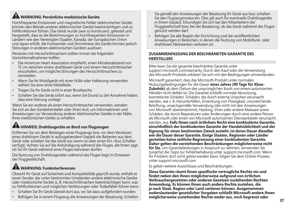## **WARNUNG: Persönliche medizinische Geräte**

Hochfrequente Emissionen und magnetische Felder elektronischer Geräte können den Betrieb anderer elektronischer Geräte beeinträchtigen und zu Fehlfunktionen führen. Das Gerät wurde zwar so konstruiert, getestet und hergestellt, dass es die Bestimmungen zu hochfrequenten Emissionen in Ländern wie den Vereinigten Staaten, Kanada, der Europäischen Union und Japan erfüllt, die Funksender und Stromkreise des Geräts können jedoch Störungen in anderen elektronischen Geräten auslösen.

Personen mit Herzschrittmachern sollten immer die folgenden Vorsichtsmaßnahmen treffen:

- Die American Heart Association empfiehlt, einen Mindestabstand von 15 cm zwischen einem drahtlosen Gerät und einem Herzschrittmacher einzuhalten, um mögliche Störungen des Herzschrittmachers zu vermeiden.
- Wenn Sie Ihr Mobilgerät mit einer Hülle oder Halterung verwenden, wählen Sie eine ohne Metallteile.
- Tragen Sie Ihr Gerät nicht in einer Brusttasche.
- Schalten Sie das Gerät sofort aus, wenn Sie Grund zu der Annahme haben, dass eine Störung vorliegt.

Wenn Sie ein anderes als einen Herzschrittmacher verwenden, wenden Sie sich an den Gerätehersteller oder Ihren Arzt, um Informationen und Anweisungen zur Verwendung anderer elektronischer Geräte in der Nähe Ihres medizinischen Geräts zu erhalten.

# **ALL** HINWEIS: Drahtlosgeräte an Bord von Flugzeugen

Entfernen Sie vor dem Besteigen eines Flugzeugs bzw. vor dem Verstauen eines drahtlosen Geräts in aufzugebendem Gepäck die Batterien aus dem Gerät oder schalten Sie das Gerät aus (wenn es über einen Ein-/Aus-Schalter verfügt). Achten Sie auf die Ankündigung während des Fluges, die Ihnen sagt, ob Sie Ihr Gerät während eines Fluges benutzen dürfen.

Die Nutzung von Drahtlosgeräten während des Fluges liegt im Ermessen der Fluggesellschaft.

# **WARNUNG: Funkinterferenzen**

Obwohl Ihr Gerät auf Sicherheit und Kompatibilität geprüft wurde, enthält es einen Sender, der unter bestimmten Umständen andere elektronische Geräte oder medizinische Geräte (z. B. Herzschrittmacher) beeinträchtigen kann, was zu Fehlfunktionen und möglichen Verletzungen oder Todesfällen führen kann.

- Schalten Sie Ihr Gerät überall dort aus, wo Sie dazu aufgefordert wurden.
- Befolgen Sie in einem Flugzeug die Anweisungen der Besatzung. Schalten

Sie gemäß den Anweisungen der Besatzung Ihr Gerät aus bzw. schalten Sie den Flugzeugmodus ein. Dies gilt auch für eventuelle Drahtlosgeräte in Ihrem Gepäck. Erkundigen Sie sich bei den Mitarbeitern der Fluggesellschaft bzw. bei der Besatzung, ob das Gerät während des Fluges genutzt werden darf.

• Befolgen Sie alle Regeln der Einrichtung und die veröffentlichten Anweisungen in Bereichen, in denen die Nutzung von Mobilfunk- oder drahtlosen Netzwerken verboten ist.

#### **ZUSAMMENFASSUNG DER BESCHRÄNKTEN GARANTIE DES HERSTELLERS**

Bitte lesen Sie die gesamte beschränkte Garantie unter support.microsoft.com/warranty. Durch den Kauf oder die Verwendung des Microsoft-Produkts erklären Sie sich mit den Bedingungen einverstanden.

Microsoft garantiert, dass das Microsoft-Produkt unter normalen Nutzungsbedingungen für die Dauer **eines Jahres (90 Tage für Xbox-Zubehör)** ab dem Datum des ursprünglichen Kaufs von einem autorisierten Händler nicht defekt ist. Die Garantie schließt normale Abnutzung, kosmetische Schäden, Schäden, die durch externe Ursachen verursacht werden, wie z. B. Herunterfallen, Einwirkung von Flüssigkeit, unzureichende Belüftung, unsachgemäße Verwendung (die nicht mit den Anweisungen von Microsoft übereinstimmt), Hacking, Viren oder andere Malware sowie Schäden, die durch Reparaturen oder Änderungen durch eine andere Person als Microsoft oder einen von Microsoft autorisierten Dienstanbieter verursacht werden, aus. **Falls Ihnen nach örtlichem Recht eine konkludente Garantie, einschließlich der konkludenten Garantie der Handelsüblichkeit und der Eignung für einen bestimmten Zweck zusteht, ist deren Dauer dieselbe wie die Dauer dieser Garantie. Einige Staaten, Regionen oder Länder gestatten keine zeitliche Begrenzung einer konkludenten Garantie. Daher gelten die vorstehenden Beschränkungen möglicherweise nicht für Sie.** Um Garantieleistungen in Anspruch zu nehmen, verwenden Sie zunächst die Tipps zur Fehlerbehebung unter support.microsoft.com. Wenn Ihr Problem dort nicht gelöst werden kann, folgen Sie dem Online-Prozess unter support.microsoft.com.

Es gelten weitere Ausschlüsse und Beschränkungen.

**Diese Garantie räumt Ihnen spezifische vertragliche Rechte ein und findet neben den Ihnen möglicherweise aufgrund von örtlichen Verbrauchergesetzten oder anderen Gesetzen zustehenden Rechten Anwendung. Es können Ihnen auch andere Rechte zustehen, die je nach Staat, Region oder Land variieren können. Ausgenommen anderslautender gesetzlicher Vorgaben schließt Microsoft andere Ihnen möglicherweise zustehenden Rechte weder aus, noch begrenzt oder**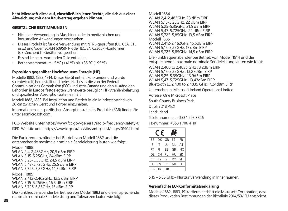#### **hebt Microsoft diese auf, einschließlich jener Rechte, die sich aus einer Abweichung mit dem Kaufvertrag ergeben können.**

#### **GESETZLICHE BESTIMMUNGEN**

- Nicht zur Verwendung in Maschinen oder in medizinischen und industriellen Anwendungen vorgesehen.
- Dieses Produkt ist für die Verwendung mit NTRL-geprüften (UL, CSA, ETL usw.) und/oder IEC/EN 60950-1- oder IEC/EN 62368-1-konformen (CE-Zeichen) IT-Geräten vorgesehen.
- Es sind keine zu wartenden Teile enthalten.
- Betriebstemperatur: +5 ºC (+41 ºF) bis +35 ºC (+95 ºF).

### **Exposition gegenüber Hochfrequenz-Energie (HF)**

Modelle 1882, 1883, 1914: Dieses Gerät enthält Funksender und wurde so entwickelt, hergestellt und getestet, dass es die von der Federal Communications Commission (FCC), Industry Canada und den zuständigen Behörden in Europa festgelegten Grenzwerte bezüglich HF-Strahlenbelastung und spezifischen Absorptionsraten einhält.

Modell 1882, 1883: Bei Installation und Betrieb ist ein Mindestabstand von 20 cm zwischen Gerät und Körper einzuhalten.

Informationen zur spezifischen Absorptionsrate des Produkts (SAR) finden Sie unter sar.microsoft.com.

FCC-Website unter https://www.fcc.gov/general/radio-frequency-safety-0 ISED-Website unter https://www.ic.gc.ca/eic/site/smt-gst.nsf/eng/sf01904.html

Die Funkfrequenzbänder bei Betrieb von Modell 1882 und die entsprechende maximale nominale Sendeleistung lauten wie folgt:

Modell 1888 WLAN 2,4-2,483GHz, 20,5 dBm EIRP WLAN 5,15-5,25GHz, 24 dBm EIRP WLAN 5,25-5,35GHz, 24,5 dBm EIRP WLAN 5,47-5,725GHz, 25,5 dBm EIRP WLAN 5,725-5,85GHz, 14,5 dBm EIRP

Modell 1889 WLAN 2,412-2,462GHz, 12,5 dBm EIRP WLAN 5,15-5,25GHz, 16,5 dBm EIRP WLAN 5,725-5,85GHz, 15 dBm EIRP

Die Funkfrequenzbänder bei Betrieb von Modell 1883 und die entsprechende maximale nominale Sendeleistung und Toleranzen lauten wie folgt:

Modell 1884 WLAN 2,4-2,483GHz, 23 dBm EIRP WLAN 5,15-5,25GHz, 22 dBm EIRP WLAN 5,25-5,35GHz, 21.5 dBm EIRP WLAN 5,47-5,725GHz, 22 dBm EIRP WLAN 5,725-5,85GHz, 13,5 dBm EIRP Modell 1885 WLAN 2,412-2,462GHz, 15,5dBm EIRP WLAN 5,15-5,25GHz, 17 dBm EIRP WLAN 5,725-5,85GHz, 14,5 dBm EIRP

Die Funkfrequenzbänder bei Betrieb von Modell 1914 und die entsprechende maximale nominale Sendeleistung lauten wie folgt:

WLAN 2,400 to 2,4835 GHz : 8,2dBm EIRP WLAN 5,15-5,25GHz : 13,27dBm EIRP WLAN 5,25-5,35GHz : 13,9dBm EIRP WLAN 5,47-5,725GHz : 13,43dBm EIRP Bluetooth LE 2,400 to 2,4835 GHz : 7,24dBm EIRP

Unternehmen: Microsoft Ireland Operations Limited

Adresse: One Microsoft Place

South County Business Park

Dublin D18 P521

Land: Irland

Telefonnummer: +353 1 295 3826

Faxnummer: +353 1 706 4110

| $\epsilon$<br>Ш |    |           |           |                |  |
|-----------------|----|-----------|-----------|----------------|--|
| BE              | DK | GR        | FS.       | FR             |  |
| IF              | IT | ш         | ΝI        | AT             |  |
| PT              | FI | SE        | GB        | N <sub>O</sub> |  |
| DE              | CH | PI        | HU        | <b>SK</b>      |  |
| CZ              | CY | IS        | <b>RO</b> | SI             |  |
| FF              | IV | LT        | MT        | П              |  |
| BG              | TR | <b>HR</b> |           |                |  |

5,15 – 5,35 GHz – Nur zur Verwendung in Innenräumen.

#### **Vereinfachte EU-Konformitätserklärung**

Modelle 1882, 1883, 1914: Hiermit erklärt die Microsoft Corporation, dass dieses Produkt den Bestimmungen der Richtlinie 2014/53/ EU entspricht.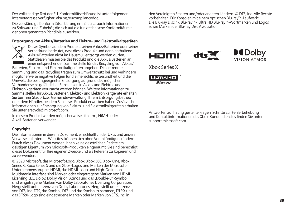Der vollständige Text der EU-Konformitätserklärung ist unter folgender Internetadresse verfügbar: aka.ms/eucompliancedoc.

Die vollständige Konformitätserklärung enthält u. a. auch Informationen zu Software und Zubehör, die sich auf die funktechnische Konformität mit der oben genannten Richtlinie auswirken.

#### **Entsorgung von Akkus/Batterien und Elektro- und Elektronikaltgeräten**



Dieses Symbol auf dem Produkt, seinen Akkus/Batterien oder seiner Verpackung bedeutet, dass dieses Produkt und darin enthaltene Akkus/Batterien nicht im Hausmüll entsorgt werden dürfen. Stattdessen müssen Sie das Produkt und die Akkus/Batterien an einer entsprechenden Sammelstelle für das Recycling von Akkus/

Batterien, Elektro- und Elektronikaltgeräten abgeben. Die getrennte Sammlung und das Recycling tragen zum Umweltschutz bei und verhindern möglicherweise negative Folgen für die menschliche Gesundheit und die Umwelt, die bei ungeeigneter Entsorgung aufgrund des möglichen Vorhandenseins gefährlicher Substanzen in Akkus und Elektro- und Elektronikgeräten verursacht werden können. Weitere Informationen zu Sammelstellen für Akkus/Batterien, Elektro- und Elektronikaltgeräte erhalten Sie bei Ihrer Stadt- bzw. Gemeindeverwaltung, Ihrem Entsorgungsbetrieb oder dem Händler, bei dem Sie dieses Produkt erworben haben. Zusätzliche Informationen zur Entsorgung von Elektro- und Elektronikaltgeräten erhalten Sie unter erecycle@microsoft.com.

In diesem Produkt werden möglicherweise Lithium-, NiMH- oder Alkali-Batterien verwendet.

#### **Copyright**

Die Informationen in diesem Dokument, einschließlich der URLs und anderer Verweise auf Internet-Websites, können sich ohne Vorankündigung ändern. Durch dieses Dokument werden Ihnen keine gesetzlichen Rechte am geistigen Eigentum von Microsoft-Produkten eingeräumt. Sie sind berechtigt, dieses Dokument für Ihre eigenen Zwecke und als Referenz zu kopieren und zu verwenden.

© 2020 Microsoft, das Microsoft-Logo, Xbox, Xbox 360, Xbox One, Xbox Series X, Xbox Series S und die Xbox-Logos sind Marken der Microsoft-Unternehmensgruppe. HDMI, das HDMI-Logo und High-Definition Multimedia Interface sind Marken oder eingetragene Marken von HDMI Licensing LLC. Dolby, Dolby Vision, Atmos und das "Double-D"-Symbol sind eingetragene Marken von Dolby Laboratories Licensing Corporation. Hergestellt unter Lizenz von Dolby Laboratories. Hergestellt unter Lizenz von DTS, Inc. DTS, das Symbol, DTS und das Symbol zusammen, DTS:X und das DTS:X-Logo sind eingetragene Marken oder Marken von DTS, Inc. in

den Vereinigten Staaten und/oder anderen Ländern. © DTS, Inc. Alle Rechte vorbehalten. Für Konsolen mit einem optischen Blu-ray™-Laufwerk: Die Blu-ray Disc™-, Blu-ray™-, Ultra HD Blu-ray™-Wortmarken und Logos sowie Marken der Blu-ray Disc Association.

 $d\mathbf{t}$ 





Xbox Series X



Antworten auf häufig gestellte Fragen, Schritte zur Fehlerbehebung und Kontaktinformationen des Xbox-Kundendienstes finden Sie unter support.microsoft.com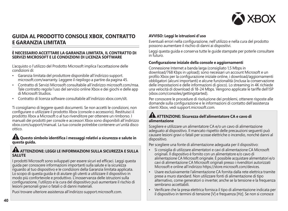

### **GUIDA AL PRODOTTO CONSOLE XBOX, CONTRATTO E GARANZIA LIMITATA**

#### **È NECESSARIO ACCETTARE LA GARANZIA LIMITATA, IL CONTRATTO DI SERVIZI MICROSOFT E LE CONDIZIONI DI LICENZA SOFTWARE**

L'acquisto o l'utilizzo del Prodotto Microsoft implica l'accettazione delle condizioni di:

- Garanzia limitata del produttore disponibile all'indirizzo support. microsoft.com/warranty. Leggere il riepilogo a partire da pagina 45.
- Contratto di Servizi Microsoft consultabile all'indirizzo microsoft.com/msa. Tale contratto regola l'uso del servizio online Xbox e dei giochi e delle app di Microsoft Studios.
- Contratto di licenza software consultabile all'indirizzo xbox.com/slt.

Ti consigliamo di leggere questi documenti. Se non accetti le condizioni, non configurare o utilizzare il prodotto Xbox (console o accessorio). Restituisci il prodotto Xbox a Microsoft o al tuo rivenditore per ottenere un rimborso. I manuali dei prodotti per console e accessori Xbox sono disponibili all'indirizzo xbox.com/support/manual. La tua console potrebbe contenere un'unità disco ottico.

#### **Questo simbolo identifica i messaggi relativi a sicurezza e salute in questa guida.**

#### **ATTENZIONE: LEGGI LE INFORMAZIONI SULLA SICUREZZA E SULLA SALUTE**

I prodotti Microsoft sono sviluppati per essere sicuri ed efficaci. Leggi questa guida per conoscere informazioni importanti sulla salute e la sicurezza riguardo al tuo dispositivo e le condizioni della Garanzia limitata applicata. Lo scopo di questa guida è di aiutare gli utenti a utilizzare il dispositivo in modo più confortevole e produttivo. L'inosservanza delle istruzioni sulla configurazione, l'utilizzo e la cura del dispositivo può aumentare il rischio di lesioni personali gravi o fatali o di danni materiali.

Puoi trovare ulteriore assistenza all'indirizzo support.microsoft.com.

#### **AVVISO: Leggi le istruzioni d'uso**

Eventuali errori nella configurazione, nell'utilizzo e nella cura del prodotto possono aumentare il rischio di danni ai dispositivi.

Leggi questa guida e conserva tutte le guide stampate per poterle consultare in futuro.

#### **Configurazione iniziale della console e aggiornamenti**

Connessione Internet a banda larga (consigliato 1,5 Mbps in download/768 Kbps in upload); sono necessari un account Microsoft e un profilo Xbox per la configurazione iniziale online, i download/aggiornamenti obbligatori (alcuni importanti) e alcune funzionalità (inclusa la conservazione delle impostazioni e delle informazioni di gioco). Lo streaming in 4K richiede una velocità di download di 18-24 Mbps. Vengono applicate le tariffe dell'ISP (xbox.com/consoles/gettingstarted).

Per conoscere le procedure di risoluzione dei problemi, ottenere risposte alle domande sulla configurazione e le informazioni di contatto dell'assistenza clienti Xbox, vedi support.microsoft.com.

### **ATTENZIONE: Sicurezza dell'alimentatore CA e cavo di alimentazione**

Scegliere e utilizzare un alimentatore CA e/o un cavo di alimentazione adeguato al dispositivo. Il mancato rispetto delle precauzioni seguenti può causare lesioni gravi o fatali per scosse elettriche o incendio, nonché danni al dispositivo.

Per scegliere una fonte di alimentazione adeguata per il dispositivo:

- Si consiglia di utilizzare alimentatori e cavi di alimentazione CA Microsoft originali. Il dispositivo è fornito con un alimentatore e/o cavo di alimentazione CA Microsoft originale. È possibile acquistare alimentatori e/o cavi di alimentazione CA Microsoft originali presso i rivenditori autorizzati Microsoft e online all'indirizzo https://store.microsoft.com/devices.
- Usare esclusivamente l'alimentazione CA fornita dalla rete elettrica tramite prese a muro standard. Non utilizzare fonti di alimentazione di tipo alternativo, come generatori o inverter, anche se la tensione e la frequenza sembrano accettabili.
- Verificare che la presa elettrica fornisca il tipo di alimentazione indicata per il dispositivo in termini di tensione [V] e frequenza [Hz]. Se non si conosce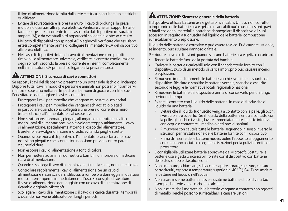il tipo di alimentazione fornita dalla rete elettrica, consultare un elettricista qualificato.

- Evitare di sovraccaricare la presa a muro, il cavo di prolunga, la presa multipla o qualsiasi altra presa elettrica. Verificare che tali supporti siano tarati per gestire la corrente totale assorbita dal dispositivo (misurata in ampere [A]) e da eventuali altri apparecchi collegati allo stesso circuito.
- Nel caso di dispositivi con spinotti AC pieghevoli, verificare che essi siano estesi completamente prima di collegare l'alimentatore CA del dispositivo alla presa elettrica.
- Nel caso di dispositivi dotati di cavo di alimentazione con spinotti rimovibili e alimentatore universale, verificare la corretta configurazione degli spinotti secondo la presa di corrente e inserirli completamente nell'alimentatore CA prima di collegarlo alla presa elettrica.

# **ATTENZIONE: Sicurezza di cavi e connettori**

Se esposti, i cavi del dispositivo presentano un potenziale rischio di inciampo. Disporre tutti i cavi in modo che persone e animali non possano inciamparvi mentre si spostano nell'area. Impedire ai bambini di giocare con fili e cavi. Per evitare di danneggiare i cavi e i connettori:

- Proteggere i cavi per impedire che vengano calpestati o schiacciati.
- Proteggere i cavi per impedire che vengano schiacciati o piegati, in particolare quando sono collegati a una presa di corrente a muro (rete elettrica), all'alimentatore e al dispositivo.
- Non strattonare, annodare, piegare, allungare o maltrattare in altro modo i cavi di alimentazione. Non avvolgere troppo saldamente il cavo di alimentazione, specialmente attorno al corpo dell'alimentatore. È preferibile avvolgerlo in spire morbide, evitando pieghe strette.
- Quando si posiziona il dispositivo o l'alimentatore, accertarsi che i cavi non siano piegati e che i connettori non siano pressati contro pareti o superfici dure.
- Non esporre i cavi di alimentazione a fonti di calore.
- Non permettere ad animali domestici o bambini di mordere o masticare i cavi di alimentazione.
- Quando si scollega il cavo di alimentazione, tirare la spina, non tirare il cavo.
- Controllare regolarmente i cavi di alimentazione. Se un cavo di alimentazione si surriscalda, si sfilaccia, si rompe o si danneggia in qualsiasi modo, interromperne immediatamente l'uso. Si consiglia di sostituire il cavo di alimentazione danneggiato con un cavo di alimentazione di ricambio originale Microsoft.
- Scollegare il cavo di alimentazione o il cavo di ricarica durante i temporali o quando non viene utilizzato per lunghi periodi.

### **ATTENZIONE: Sicurezza generale della batteria**

Il dispositivo utilizza batterie usa e getta o ricaricabili. Un uso non corretto o improprio delle batterie usa e getta o ricaricabili può causare lesioni gravi o fatali e/o danni materiali e potrebbe danneggiare il dispositivo o i suoi accessori in seguito a fuoriuscita del liquido delle batterie, combustione, surriscaldamento o esplosione.

Il liquido delle batterie è corrosivo e può essere tossico. Può causare ustioni e, se ingerito, può risultare dannoso o fatale.

Per ridurre il rischio di lesioni quando si usano batterie usa e getta o ricaricabili:

- Tenere le batterie fuori dalla portata dei bambini.
- Caricare le batterie ricaricabili solo con il caricabatterie fornito con il dispositivo. L'uso di un metodo di carica improprio può causare incendi o esplosioni.
- Rimuovere immediatamente le batterie vecchie, scariche o esaurite dal dispositivo. Riciclare o smaltire le batterie vecchie, scariche o esaurite secondo le leggi e le normative locali, regionali o nazionali.
- Rimuovere le batterie dal dispositivo prima di conservarlo per un lungo periodo di tempo.
- Evitare il contatto con il liquido delle batterie. In caso di fuoriuscita di liquido da una batteria:
	- $^{\circ}$  Evitare che il liquido fuoriuscito venga a contatto con la pelle, gli occhi, i vestiti o altre superfici. Se il liquido della batteria entra a contatto con la pelle, gli occhi o i vestiti, lavare immediatamente la parte interessata con acqua e contattare il medico o altri presidi sanitari.
	- - Rimuovere con cautela tutte le batterie, seguendo in senso inverso le istruzioni per l'installazione delle batterie fornite con il dispositivo.
	- - Prima di inserire delle batterie nuove, pulire l'apposito alloggiamento con un panno asciutto o seguire le istruzioni per la pulizia fornite dal produttore.
- È consigliabile utilizzare batterie approvate da Microsoft. Sostituire le batterie usa e getta o ricaricabili fornite con il dispositivo con batterie dello stesso tipo e classificazione.
- Non smontare, schiacciare, schiacciare, aprire, forare, spezzare, causare cortocircuiti, esporre a temperature superiori ai 40 °C (104 °F) né smaltire le batterie nel fuoco o nell'acqua.
- Non usare insieme batterie nuove e usate né batterie di tipi diversi (ad esempio, batterie zinco-carbone e alcaline).
- Non lasciare che i morsetti delle batterie vengano a contatto con oggetti di metallo perché possono surriscaldarsi e causare ustioni.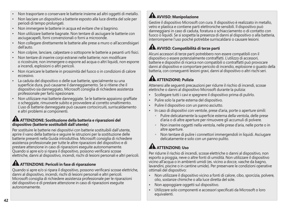- Non trasportare o conservare le batterie insieme ad altri oggetti di metallo.
- Non lasciare un dispositivo a batterie esposto alla luce diretta del sole per periodi di tempo prolungati.
- Non immergere le batterie in acqua ed evitare che si bagnino.
- Non utilizzare batterie bagnate. Non tentare di asciugare le batterie con asciugacapelli, forni convenzionali o forni a microonde.
- Non collegare direttamente le batterie alle prese a muro o all'accendisigari dell'auto.
- Non colpire, lanciare, calpestare o sottoporre le batterie a pesanti urti fisici.
- Non tentare di inserire corpi estranei nelle batterie; non modificare o ricostruire, non immergere o esporre ad acqua o altri liquidi, non esporre a incendi, esplosioni o altri pericoli.
- Non ricaricare le batterie in prossimità del fuoco o in condizioni di calore eccessivo.
- La caduta del dispositivo o delle sue batterie, specialmente su una superficie dura, può causarne il danneggiamento. Se si ritiene che il dispositivo sia danneggiato, Microsoft consiglia di richiedere assistenza professionale per farlo ispezionare.
- Non utilizzare mai batterie danneggiate. Se le batterie appaiono graffiate o scheggiate, rimuoverle subito e provvedere al corretto smaltimento. L'uso di batterie danneggiate può causare cortocircuiti, surriscaldamento e altri problemi ai componenti.

### **ATTENZIONE: Sostituzione della batteria e riparazioni del dispositivo (batterie sostituibili dall'utente)**

Per sostituire le batterie nei dispositivi con batterie sostituibili dall'utente, aprire il vano della batteria e seguire le istruzioni per la sostituzione delle batterie presenti nella Guida introduttiva. Microsoft consiglia di richiedere assistenza professionale per tutte le altre riparazioni del dispositivo e di prestare attenzione in caso di riparazioni eseguite autonomamente. Quando si apre e/o si ripara il dispositivo, possono verificarsi scosse elettriche, danni al dispositivo, incendi, rischi di lesioni personali e altri pericoli.

# **ATTENZIONE: Pericoli in fase di riparazione**

Quando si apre e/o si ripara il dispositivo, possono verificarsi scosse elettriche, danni al dispositivo, incendi, rischi di lesioni personali e altri pericoli. Microsoft consiglia di richiedere assistenza professionale per le riparazioni del dispositivo e di prestare attenzione in caso di riparazioni eseguite autonomamente.

# **AVVISO: Manipolazione**

Gestire il dispositivo Microsoft con cura. Il dispositivo è realizzato in metallo, vetro e plastica e contiene parti elettroniche sensibili. Il dispositivo può danneggiarsi in caso di caduta, foratura o schiacciamento o di contatto con fuoco o liquidi. Se si sospetta la presenza di danni al dispositivo o alla batteria, interromperne l'uso poiché potrebbe surriscaldarsi o causare lesioni.

# **AVVISO: Compatibilità di terze parti**

Alcuni accessori di terze parti potrebbero non essere compatibili con il dispositivo o essere potenzialmente contraffatti. L'utilizzo di accessori, batterie e dispositivi di ricarica non compatibili o contraffatti può provocare danni al dispositivo e comportare pericolo di incendio, esplosione o guasto della batteria, con conseguenti lesioni gravi, danni al dispositivo o altri rischi seri.

# **ATTENZIONE: Pulizia**

Attenersi alle seguenti precauzioni per ridurre il rischio di incendi, scosse elettriche o danni al dispositivo Microsoft durante la pulizia:

- Scollegare tutti i cavi e spegnere il dispositivo prima di pulirlo.
- Pulire solo la parte esterna del dispositivo.
- Pulire il dispositivo con un panno asciutto.
- In caso di dispositivi con ventole, prese d'aria, porte o aperture simili:
	- $^{\circ}$  Pulire delicatamente la superficie esterna della ventola, delle prese d'aria o di altre aperture per rimuovere gli accumuli di polvere.
	- - Non inserire oggetti nella ventola, nelle prese d'aria, nelle porte o in altre aperture.
	- - Non tentare di pulire i connettori immergendoli in liquidi. Asciugare delicatamente e solo con un panno pulito.

# **AL ATTENZIONE: Uso**

Per ridurre il rischio di incendi, scosse elettriche o danni al dispositivo, non esporlo a pioggia, neve o altre fonti di umidità. Non utilizzare il dispositivo vicino all'acqua o in ambienti umidi (es. vicino a docce, vasche da bagno, lavandini, piscine o in cantine umide). Per preservare le condizioni operative ottimali del dispositivo:

- Non utilizzare il dispositivo vicino a fonti di calore, cibo, sporcizia, polvere, olio, sostanze chimiche o alla luce diretta del sole.
- Non appoggiare oggetti sul dispositivo.
- Utilizzare solo componenti e accessori specificati da Microsoft o loro equivalenti.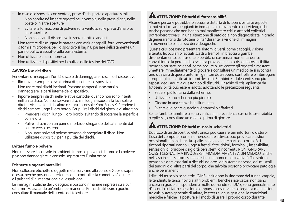- In caso di dispositivi con ventole, prese d'aria, porte o aperture simili:
	- Non coprire né inserire oggetti nella ventola, nelle prese d'aria, nelle porte o in altre aperture.
	- Evitare la formazione di polvere sulla ventola, sulle prese d'aria o su altre aperture.
	- Non collocare il dispositivo in spazi ridotti o angusti.
- Non tentare di asciugare le batterie con asciugacapelli, forni convenzionali o forni a microonde. Se il dispositivo si bagna, passare delicatamente un panno pulito e asciutto sulla parte esterna.
- Non utilizzare aria compressa.
- Non utilizzare dispositivi per la pulizia delle testine dei DVD.

### **AVVISO: Uso del disco**

Per evitare di inceppare l'unità disco o di danneggiare i dischi o il dispositivo:

- Rimuovere sempre i dischi prima di spostare il dispositivo.
- Non usare mai dischi incrinati. Possono rompersi, incastrarsi o danneggiare le parti interne del dispositivo.
- Riporre sempre i dischi nelle relative custodie, quando non sono inseriti nell'unità disco. Non conservare i dischi in luoghi esposti alla luce solare diretta, vicino a fonti di calore o sopra la console Xbox Series X. Prendere i dischi sempre lungo il loro bordo. Per pulire i dischi dei giochi e di altro tipo:
	- Prendere i dischi lungo il loro bordo, evitando di toccarne la superficie con le dita.
	- Pulire i dischi con un panno morbido, sfregando delicatamente dal centro verso l'esterno.
	- Non usare solventi poiché possono danneggiare il disco. Non utilizzare dispositivi per la pulizia dei dischi.

#### **Evitare fumo e polvere**

Non utilizzare la console in ambienti fumosi o polverosi. Il fumo e la polvere possono danneggiare la console, soprattutto l'unità ottica.

### **Etichette e oggetti metallici**

Non collocare etichette o oggetti metallici vicino alla console Xbox o sopra di essa, perché possono interferire con il controller, la connettività di rete e i pulsanti di alimentazione e di espulsione.

Le immagini statiche dei videogiochi possono rimanere impresse su alcuni schermi TV, lasciando un'ombra permanente. Prima di utilizzare i giochi, consultare il manuale dell'utente del televisore.

## **ATTENZIONE: Disturbi di fotosensibilità**

Alcune persone potrebbero accusare disturbi di fotosensibilità se esposte a motivi o luci lampeggianti in immagini in movimento o nei videogiochi. Anche persone che non hanno mai manifestato crisi o attacchi epilettici potrebbero trovarsi in una situazione di patologia non diagnosticata in grado di generare "crisi da fotosensibilità" durante la visione di immagini in movimento o l'utilizzo dei videogiochi.

Queste crisi possono presentare sintomi diversi, come capogiri, visione alterata, tic oculari o facciali, scatti o tremolii in braccia o gambe, disorientamento, confusione o perdita di coscienza momentanea. Le convulsioni o la perdita di coscienza provocate dalle crisi da fotosensibilità possono causare incidenti, come cadute o urti contro gli oggetti circostanti. Smettere immediatamente di giocare e consultare un medico se si riscontra uno qualsiasi di questi sintomi. I genitori dovrebbero controllare o interrogare i propri figli in merito ai sintomi descritti. Bambini e adolescenti sono più esposti degli adulti a questo tipo di disturbi. Il rischio di crisi epilettica da fotosensibilità può essere ridotto adottando le precauzioni seguenti:

- Sedersi più lontano dallo schermo.
- Utilizzare uno schermo più piccolo.
- Giocare in una stanza ben illuminata.
- Evitare di giocare quando si è stanchi o affaticati.

Se nell'ambito familiare si sono verificati in precedenza casi di fotosensibilità o epilessia, consultare un medico prima di giocare.

## **ATTENZIONE: Disturbi muscolo-scheletrici**

L'utilizzo di un dispositivo elettronico può causare seri infortuni o disturbi. L'uso del computer, come numerose altre attività, può provocare fastidi occasionali a mani, braccia, spalle, collo o ad altre parti del corpo. Se i sintomi riportati danno luogo a fastidi, fitte, dolori, formicolii, insensibilità, sensazioni di bruciore o rigidità persistenti o ricorrenti, NON IGNORARE QUESTI SEGNALI MA RIVOLGERSI IMMEDIATAMENTE A UN MEDICO, anche nel caso in cui i sintomi si manifestino in momenti di inattività. Tali sintomi possono essere associati a disturbi dolorosi del sistema nervoso, dei muscoli, dei tendini o di altre parti del corpo, che talvolta possono provocare patologie anche permanenti.

I disturbi muscolo-scheletrici (DMS) includono la sindrome del tunnel carpale, le tendiniti, le tenosinoviti e altri problemi. Benché i ricercatori non siano ancora in grado di rispondere a molte domande sui DMS, sono generalmente d'accordo sul fatto che la loro comparsa possa essere collegata a molti fattori, tra cui: lo stato generale di salute, lo stress e la sua gestione, le condizioni mediche e fisiche, la postura e il modo di usare il proprio corpo durante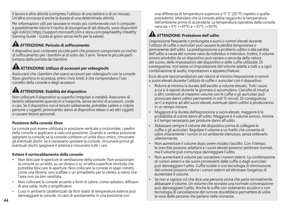il lavoro e altre attività (compreso l'utilizzo di una tastiera o di un mouse). Un'altra concausa è anche la durata di una determinata attività.

Per informazioni utili per lavorare in modo più confortevole con il computer e possibilmente ridurre il rischio di insorgenza di tali disturbi, sono disponibili agli indirizzi https://support.microsoft.com e xbox.com/playhealthy (Healthy Gaming Guide - Guida al gioco senza rischi per la salute).

## **ATTENZIONE: Pericolo di soffocamento**

Il dispositivo può contenere piccole parti che possono comportare un rischio di soffocamento per i bambini al di sotto dei 3 anni. Tenere le piccole parti lontano dalla portata dei bambini.

# **ATTENZIONE: Utilizzo di accessori per videogiochi**

Assicurarsi che i bambini che usano accessori per videogiochi con la console Xbox giochino in sicurezza, entro i loro limiti, e che comprendano l'uso corretto della console e degli accessori.

# **ATTENZIONE: Stabilità del dispositivo**

Non collocare il dispositivo su superfici irregolari o instabili. Assicurarsi di tenerlo saldamente quando lo si trasporta, senza servirsi di accessori, corde o cavi. Se il dispositivo non è tenuto saldamente, potrebbe cadere o colpire persone o oggetti, provocando danni al dispositivo stesso o ad altri oggetti o causare lesioni personali.

### **Posizione della console Xbox**

La console può essere utilizzata in posizione verticale o orizzontale; i piedini della console si applicano a ciascuna posizione. Quando si cambia posizione, spegnere la console; se la console contiene un'unità disco ottico, rimuovere gli eventuali dischi. Se è necessario spostare la console, rimuovere prima gli eventuali dischi, spegnere il sistema e rimuovere tutti i cavi.

### **Evitare il surriscaldamento della console:**

- Non bloccare le aperture di ventilazione della console. Non posizionare la console su un letto, su un divano o su un'altra superficie morbida che potrebbe bloccare le aperture. Non collocare la console in spazi ristretti, come una libreria, uno scaffale o un armadietto per lo stereo, a meno che l'area non sia ben ventilata.
- Non collocare la console accanto a fonti di calore, come radiatori, diffusori di aria calda, stufe o amplificatori.
- L'uso in ambienti caratterizzati da forti sbalzi di temperatura esterna può danneggiare la console. In caso di spostamento in una posizione con

una differenza di temperatura superiore a 11 °C (20 ºF) rispetto a quella precedente, attendere che la console abbia raggiunto la temperatura dell'ambiente prima di accenderla. La temperatura operativa della console varia da +5ºC (+41ºF) a +35ºC (+95ºF).

### **ATTENZIONE: Protezione dell'udito**

L'esposizione frequente o prolungata a suoni o rumori elevati durante l'utilizzo di cuffie o auricolari può causare la perdita temporanea o permanente dell'udito. La predisposizione a problemi uditivi o alla perdita dell'udito a causa del rumore varia da individuo a individuo. Inoltre, il volume sonoro prodotto da un dispositivo può variare a seconda della natura del suono, delle impostazioni del dispositivo e delle cuffie utilizzate. Di conseguenza, non esiste un'impostazione del volume adatta a tutti o a ogni combinazione di audio, impostazioni e apparecchiature.

Ecco alcune raccomandazioni per ridurre al minimo l'esposizione a rumori o suoni elevati durante l'utilizzo di cuffie o auricolari con il dispositivo:

- Ridurre al minimo la durata dell'ascolto a volume elevato. Tutti i suoni a cui si è esposti durante la giornata si accumulano. L'ascolto di musica o altri contenuti al massimo volume con le cuffie o gli auricolari può provocare danni uditivi permanenti in soli 15 minuti. Di conseguenza, se ci si espone ad altri suoni elevati, eventuali danni uditivi si produrranno in un tempo minore.
- Maggiore è la durata dell'esposizione a suoni elevati, maggiore è la probabilità di subire danni all'udito. Maggiore è il volume sonoro, minore è il tempo necessario per produrre danni all'udito.
- Abbassare sempre il volume del dispositivo prima di collegare le cuffie o gli auricolari. Regolare il volume a un livello che consenta di udire chiaramente i rumori in un ambiente silenzioso, senza sollevarlo ulteriormente.
- Non aumentare il volume dopo avere iniziato l'ascolto. Con il tempo, le orecchie possono adattarsi e i suoni elevati possono sembrare normali, ma il volume può comunque danneggiare l'udito.
- Non aumentare il volume per sovrastare i rumori esterni. La combinazione di rumori esterni e dei suoni provenienti dalle cuffie o dagli auricolari può danneggiare l'udito. Cuffie isolate o con tecnologia di eliminazione del rumore possono ridurre i rumori esterni ed eliminare l'esigenza di aumentare il volume.
- Se non si capisce ciò che dice una persona vicina che parla normalmente, abbassare il volume. Un volume che sovrasta una normale conversazione può danneggiare l'udito. Anche le cuffie con isolamento acustico o con tecnologia di cancellazione del rumore dovrebbero permettere di udire la voce delle persone che parlano nelle vicinanze.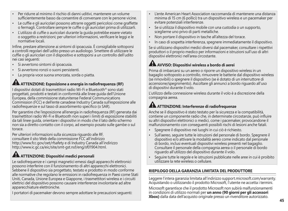- Per ridurre al minimo il rischio di danni uditivi, mantenere un volume sufficientemente basso da consentire di conversare con le persone vicine.
- Le cuffie e gli auricolari possono attrarre oggetti pericolosi come graffette o fermagli. Controllare sempre le cuffie o gli auricolari prima di utilizzarli.
- L'utilizzo di cuffie o auricolari durante la guida potrebbe essere vietato o soggetto a restrizioni; per ulteriori informazioni, verificare le leggi e le normative locali.

Infine, prestare attenzione ai sintomi di ipoacusia. È consigliabile sottoporsi a controlli regolari dell'udito presso un audiologo. Smettere di utilizzare le cuffie o gli auricolari con il dispositivo e sottoporsi a un controllo dell'udito nei casi seguenti:

- Si avvertono sintomi di ipoacusia.
- Si avvertono ronzii o suoni persistenti.
- La propria voce suona smorzata, sorda o piatta.

### **ATTENZIONE: Esposizione a energia in radiofrequenza (RF)**

I dispositivi dotati di trasmettitori radio Wi-Fi e Bluetooth® sono stati progettati, prodotti e testati in conformità alle linee guida dell'Unione Europea, della commissione statunitense Federal Communications Commission (FCC) e dell'ente canadese Industry Canada sull'esposizione alle radiofrequenze e sul tasso di assorbimento specifico (o SAR).

Per garantire che l'esposizione all'energia in radiofrequenza (RF) generata dai trasmettitori radio Wi-Fi e Bluetooth non superi i limiti di esposizione stabiliti da tali linee guida, orientare i dispositivi in modo che il lato dello schermo non sia a diretto contatto con il corpo, ad esempio posato sulle gambe o sul torace.

Per ulteriori informazioni sulla sicurezza riguardo alle RF, consultare il sito Web della commissione FCC all'indirizzo http://www.fcc.gov/oet/rfsafety e di Industry Canada all'indirizzo http://www.ic.gc.ca/eic/site/smt-gst.nsf/eng/sf01904.html.

# **ATTENZIONE: Dispositivi medici personali**

Le radiofrequenze e i campi magnetici emessi dagli apparecchi elettronici possono interferire con il funzionamento di altri apparecchi elettronici. Sebbene il dispositivo sia progettato, testato e prodotto in modo conforme alle normative che regolano le emissioni in radiofrequenza in Paesi come Stati Uniti, Canada, Unione Europea e Giappone, i trasmettitori wireless e i circuiti elettrici del dispositivo possono causare interferenze involontarie ad altre apparecchiature elettroniche.

I portatori di pacemaker devono sempre adottare le precauzioni seguenti:

- L'ente American Heart Association raccomanda di mantenere una distanza minima di 15 cm (6 pollici) tra un dispositivo wireless e un pacemaker per evitare potenziali interferenze.
- Se si utilizza il dispositivo mobile con una custodia o un supporto, sceglierne uno privo di parti metalliche.
- Non portare il dispositivo in tasche all'altezza del torace.
- In caso di sospetta interferenza, spegnere immediatamente il dispositivo.

Se si utilizzano dispositivi medici diversi dal pacemaker, consultare i rispettivi produttori o il proprio medico per informazioni e istruzioni sull'uso di altri dispositivi elettronici nell'area circostante.

# **AVVISO: Dispositivi wireless a bordo di aerei**

Prima di imbarcarsi su un aereo o riporre un dispositivo wireless in un bagaglio sottoposto a controllo, rimuovere le batterie dal dispositivo wireless (se rimovibili) o spegnere il dispositivo (se è dotato di un interruttore di accensione/spegnimento). Ascoltare gli annunci a bordo riguardo all'uso di dispositivi durante il volo.

L'utilizzo della connessione wireless durante il volo è a discrezione della compagnia aerea.

## **ATTENZIONE: Interferenze di radiofrequenze**

Anche se il dispositivo è stato testato per la sicurezza e la compatibilità, contiene un componente radio che, in determinate circostanze, può influire su altri dispositivi elettronici o medici, come i pacemaker, provocandone il malfunzionamento con conseguenti possibili rischi di lesioni anche fatali.

- Spegnere il dispositivo nei luoghi in cui ciò è richiesto.
- Sull'aereo, seguire tutte le istruzioni del personale di bordo. Spegnere il dispositivo e/o attivare la modalità aereo come indicato dal personale di bordo, inclusi eventuali dispositivi wireless presenti nel bagaglio. Consultare il personale della compagnia aerea o il personale di bordo riguardo all'utilizzo del dispositivo durante il volo.
- Seguire tutte le regole e le istruzioni pubblicate nelle aree in cui è proibito utilizzare la rete wireless o cellulare.

### **RIEPILOGO DELLA GARANZIA LIMITATA DEL PRODUTTORE**

Leggere l'intera garanzia limitata all'indirizzo support.microsoft.com/warranty. Acquistando o utilizzando il prodotto Microsoft, l'utente ne accetta i termini.

Microsoft garantisce che il prodotto Microsoft non subirà malfunzionamenti in condizioni di utilizzo normali per **un anno (90 giorni per gli accessori Xbox)** dalla data dell'acquisto originale presso un rivenditore autorizzato.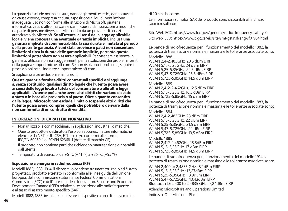La garanzia esclude normale usura, danneggiamenti estetici, danni causati da cause esterne, compresa caduta, esposizione a liquidi, ventilazione inadeguata, uso non conforme alle istruzioni di Microsoft, pirateria informatica, virus o altro malware e danni causati da riparazioni o modifiche da parte di persone diverse da Microsoft o da un provider di servizi autorizzato da Microsoft. **Se all'utente, ai sensi della legge applicabile locale, viene concessa una eventuale garanzia implicita, inclusa una garanzia implicita di commerciabilità, la sua durata è limitata al periodo della presente garanzia. Alcuni stati, province o paesi non consentono limitazioni circa la durata delle garanzie implicite, pertanto queste limitazioni potrebbero non essere applicabili.** Per ottenere assistenza in garanzia, utilizzare prima i suggerimenti per la risoluzione dei problemi forniti nella pagina support.microsoft.com. Se non risolvono il problema, seguire il processo online all'indirizzo support.microsoft.com.

Si applicano altre esclusioni e limitazioni.

**Questa garanzia fornisce diritti contrattuali specifici e si aggiunge a, senza sostituirlo, qualsiasi diritto legale che l'utente possa avere ai sensi delle leggi locali a tutela del consumatore o alle altre leggi applicabili. L'utente può anche avere altri diritti che variano da stato a stato o in base alla provincia o al paese. Oltre a quanto consentito dalla legge, Microsoft non esclude, limita o sospende altri diritti che l'utente possa avere, compresi quelli che potrebbero derivare dalla non conformità di un contratto di vendita.**

#### **INFORMAZIONI DI CARATTERE NORMATIVO**

- Non utilizzabile con macchinari, in applicazioni industriali o mediche.
- Questo prodotto è destinato all'uso con apparecchiature informatiche elencate da NRTL (UL, CSA, ETL ecc.) e/o conformi alle norme IEC/EN 60950-1 o IEC/EN 62368-1 (dotate di marchio CE).
- Il prodotto non contiene parti che richiedono manutenzione o riparabili dall'utente.
- Temperatura di esercizio: da +5 °C (+41 °F) a +35 °C (+95 °F).

### **Esposizione a energia in radiofrequenza (RF)**

Modelli 1882, 1883, 1914: il dispositivo contiene trasmettitori radio ed è stato progettato, prodotto e testato in conformità alle linee guida dell'Unione Europea, della commissione statunitense Federal Communications Commission (FCC) e dell'ente canadese Innovation, Science and Economic Development Canada (ISED) relative all'esposizione alle radiofrequenze e al tasso di assorbimento specifico (SAR).

Modelli 1882, 1883: installare e utilizzare il dispositivo a una distanza minima

di 20 cm dal corpo.

Le informazioni sui valori SAR del prodotto sono disponibili all'indirizzo sarmicrosoft.com

Sito Web FCC: https://www.fcc.gov/general/radio-frequency-safety-0 Sito web ISED: https://www.ic.gc.ca/eic/site/smt-gst.nsf/eng/sf01904.html

Le bande di radiofrequenza per il funzionamento del modello 1882, la potenza di trasmissione nominale massima e le tolleranze associate sono:

Modello 1888

WLAN 2,4-2,483GHz, 20,5 dBm EIRP WLAN 5,15-5,25GHz, 24 dBm EIRP WLAN 5,25-5,35GHz, 24,5 dBm EIRP WLAN 5,47-5,725GHz, 25,5 dBm EIRP WLAN 5,725-5,85GHz, 14,5 dBm EIRP

Modello 1889 WLAN 2,412-2,462GHz, 12,5 dBm EIRP WLAN 5,15-5,25GHz, 16,5 dBm EIRP WLAN 5,725-5,85GHz, 15 dBm EIRP

Le bande di radiofrequenza per il funzionamento del modello 1883, la potenza di trasmissione nominale massima e le tolleranze associate sono:

Modello 1884 WLAN 2,4-2,483GHz, 23 dBm EIRP WLAN 5,15-5,25GHz, 22 dBm EIRP WLAN 5,25-5,35GHz, 21.5 dBm EIRP

WLAN 5,47-5,725GHz, 22 dBm EIRP WLAN 5,725-5,85GHz, 13,5 dBm EIRP

Modello 1885 WLAN 2,412-2,462GHz, 15,5dBm EIRP WLAN 5,15-5,25GHz, 17 dBm EIRP WLAN 5,725-5,85GHz, 14,5 dBm EIRP

Le bande di radiofrequenza per il funzionamento del modello 1914, la potenza di trasmissione nominale massima e le tolleranze associate sono:

WLAN 2,400 to 2,4835 GHz : 8,2dBm EIRP WLAN 5,15-5,25GHz : 13,27dBm EIRP WLAN 5,25-5,35GHz : 13,9dBm EIRP WLAN 5,47-5,725GHz : 13,43dBm EIRP Bluetooth LE 2,400 to 2,4835 GHz : 7,24dBm EIRP

Azienda: Microsoft Ireland Operations Limited

Indirizzo: One Microsoft Place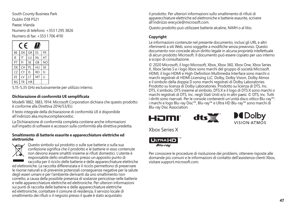South County Business Park Dublin D18 P521 Paese: Irlanda Numero di telefono: +353 1 295 3826 Numero di fax: +353 1 706 4110



5,15-5,35 GHz esclusivamente per utilizzo interno.

#### **Dichiarazione di conformità UE semplificata**

Modelli 1882, 1883, 1914: Microsoft Corporation dichiara che questo prodotto è conforme alla Direttiva 2014/53/EU.

Il testo integrale della dichiarazione di conformità UE è disponibile all'indirizzo aka.ms/eucompliancedoc.

La Dichiarazione di conformità completa contiene anche informazioni sull'impatto di software e accessori sulla conformità alla direttiva predetta.

#### **Smaltimento di batterie esaurite e apparecchiature elettriche ed elettroniche**



Questo simbolo sul prodotto o sulle sue batterie o sulla sua confezione significa che il prodotto e le batterie in esso contenute non devono essere smaltiti insieme ai rifiuti domestici. L'utente è responsabile dello smaltimento presso un apposito punto di raccolta per il riciclo delle batterie e delle apparecchiature elettriche

ed elettroniche. La raccolta differenziata e il riciclo permettono di preservare le risorse naturali e di prevenire potenziali conseguenze negative per la salute degli esseri umani e per l'ambiente derivanti da uno smaltimento non corretto, a causa della possibile presenza di sostanze pericolose nelle batterie e nelle apparecchiature elettriche ed elettroniche. Per ulteriori informazioni sui punti di raccolta delle batterie e delle apparecchiature elettriche ed elettroniche, contattare il comune di residenza, il servizio locale di smaltimento dei rifiuti o il negozio presso il quale è stato acquistato

il prodotto. Per ulteriori informazioni sullo smaltimento di rifiuti di apparecchiature elettriche ed elettroniche e batterie esaurite, scrivere all'indirizzo erecycle@microsoft.com.

Questo prodotto può utilizzare batterie alcaline, NiMH o al litio.

### **Copyright**

Le informazioni contenute nel presente documento, inclusi gli URL e altri riferimenti a siti Web, sono soggette a modifiche senza preavviso. Questo documento non concede alcun diritto legale in alcuna proprietà intellettuale di alcun prodotto Microsoft. Il documento può essere copiato per uso interno a scopo di consultazione.

© 2020 Microsoft, il logo Microsoft, Xbox, Xbox 360, Xbox One, Xbox Series X, Xbox Series S e i logo Xbox sono marchi del gruppo di società Microsoft. HDMI, il logo HDMI e High-Definition Multimedia Interface sono marchi o marchi registrati di HDMI Licensing LLC. Dolby, Dolby Vision, Dolby Atmos e il simbolo della doppia D sono marchi registrati di Dolby Laboratories. Prodotto su licenza di Dolby Laboratories. Prodotto su licenza di DTS, Inc. DTS, il simbolo, DTS insieme al simbolo, DTS:X e il logo di DTS:X sono marchi o marchi registrati di DTS, Inc. negli Stati Uniti e/o in altri paesi. © DTS, Inc. Tutti i diritti sono riservati. Per le console contenenti un'unità disco ottico Blu-ray™: i marchi e logo Blu-ray Disc™, Blu-ray™ e Ultra HD Blu-ray™ sono marchi di Blu-ray Disc Association.







Xbox Series X



Per conoscere le procedure di risoluzione dei problemi, ottenere risposte alle domande più comuni e le informazioni di contatto dell'assistenza clienti Xbox, visitare support.microsoft.com.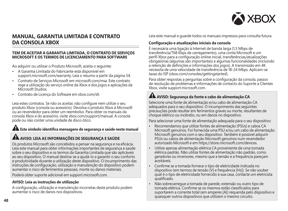

### **MANUAL, GARANTIA LIMITADA E CONTRATO DA CONSOLA XBOX**

#### **TEM DE ACEITAR A GARANTIA LIMITADA, O CONTRATO DE SERVIÇOS MICROSOFT E OS TERMOS DE LICENCIAMENTO PARA SOFTWARE**

Ao adquirir ou utilizar o Produto Microsoft, aceita o seguinte:

- A Garantia Limitada do Fabricante está disponível em support.microsoft.com/warranty. Leia o resumo a partir da página 54.
- Contrato de Serviços Microsoft em microsoft.com/msa. Este contrato rege a utilização do serviço online da Xbox e dos jogos e aplicações da Microsoft Studios.
- Contrato de Licença do Software em xbox.com/slt.

Leia estes contratos. Se não os aceitar, não configure nem utilize o seu produto Xbox (consola ou acessório). Devolva o produto Xbox à Microsoft ou ao revendedor para obter um reembolso. Para obter os manuais da consola Xbox e do acessório, visite xbox.com/support/manual. A consola pode ou não conter uma unidade de disco ótico.

# **Este símbolo identifica mensagens de segurança e saúde neste manual**

### **AVISO: LEIA AS INFORMAÇÕES DE SEGURANÇA E SAÚDE**

Os produtos Microsoft são concebidos a pensar na segurança e na eficácia. Leia este manual para obter informações importantes de segurança e saúde sobre o seu dispositivo e os termos da Garantia Limitada que são aplicáveis ao seu dispositivo. O manual destina-se a ajudá-lo a garantir o seu conforto e produtividade durante a utilização deste dispositivo. O incumprimento das instruções de configuração, utilização e manutenção do dispositivo podem aumentar o risco de ferimentos pessoais, morte ou danos materiais.

Poderá obter suporte adicional em support.microsoft.com.

#### **AVISO: Leia as instruções de utilização**

A configuração, utilização e manutenção incorretas deste produto podem aumentar o risco de danos nos dispositivos.

Leia este manual e guarde todos os manuais impressos para consulta futura.

#### **Configuração e atualizações iniciais da consola**

É necessária uma ligação à Internet de banda larga (1,5 Mbps de transferência/768 Kbps de carregamento), uma conta Microsoft e um perfil Xbox para a configuração online inicial, transferências/atualizações obrigatórias (algumas são importantes) e algumas funcionalidades (incluindo a retenção de definições e informações dos jogos). A transmissão em 4K necessita de uma velocidade de transferência de 18-24 Mbps. Aplicam-se taxas do ISP (xbox.com/consoles/gettingstarted).

Para obter respostas a perguntas sobre a configuração da consola, passos de resolução de problemas e informações de contacto do Suporte a Clientes Xbox, visite support.microsoft.com.

## **AVISO: Segurança da fonte e cabo de alimentação CA**

Selecione uma fonte de alimentação e/ou cabo de alimentação CA adequados para o seu dispositivo. O incumprimento das seguintes precauções pode resultar em ferimentos graves ou morte, resultantes de choque elétrico ou incêndio, ou em danos no dispositivo.

Para selecionar uma fonte de alimentação adequada para o seu dispositivo:

- Recomendamos que utilize fontes de alimentação (PSUs) e cabos CA Microsoft genuínos. Foi fornecida uma PSU e/ou um cabo de alimentação Microsoft genuínos com o seu dispositivo. Também é possível adquirir PSUs ou cabos de alimentação Microsoft genuínos num revendedor autorizado Microsoft e em https://store.microsoft.com/devices.
- Utilize apenas alimentação elétrica CA proveniente de uma tomada elétrica padrão. Não utilize fontes de alimentação não padrão, como geradores ou inversores, mesmo que a tensão e a frequência pareçam aceitáveis.
- Confirme se a tomada fornece o tipo de eletricidade indicada no dispositivo (em termos de tensão [V] e frequência [Hz]). Se não souber qual é o tipo de eletricidade fornecido à sua casa, contacte um eletricista qualificado.
- Não sobrecarregue a tomada de parede, extensão ou outro tipo de tomada elétrica. Confirme se os mesmos estão classificados para suportarem a corrente total (em amperes [A]) requerida pelo dispositivo e quaisquer outros dispositivos que utilizem o mesmo circuito.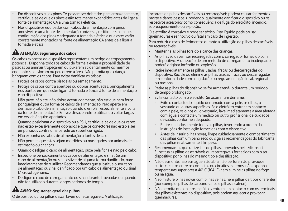**49**

- Em dispositivos cujos pinos CA possam ser dobrados para armazenamento, certifique-se de que os pinos estão totalmente expandidos antes de ligar a fonte de alimentação CA a uma tomada elétrica.
- Nos dispositivos equipados com cabos de alimentação com pinos amovíveis e uma fonte de alimentação universal, certifique-se de que a configuração dos pinos é adequada à tomada elétrica e que estes estão corretamente montados na fonte de alimentação CA antes de a ligar à tomada elétrica.

# **ATENÇÃO: Segurança dos cabos**

Os cabos expostos do dispositivo representam um perigo de tropeçamento potencial. Disponha todos os cabos de forma a evitar a probabilidade de pessoas ou animais tropeçarem ou puxarem acidentalmente os mesmos enquanto se deslocam ou percorrem a área. Não permita que crianças brinquem com os cabos. Para evitar danificar os cabos:

- Proteja os cabos contra pisadelas ou esmagamento.
- Proteja os cabos contra apertões ou dobras acentuadas, principalmente nos pontos em que estes ligam à tomada elétrica, à fonte de alimentação e ao dispositivo.
- Não puxe, não ate, não dobre acentuadamente, não estique nem force por qualquer outra forma os cabos de alimentação. Não aperte em demasia o cabo de alimentação quando o enrolar, especialmente à volta da fonte de alimentação. Em vez disso, enrole-o utilizando voltas largas em vez de ângulos apertados.
- Quando posicionar o dispositivo ou a PSU, certifique-se de que os cabos não estão excessivamente dobrados e que os conectores não estão a ser empurrados contra uma parede ou superfície rígida.
- Não exponha os cabos de alimentação a fontes de calor.
- Não permita que estes sejam mordidos ou mastigados por animais de estimação ou crianças.
- Quando desligar o cabo de alimentação, puxe pela ficha e não pelo cabo.
- Inspecione periodicamente os cabos de alimentação e sinal. Se um cabo de alimentação ou sinal estiver de alguma forma danificado, pare imediatamente de o utilizar. Recomendamos que substitua o seu cabo de alimentação ou sinal danificado por um cabo de alimentação ou sinal Microsoft genuíno.
- Desligue o cabo de carregamento ou sinal durante trovoadas ou quando não for utilizado durante longos períodos de tempo.

# **AL** AVISO: Segurança geral das pilhas

O dispositivo utiliza pilhas descartáveis ou recarregáveis. A utilização

incorreta de pilhas descartáveis ou recarregáveis poderá causar ferimentos, morte e danos pessoais, podendo igualmente danificar o dispositivo ou os respetivos acessórios como consequência de fuga do eletrólito, incêndio, sobreaquecimento ou explosão.

O eletrólito é corrosivo e pode ser tóxico. Este líquido pode causar queimaduras e ser nocivo ou fatal em caso de ingestão.

Para reduzir o risco de ferimentos durante a utilização de pilhas descartáveis ou recarregáveis:

- Mantenha as pilhas fora do alcance das crianças.
- As pilhas só devem ser recarregadas com o carregador fornecido com o dispositivo. A utilização de um método de carregamento inadequado poderá originar incêndio ou explosão.
- Retire imediatamente as pilhas usadas, fracas ou descarregadas do dispositivo. Recicle ou elimine as pilhas usadas, fracas ou descarregadas em conformidade com a legislação ou regulamentação local, regional ou nacional
- Retire as pilhas do dispositivo se for armazená-lo durante um período de tempo prolongado.
- Evite contacto com o eletrólito. Se ocorrer um derrame:
	- $\circ$  Evite o contacto do líquido derramado com a pele, os olhos, o vestuário ou outras superfícies. Se o eletrólito entrar em contacto com a pele, os olhos ou o vestuário, lave imediatamente a área afetada com água e contacte um médico ou outro profissional de cuidados de saúde, conforme adequado.
	- - Retire cuidadosamente todas as pilhas, invertendo a ordem das instruções de instalação fornecidas com o dispositivo.
	- - Antes de inserir pilhas novas, limpe cuidadosamente o compartimento das pilhas com um pano seco ou siga as recomendações do fabricante das pilhas relativamente à limpeza.
- Recomendamos que utilize kits de pilhas aprovados pela Microsoft. Substitua as pilhas descartáveis ou recarregáveis fornecidas com o seu dispositivo por pilhas do mesmo tipo e classificação.
- Não desmonte, não esmague, não abra, não perfure, não provoque curto-circuitos entre os contactos ou circuitos externos, não exponha a temperaturas superiores a 40° C (104° F) nem elimine as pilhas no fogo ou na água.
- Não misture pilhas novas com pilhas velhas, nem pilhas de tipos diferentes (por exemplo: pilhas de carbono-zinco e pilhas alcalinas).
- Não permita que objetos metálicos entrem em contacto com os terminais das pilhas existentes no dispositivo, pois podem aquecer e provocar queimaduras.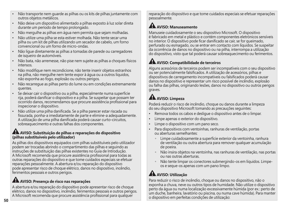- Não transporte nem guarde as pilhas ou os kits de pilhas juntamente com outros objetos metálicos.
- Não deixe um dispositivo alimentado a pilhas exposto à luz solar direta durante um período de tempo prolongado.
- Não mergulhe as pilhas em água nem permita que sejam molhadas.
- Não utilize uma pilha se esta estiver molhada. Não tente secar uma pilha ou um kit de pilhas utilizando um secador de cabelo, um forno convencional ou um forno de micro-ondas.
- Não ligue diretamente as pilhas a tomadas de parede ou carregadores de isqueiro de automóveis.
- Não bata, não arremesse, não pise nem sujeite as pilhas a choques físicos intensos.
- Não modifique nem recondicione, não tente inserir objetos estranhos na pilha, não mergulhe nem tente expor à água ou a outros líquidos, não exponha ao fogo, explosão ou outros perigos.
- Não recarregue as pilhas perto do lume ou em condições extremamente quentes.
- Se deixar cair o dispositivo ou a pilha, especialmente numa superfície rija, poderá danificar o dispositivo e a pilha. Se suspeitar que possam ter ocorrido danos, recomendamos que procure assistência profissional para inspecionar o dispositivo.
- Não utilize uma pilha danificada. Se a pilha parecer estar riscada ou fissurada, ponha-a imediatamente de parte e elimine-a adequadamente. A utilização de uma pilha danificada poderá causar curto-circuitos, sobreaquecimento e outras falhas dos componentes.

### **AVISO: Substituição de pilhas e reparações do dispositivo (pilhas substituíveis pelo utilizador)**

As pilhas dos dispositivos equipados com pilhas substituíveis pelo utilizador podem ser trocadas abrindo o compartimento das pilhas e seguindo as instruções de substituição das pilhas existentes no Guia de Introdução. A Microsoft recomenda que procure assistência profissional para todas as outras reparações do dispositivo e que tome cuidados especiais se efetuar reparações pessoalmente. A abertura e/ou reparação do dispositivo pode apresentar risco de choque elétrico, danos no dispositivo, incêndio, ferimentos pessoais e outros perigos.

## **AVISO: Presença de risco nas reparações**

A abertura e/ou reparação do dispositivo pode apresentar risco de choque elétrico, danos no dispositivo, incêndio, ferimentos pessoais e outros perigos. A Microsoft recomenda que procure assistência profissional para qualquer

reparação do dispositivo e que tome cuidados especiais se efetuar reparações pessoalmente.

# **AVISO: Manuseamento**

Manuseie cuidadosamente o seu dispositivo Microsoft. O dispositivo é fabricado em metal e plástico e contém componentes eletrónicos sensíveis no interior. O dispositivo pode ficar danificado se cair, se for queimado, perfurado ou esmagado, ou se entrar em contacto com líquidos. Se suspeitar da ocorrência de danos no dispositivo ou na pilha, interrompa a utilização do dispositivo, visto que tal poderá causar sobreaquecimento ou ferimentos.

# **AVISO: Compatibilidade de terceiros**

Alguns acessórios de terceiros podem ser incompatíveis com o seu dispositivo ou ser potencialmente falsificados. A utilização de acessórios, pilhas e dispositivos de carregamento incompatíveis ou falsificados poderá causar danos no dispositivo e representar um risco possível de incêndio, explosão ou falha das pilhas, originando lesões, danos no dispositivo ou outros perigos graves.

# **AVISO: Limpeza**

Poderá reduzir o risco de incêndio, choque ou danos durante a limpeza do seu dispositivo Microsoft tomando as precauções seguintes:

- Remova todos os cabos e desligue o dispositivo antes de o limpar.
- Limpe apenas o exterior do dispositivo.
- Limpe o dispositivo com um pano seco.
- Para dispositivos com ventoinhas, ranhuras de ventilação, portas ou aberturas semelhantes:
	- - Limpe cuidadosamente a superfície exterior da ventoinha, ranhura de ventilação ou outra abertura para remover qualquer acumulação de poeira.
	- - Não insira objetos na ventoinha, nas ranhuras de ventilação, nas portas ou nas outras aberturas.
	- - Não tente limpar os conectores submergindo-os em líquidos. Limpeos e seque-os apenas com um pano limpo.

# **AVISO: Utilização**

Para reduzir o risco de incêndio, choque ou danos no dispositivo, não o exponha a chuva, neve ou outros tipos de humidade. Não utilize o dispositivo perto da água ou numa localização excessivamente húmida (por ex.: perto de um duche, banheira, lavatório ou piscina, ou numa cave húmida). Para manter o dispositivo em perfeitas condições de utilização: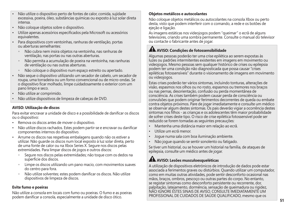- Não utilize o dispositivo perto de fontes de calor, comida, sujidade excessiva, poeira, óleo, substâncias químicas ou exposto à luz solar direta intensa.
- Não coloque objetos sobre o dispositivo.
- Utilize apenas acessórios especificados pela Microsoft ou acessórios equivalentes.
- Para dispositivos com ventoinhas, ranhuras de ventilação, portas ou aberturas semelhantes:
	- Não cubra nem insira objetos na ventoinha, nas ranhuras de ventilação, nas portas ou nas outras aberturas.
	- Não permita a acumulação de poeira na ventoinha, nas ranhuras de ventilação ou nas outras aberturas.
	- Não coloque o dispositivo num espaço estreito ou apertado.
- Não seque o dispositivo utilizando um secador de cabelo, um secador de roupa, uma torradeira ou um forno convencional ou de micro-ondas. Se o dispositivo ficar molhado, limpe cuidadosamente o exterior com um pano limpo e seco.
- Não utilize ar comprimido.
- Não utilize dispositivos de limpeza de cabeças de DVD.

### **AVISO: Utilização de discos**

Para evitar encravar a unidade de disco e a possibilidade de danificar os discos ou o dispositivo:

- Remova os discos antes de mover o dispositivo.
- Não utilize discos rachados. Estes podem partir-se e encravar ou danificar componentes internos do dispositivo.
- Arrume os discos nas respetivas embalagens quando não os estiver a utilizar. Não guarde os discos num local exposto à luz solar direta, perto de uma fonte de calor ou na Xbox Series X. Segure nos discos pelas extremidades. Para limpar discos de jogos e outros discos:
	- - Segure nos discos pelas extremidades; não toque com os dedos na superfície dos discos.
	- Limpe os discos utilizando um pano macio, com movimentos suaves do centro para fora.
	- Não utilize solventes; estes podem danificar os discos. Não utilize dispositivos de limpeza de discos.

### **Evite fumo e poeiras**

Não utilize a consola em locais com fumo ou poeiras. O fumo e as poeiras podem danificar a consola, especialmente a unidade de disco ótico.

### **Objetos metálicos e autocolantes**

Não coloque objetos metálicos ou autocolantes na consola Xbox ou perto desta, visto que podem interferir com o comando, a rede e os botões de ejeção e ligação.

As imagens estáticas nos videojogos podem "queimar" o ecrã de alguns televisores, criando uma sombra permanente. Consulte o manual do televisor ou contacte o fabricante antes de jogar.

## **AVISO: Condições de fotossensibilidade**

Algumas pessoas poderão ter uma crise epilética ao serem expostas às luzes ou padrões intermitentes existentes em imagens em movimento ou videojogos. Mesmo pessoas sem qualquer histórico de crises ou epilepsia podem ter uma condição não diagnosticada que possa causar "crises epiléticas fotossensíveis" durante o visionamento de imagens em movimento ou videojogos.

Estas crises poderão ter vários sintomas, incluindo tonturas, alterações de visão, espasmos nos olhos ou no rosto, espasmos ou tremores nos braços ou nas pernas, desorientação, confusão ou perda momentânea de consciência. As crises também podem causar perda de consciência ou convulsões que podem originar ferimentos decorrentes de queda ou embate contra objetos próximos. Pare de jogar imediatamente e consulte um médico se observar algum destes sintomas. Os pais deverão vigiar a ocorrência destes sintomas nos filhos - as crianças e os adolescentes têm maior probabilidade de sofrer crises deste tipo. O risco de crise epilética fotossensível pode ser reduzido se forem tomadas as seguintes precauções:

- Mantenha uma distância maior em relação ao ecrã.
- Utilize um ecrã menor.
- Jogue numa sala com boa iluminação ambiente.
- Não jogue quando se sentir sonolento ou fatigado.

Se tiver um historial, ou se houver um historial na família, de ataques de epilepsia, consulte um médico antes de jogar.

## **AVISO: Lesões musculoesqueléticas**

A utilização de dispositivos eletrónicos de introdução de dados pode estar associada a ferimentos graves ou distúrbios. Quando utilizar um computador, como em muitas outras atividades, pode sentir desconforto ocasional nas mãos, braços, ombros, pescoço ou outras partes do corpo. No entanto, se registar sintomas como desconforto persistente ou recorrente, dor, palpitação, latejamento, dormência, sensação de queimadura ou rigidez, NÃO IGNORE ESTES SINAIS DE AVISO. CONSULTE IMEDIATAMENTE UM PROFISSIONAL DE CUIDADOS DE SAÚDE QUALIFICADO, mesmo que os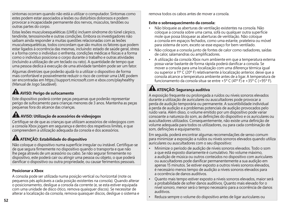sintomas ocorram quando não está a utilizar o computador. Sintomas como estes podem estar associados a lesões ou distúrbios dolorosos e podem provocar a incapacidade permanente dos nervos, músculos, tendões ou outras partes do corpo.

Estas lesões musculoesqueléticas (LMEs) incluem síndrome do túnel cárpico, tendinite, tenossinovite e outras condições. Embora os investigadores não saibam ainda responder a muitas questões relacionadas com as lesões musculoesqueléticas, todos concordam que são muitos os fatores que podem estar ligados à ocorrência das mesmas, incluindo: estado de saúde geral, stress e a forma como o indivíduo o enfrenta, condições médicas e físicas e a forma como o indivíduo posiciona o corpo durante o trabalho e outras atividades (incluindo a utilização de um teclado ou rato). A quantidade de tempo que uma pessoa dedica à execução de uma atividade também pode ser um fator.

Algumas diretrizes que poderão ajudá-lo a utilizar o dispositivo de forma mais confortável e possivelmente reduzir o risco de contrair uma LME podem ser encontradas em https://support.microsoft.com e xbox.com/playhealthy (Manual de Jogo Saudável).

# **AVISO: Perigo de sufocamento**

Este dispositivo poderá conter peças pequenas que poderão representar perigo de sufocamento para crianças menores de 3 anos. Mantenha as peças pequenas fora do alcance das crianças.

# **AVISO: Utilização de acessórios de videojogos**

Certifique-se de que as crianças que utilizam acessórios de videojogos com a consola Xbox jogam em segurança e dentro dos respetivos limites, e que compreendem a utilização adequada da consola e dos acessórios.

# **ATENÇÃO: Estabilidade do dispositivo**

Não coloque o dispositivo numa superfície irregular ou instável. Certifique-se de que segura firmemente no dispositivo quando o transporta e que não lhe pega através de um acessório ou cabo. Se não segurar firmemente no dispositivo, este poderá cair ou atingir uma pessoa ou objeto, o que poderá danificar o dispositivo ou outra propriedade, ou causar ferimentos pessoais.

### **Posicionar a Xbox**

A consola pode ser utilizada numa posição vertical ou horizontal (note os pequenos pés aplicáveis a cada posição existentes na consola). Quando alterar o posicionamento, desligue a consola da corrente (e, se esta estiver equipada com uma unidade de disco ótico, remova quaisquer discos). Se necessitar de alterar a localização da consola, remova quaisquer discos, desligue o sistema e remova todos os cabos antes de mover a consola.

### **Evite o sobreaquecimento da consola:**

- Não bloqueie as aberturas de ventilação existentes na consola. Não coloque a consola sobre uma cama, sofá ou qualquer outra superfície mole que possa bloquear as aberturas de ventilação. Não coloque a consola em espaços fechados, como uma estante, prateleira ou móvel para sistema de som, exceto se esse espaço for bem ventilado.
- Não coloque a consola junto de fontes de calor como radiadores, saídas de calor, salamandras ou amplificadores.
- A utilização da consola Xbox num ambiente em que a temperatura externa possa variar bastante de forma rápida poderá danificar a consola. Se mover a consola para uma localização com uma diferença térmica igual ou superior a 11º C (20º F) relativamente à localização anterior, deixe que a consola alcance a temperatura ambiente antes de a ligar. A temperatura de funcionamento da consola situa-se entre +5º C (41º F) e +35º C (+95º F).

# **ATENÇÃO: Segurança auditiva**

A exposição frequente ou prolongada a ruídos ou níveis sonoros elevados durante a utilização de auriculares ou auscultadores pode provocar a perda de audição temporária ou permanente. A suscetibilidade individual à perda de audição e a problemas potenciais de audição provocados pelo ruído varia. Além disso, o volume emitido por um dispositivo pode variar consoante a natureza do som, as definições do dispositivo e os auriculares ou auscultadores utilizados. Consequentemente, não existe uma definição de volume adequada para todos os utilizadores, ou para cada combinação de som, definições e equipamento.

Em seguida, poderá encontrar algumas recomendações de senso comum para minimizar a exposição a ruídos ou níveis sonoros elevados quando utiliza auriculares ou auscultadores com o seu dispositivo:

- Minimize o período de audição de níveis sonoros elevados. Todo o som a que está exposto diariamente é cumulativo. No volume máximo, a audição de música ou outros conteúdos no dispositivo com auriculares ou auscultadores pode danificar permanentemente a sua audição em apenas 15 minutos. Se estiver exposto a outros níveis sonoros elevados, é necessário menos tempo de audição a níveis sonoros elevados para a ocorrência de danos auditivos.
- Quanto mais tempo estiver exposto a níveis sonoros elevados, maior será a probabilidade de sofrer danos auditivos. Quanto mais elevado for o nível sonoro, menor será o tempo necessário para a ocorrência de danos auditivos.
- Reduza sempre o volume do dispositivo antes de ligar auriculares ou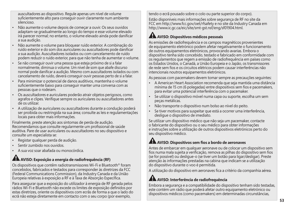auscultadores ao dispositivo. Regule apenas um nível de volume suficientemente alto para conseguir ouvir claramente num ambiente silencioso.

- Não aumente o volume depois de começar a ouvir. Os seus ouvidos adaptam-se gradualmente ao longo do tempo e esse volume elevado irá parecer normal; no entanto, o volume elevado ainda pode danificar a sua audição.
- Não aumente o volume para bloquear ruído exterior. A combinação do ruído exterior e do som dos auriculares ou auscultadores pode danificar a sua audição. Auscultadores isolados ou com cancelamento de ruído podem reduzir o ruído exterior, para que não tenha de aumentar o volume.
- Se não conseguir ouvir uma pessoa que esteja próximo de si a falar normalmente, diminua o volume. Um nível de som que abafe discurso normal pode danificar a audição. Mesmo com auscultadores isolados ou com cancelamento de ruído, deverá conseguir ouvir pessoas perto de si a falar.
- Para minimizar o potencial de danos auditivos, mantenha o volume suficientemente baixo para conseguir manter uma conversa com as pessoas que o rodeiam.
- Os auscultadores e auriculares poderão atrair objetos perigosos, como agrafos e clipes. Verifique sempre os auriculares ou auscultadores antes de os utilizar.
- A utilização de auriculares ou auscultadores durante a condução poderá ser proibida ou restringida na sua área; consulte as leis e regulamentações locais para obter mais informações.

Finalmente, preste atenção aos sintomas de perda de audição. Recomendamos que consulte regularmente um profissional de saúde auditiva. Pare de usar auriculares ou auscultadores no seu dispositivo e consulte um especialista se:

- Registar qualquer perda de audição.
- Sentir zumbido nos ouvidos.
- A sua voz soar abafada ou monocórdica.

## **AVISO: Exposição a energia de radiofrequência (RF)**

Os dispositivos que contêm radiotransmissores Wi-Fi e Bluetooth® foram concebidos, fabricados e testados para corresponder às diretrizes da FCC (Federal Communications Commission), da Industry Canada e da União Europeia relativas à exposição a RF e à Taxa de Absorção Específica.

Para assegurar que a exposição do utilizador à energia de RF gerada pelos rádios Wi-Fi e Bluetooth não excede os limites de exposição definidos por estas diretrizes, oriente os dispositivos com ecrãs de forma a que o lado do ecrã não esteja diretamente em contacto com o seu corpo (por exemplo,

tendo o ecrã pousado sobre o colo ou parte superior do corpo).

Estão disponíveis mais informações sobre segurança de RF no site da FCC em http://www.fcc.gov/oet/rfsafety e no site da Industry Canada em http://www.ic.gc.ca/eic/site/smt-gst.nsf/eng/sf01904.html.

### **AVISO: Dispositivos médicos pessoais**

As emissões de radiofrequência e os campos magnéticos provenientes de equipamento eletrónico podem afetar negativamente o funcionamento de outros equipamentos eletrónicos, provocando avarias. Embora o dispositivo tenha sido concebido, testado e fabricado em conformidade com os regulamentos que regem a emissão de radiofrequência em países como os Estados Unidos, o Canadá, a União Europeia e o Japão, os transmissores de rede sem fios e os circuitos elétricos podem causar interferências não intencionais noutros equipamentos eletrónicos.

As pessoas com pacemakers devem tomar sempre as precauções seguintes:

- A American Heart Association recomenda que seja mantida uma distância mínima de 15 cm (6 polegadas) entre dispositivos sem fios e pacemakers, para evitar uma potencial interferência com o pacemaker.
- Se utilizar o dispositivo móvel numa capa ou suporte, escolha um sem peças metálicas.
- Não transporte o dispositivo num bolso ao nível do peito.
- Se tiver motivos para suspeitar que está a ocorrer uma interferência, desligue o dispositivo de imediato.

Se utilizar um dispositivo médico que não seja um pacemaker, contacte o fabricante do dispositivo ou o seu médico para obter informações e instruções sobre a utilização de outros dispositivos eletrónicos perto do seu dispositivo médico.

# **AVISO: Dispositivos sem fios a bordo de aeronaves**

Antes de embarcar em qualquer aeronave ou de colocar um dispositivo sem fios numa mala sujeita a verificação, remova as pilhas do dispositivo sem fios (se for possível) ou desligue-o (se tiver um botão para ligar/desligar). Preste atenção às informações prestadas na cabina que indicam se a utilização do dispositivo durante o voo é permitida.

A utilização do dispositivo em aeronaves fica a critério da companhia aérea.

## **AVISO: Interferência de radiofrequência**

Embora a segurança e a compatibilidade do dispositivo tenham sido testadas, este contém um rádio que poderá afetar outro equipamento eletrónico ou dispositivos médicos (como pacemakers) em determinadas circunstâncias,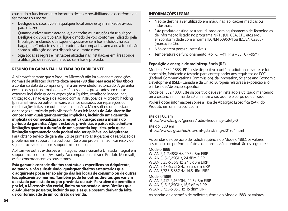causando o funcionamento incorreto destes e possibilitando a ocorrência de ferimentos ou morte.

- Desligue o dispositivo em qualquer local onde estejam afixados avisos para o fazer.
- Quando estiver numa aeronave, siga todas as instruções da tripulação. Desligue o dispositivo e/ou ligue o modo de voo conforme indicado pela tripulação, incluindo quaisquer dispositivos sem fios incluídos na sua bagagem. Contacte os colaboradores da companhia aérea ou a tripulação sobre a utilização do seu dispositivo durante o voo.
- Siga todas as regras e instruções afixadas nas instalações em áreas onde a utilização de redes celulares ou sem fios é proibida.

### **RESUMO DA GARANTIA LIMITADA DO FABRICANTE**

A Microsoft garante que o Produto Microsoft não irá avariar em condições normais de utilização durante **doze meses (90 dias para acessórios Xbox)**  a contar da data da compra original a um revendedor autorizado. A garantia exclui o desgaste normal, danos estéticos, danos provocados por causas externas, incluindo quedas, exposição a líquidos, ventilação inadequada, utilização que não esteja de acordo com as instruções da Microsoft, hacking [pirataria], vírus ou outro malware, e danos causados por reparações ou modificações feitas por outra pessoa que não a Microsoft ou um prestador de serviços autorizado pela Microsoft. **Se as leis locais do Adquirente lhe concederem quaisquer garantias implícitas, incluindo uma garantia implícita de comercialização, a respetiva duração será a mesma do período da garantia. Alguns estados, províncias e países não admitem limitações quanto à duração de uma garantia implícita, pelo que a limitação supramencionada poderá não ser aplicável ao Adquirente.** Para obter o serviço de garantia, utilize primeiro as sugestões da resolução de problemas em support.microsoft.com. Se o seu problema não ficar resolvido, siga o processo online em support.microsoft.com.

Aplicam-se outras exclusões e limitações. Leia a Garantia Limitada integral em support.microsoft.com/warranty. Ao comprar ou utilizar o Produto Microsoft, está a concordar com os seus termos.

**Esta garantia concede direitos contratuais específicos ao Adquirente, aditando, e não substituindo, quaisquer direitos estatutários que o adquirente possa ter ao abrigo das leis locais de consumo ou de outras leis aplicáveis ao mesmo. Também pode ter outros direitos que variem de estado para estado ou por província ou país. Para além do permitido por lei, a Microsoft não exclui, limita ou suspende outros Direitos que o Adquirente possa ter, incluindo aqueles que possam derivar da falta de conformidade de um contrato de venda.**

### **INFORMAÇÕES LEGAIS**

- Não se destina a ser utilizado em máquinas, aplicações médicas ou industriais.
- Este produto destina-se a ser utilizado com equipamento de Tecnologias de Informação listado no programa NRTL (UL, CSA, ETL, etc.) e/ou em conformidade com a norma IEC/EN 60950-1 ou IEC/EN 62368-1 (marcação CE).
- Não contém peças substituíveis.
- Temperatura de funcionamento:  $+5^{\circ}$  C ( $+41^{\circ}$  F) a  $+35^{\circ}$  C ( $+95^{\circ}$  F).

### **Exposição a energia de radiofrequência (RF)**

Modelos 1882, 1883, 1914: este dispositivo contém radiotransmissores e foi concebido, fabricado e testado para corresponder aos requisitos da FCC (Federal Communications Commission), da Innovation, Science and Economic Development (ISED) Canada e da União Europeia relativas à exposição a RF e à Taxa de Absorção Específica.

Modelos 1882, 1883: Este dispositivo deve ser instalado e utilizado mantendo uma distância mínima de 20 cm entre o radiador e o corpo do utilizador.

Poderá obter informações sobre a Taxa de Absorção Específica (SAR) do Produto em sar microsoft.com

site da FCC em https://www.fcc.gov/general/radio-frequency-safety-0

site do ISED em https://www.ic.gc.ca/eic/site/smt-gst.nsf/eng/sf01904.html

As bandas de operação de radiofrequência do Modelo 1882, os valores associados de potência máxima de transmissão nominal são os seguintes:

Modelo 1888 WLAN 2,4-2,483GHz, 20,5 dBm EIRP WLAN 5,15-5,25GHz, 24 dBm EIRP WLAN 5,25-5,35GHz, 24,5 dBm EIRP WLAN 5,47-5,725GHz, 25,5 dBm EIRP WLAN 5,725-5,85GHz, 14,5 dBm EIRP

Modello 1889 WLAN 2,412-2,462GHz, 12,5 dBm EIRP WLAN 5,15-5,25GHz, 16,5 dBm EIRP WLAN 5,725-5,85GHz, 15 dBm EIRP

As bandas de operação de radiofrequência do Modelo 1883, os valores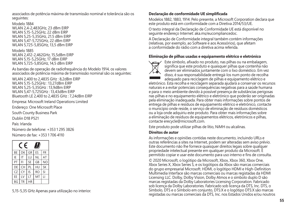associados de potência máxima de transmissão nominal e tolerância são os seguintes:

Modelo 1884 WLAN 2,4-2,483GHz, 23 dBm EIRP WLAN 5,15-5,25GHz, 22 dBm EIRP WLAN 5,25-5,35GHz, 21.5 dBm EIRP WLAN 5,47-5,725GHz, 22 dBm EIRP WLAN 5,725-5,85GHz, 13,5 dBm EIRP

Modelo 1885 WLAN 2,412-2,462GHz, 15,5dBm EIRP WLAN 5,15-5,25GHz, 17 dBm EIRP WLAN 5,725-5,85GHz, 14,5 dBm EIRP

As bandas de operação de radiofrequência do Modelo 1914, os valores associados de potência máxima de transmissão nominal são os seguintes:

WLAN 2,400 to 2,4835 GHz : 8,2dBm EIRP WLAN 5,15-5,25GHz : 13,27dBm EIRP WLAN 5,25-5,35GHz : 13,9dBm EIRP WLAN 5,47-5,725GHz : 13,43dBm EIRP Bluetooth LE 2,400 to 2,4835 GHz : 7,24dBm EIRP

Empresa: Microsoft Ireland Operations Limited

Endereço: One Microsoft Place

South County Business Park

Dublin D18 P521

País: Irlanda

Número de telefone: +353 1 295 3826 Número de fax: +353 1 706 4110

| F<br>u |    |           |           |                |  |
|--------|----|-----------|-----------|----------------|--|
| BE     | DK | GR        | <b>FS</b> | FR             |  |
| IE     | IT | LU        | <b>NL</b> | AT             |  |
| PT     | FI | <b>SE</b> | GB        | N <sub>O</sub> |  |
| DE     | CH | PI        | HU        | <b>SK</b>      |  |
| CZ     | CY | IS        | <b>RO</b> | SI             |  |
| FF     | IV | IT        | MT        | П              |  |
| BG     | TR | HR        |           |                |  |

5,15-5,35 GHz Apenas para utilização no interior.

### **Declaração de conformidade UE simplificada**

Modelos 1882, 1883, 1914: Pelo presente, a Microsoft Corporation declara que este produto está em conformidade com a Diretiva 2014/53/UE.

O texto integral da Declaração de Conformidade UE está disponível no seguinte endereço Internet: aka.ms/eucompliancedoc.

A Declaração de Conformidade integral também contém informações (relativas, por exemplo, ao Software e aos Acessórios), que afetam a conformidade do rádio com a diretiva acima referida.

### **Eliminação de pilhas usadas e equipamento elétrico e eletrónico**



Este símbolo, afixado no produto, nas pilhas ou na embalagem, significa que este produto e quaisquer pilhas que contenha não devem ser eliminados juntamente com o lixo doméstico. Em vez disso, é sua responsabilidade entregá-los num ponto de recolha adequado para reciclagem de pilhas e equipamento elétrico e

eletrónico. Esta recolha e reciclagem separada ajudará a conservar os recursos naturais e a evitar potenciais consequências negativas para a saúde humana e para o meio ambiente devido à possível presença de substâncias perigosas nas pilhas e no equipamento elétrico e eletrónico que poderão ser originadas pela eliminação inadequada. Para obter mais informações sobre pontos de entrega de pilhas e resíduos de equipamento elétrico e eletrónico, contacte o município onde reside, o serviço de eliminação de resíduos domésticos ou a loja onde adquiriu este produto. Para obter mais informações sobre a eliminação de resíduos de equipamentos elétricos, eletrónicos e pilhas, contacte erecycle@microsoft.com.

Este produto pode utilizar pilhas de lítio, NiMH ou alcalinas.

#### **Direitos de autor**

As informações e opiniões contidas neste documento, incluindo URLs e outras referências a sites na Internet, podem ser alteradas sem aviso prévio. Este documento não lhe fornece quaisquer direitos legais sobre qualquer propriedade intelectual presente em qualquer produto da Microsoft. É permitido copiar e usar este documento para uso interno e fins de consulta.

© 2020 Microsoft, o logótipo da Microsoft, Xbox, Xbox 360, Xbox One, Xbox Series X, Xbox Series S, e os logótipos da Xbox são marcas comerciais do grupo empresarial Microsoft. HDMI, o logótipo HDMI e High-Definition Multimedia Interface são marcas comerciais ou marcas registadas da HDMI Licensing LLC. Dolby, Dolby Vision, Dolby Atmos e o símbolo duplo D são marcas registadas da Dolby Laboratories Licensing Corporation. Fabricado sob licença da Dolby Laboratories. Fabricado sob licença da DTS, Inc. DTS, o Símbolo, DTS e o Símbolo em conjunto, DTS:X e o logótipo DTS:X são marcas registadas ou marcas comerciais da DTS, Inc. nos Estados Unidos e/ou noutros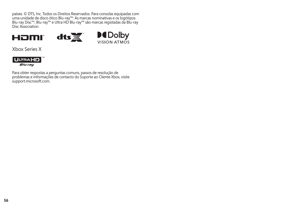países. © DTS, Inc. Todos os Direitos Reservados. Para consolas equipadas com uma unidade de disco ótico Blu-ray™: As marcas nominativas e os logótipos Blu-ray Disc™, Blu-ray™ e Ultra HD Blu-ray™ são marcas registadas da Blu-ray Disc Association.





Xbox Series X



Para obter respostas a perguntas comuns, passos de resolução de problemas e informações de contacto do Suporte ao Cliente Xbox, visite support.microsoft.com.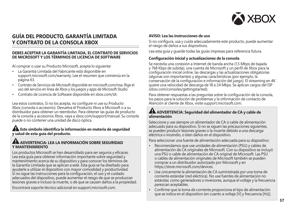

### **GUÍA DEL PRODUCTO, GARANTÍA LIMITADA Y CONTRATO DE LA CONSOLA XBOX**

#### **DEBES ACEPTAR LA GARANTÍA LIMITADA, EL CONTRATO DE SERVICIOS DE MICROSOFT Y LOS TÉRMINOS DE LICENCIA DE SOFTWARE**

Al comprar o usar su Producto Microsoft, acepta lo siguiente:

- La Garantía Limitada del Fabricante está disponible en support.microsoft.com/warranty. Lee el resumen que comienza en la página 63.
- Contrato de Servicios de Microsoft disponible en microsoft.com/msa. Rige el uso del servicio en línea de Xbox y los juegos y apps de Microsoft Studio.
- Contrato de Licencia de Software disponible en xbox.com/slt.

Lea estos contratos. Si no los acepta, no configure ni use su Producto Xbox (consola o accesorio). Devuelva el Producto Xbox a Microsoft o a su distribuidor para obtener un reembolso. Para obtener las guías de producto de la consola y accesorios Xbox, vaya a xbox.com/support/manual. Su consola puede o no contener una unidad de disco óptica.

#### **Este símbolo identifica la información en materia de seguridad y salud de esta guía del producto.**

#### **ADVERTENCIA: LEA LA INFORMACIÓN SOBRE SEGURIDAD Y MANTENIMIENTO**

Los productos Microsoft se han desarrollado para ser seguros y eficaces. Lea esta guía para obtener información importante sobre seguridad y mantenimiento acerca de su dispositivo y para conocer los términos de la Garantía Limitada que se aplican a este. Esta guía se ha diseñado para ayudarle a utilizar el dispositivo con mayor comodidad y productividad. Si no sigue las instrucciones para la configuración, el uso y el cuidado adecuados del dispositivo, puede aumentar el riesgo de que se produzcan lesiones graves e incluso la muerte, o de que se causen daños a la propiedad. Encontrará soporte técnico adicional en support.microsoft.com.

**AVISO: Lea las instrucciones de uso**

Si no configura, usa y cuida adecuadamente este producto, puede aumentar el riesgo de daños a sus dispositivos.

Lea esta guía y guarde todas las guías impresas para referencia futura.

#### **Configuración inicial y actualizaciones de la consola**

Se necesita una conexión a Internet de banda ancha (1,5 Mbps de bajada y 768 Kbps de subida), una cuenta de Microsoft y un perfil de Xbox para la configuración inicial online, las descargas y las actualizaciones obligatorias (algunas son importantes) y algunas características (por ejemplo, la conservación de la configuración e información del juego). El streaming en 4K quiere una velocidad de descarga de 18 a 24 Mbps. Se aplican cargos del ISP (xbox.com/consoles/gettingstarted).

Para obtener respuestas a las preguntas sobre la configuración de la consola, los pasos para la solución de problemas y la información de contacto de Atención al cliente de Xbox, visite support.microsoft.com.

#### **ADVERTENCIA: Seguridad del alimentador de CA y cable de alimentación**

Seleccione y use siempre un alimentador de CA o cable de alimentación adecuado para su dispositivo. Si no se siguen las precauciones siguientes, se pueden producir lesiones graves o la muerte debido a una descarga eléctrica o incendio, o bien daños en el dispositivo.

Para seleccionar una fuente de alimentación adecuada para su dispositivo:

- Recomendamos que use unidades de alimentación (PSU) y cables de alimentación de CA originales de Microsoft. Con su dispositivo se incluyó una PSU o cable de alimentación de CA original de Microsoft. Las PSU o cables de alimentación originales de Microsoft también se pueden comprar a un distribuidor autorizado por Microsoft y en https://store.microsoft.com/devices.
- Use únicamente la alimentación de CA suministrada por una toma de corriente estándar (red eléctrica). No use fuentes de alimentación no estándar, como generadores o inversores, aunque el voltaje y la frecuencia parezcan aceptables.
- Confirme que la toma de corriente proporciona el tipo de alimentación que se indica en el dispositivo (en cuanto a voltaje [V] y frecuencia [Hz]).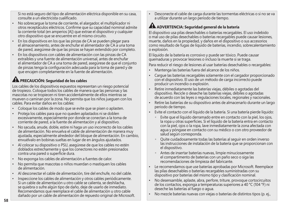Si no está seguro del tipo de alimentación eléctrica disponible en su casa, consulte a un electricista cualificado.

- No sobrecargue la toma de corriente, el alargador, el multiplicador ni otros receptáculos eléctricos. Confirme que su capacidad nominal admite la corriente total (en amperios [A]) que extrae el dispositivo y cualquier otro dispositivo que se encuentre en el mismo circuito.
- En los dispositivos en los que las pinzas de CA se pueden plegar para el almacenamiento, antes de enchufar el alimentador de CA a una toma de pared, asegúrese de que las pinzas se hayan extendido por completo.
- En los dispositivos con cables de alimentación con las pinzas de CA extraíbles y una fuente de alimentación universal, antes de enchufar el alimentador de CA a una toma de pared, asegúrese de que el conjunto de pinzas tenga la configuración adecuada para la toma de pared y de que encajen completamente en la fuente de alimentación.

# **A PRECAUCIÓN: Seguridad de los cables**

Los cables de los dispositivos expuestos representan un riesgo potencial de tropiezo. Coloque todos los cables de manera que las personas y las mascotas no se tropiecen ni tiren accidentalmente de ellos mientras se mueven o caminan por la zona. No permita que los niños jueguen con los cables. Para evitar daños en los cables:

- Coloque los cables de modo que se evite que se pisen o aplasten.
- Proteja los cables para que no queden aplastados ni se doblen excesivamente, especialmente por donde se conectan a la toma de corriente de pared, a la fuente de alimentación y al dispositivo.
- No sacuda, anude, doble, estire ni haga un uso incorrecto de los cables de alimentación. No envuelva el cable de alimentación de manera muy ajustada, especialmente alrededor del bloque de alimentación. En cambio, envuélvalo en bobinas sueltas en lugar de en ángulos ajustados.
- Al colocar su dispositivo o PSU, asegúrese de que los cables no estén doblados estrechamente y que los conectores no estén presionados contra una pared o superficie dura.
- No exponga los cables de alimentación a fuentes de calor.
- No permita que mascotas o niños muerdan o mastiquen los cables de alimentación.
- Al desconectar el cable de alimentación, tire del enchufe, no del cable.
- Inspeccione los cables de alimentación y otros cables periódicamente. Si un cable de alimentación u otro cable se calienta, se deshilacha, se quiebra o sufre algún tipo de daño, deje de usarlo de inmediato. Recomendamos que reemplace el cable de alimentación u otro cable dañado por un cable de alimentación de repuesto original de Microsoft.

• Desconecte el cable de carga durante las tormentas eléctricas o si no se va a utilizar durante un largo período de tiempo.

# **ADVERTENCIA: Seguridad general de la batería**

El dispositivo usa pilas desechables o baterías recargables. El uso indebido o mal uso de pilas desechables o baterías recargables puede causar lesiones, muerte, daños en la propiedad, y daños en el dispositivo o sus accesorios como resultado de fugas de líquido de baterías, incendio, sobrecalentamiento o explosión.

El líquido de la batería es corrosivo y puede ser tóxico. Puede causar quemaduras y provocar lesiones o incluso la muerte si se traga.

Para reducir el riesgo de lesiones al usar baterías desechables o recargables:

- Mantenga las baterías fuera del alcance de los niños.
- Cargue las baterías recargables solamente con el cargador proporcionado con el dispositivo. El uso de un método de carga incorrecto puede producir un incendio o explosión.
- Retire inmediatamente las baterías viejas, débiles o agotadas del dispositivo. Recicle o deseche las baterías viejas, débiles o agotadas de acuerdo con las leyes o regulaciones locales, regionales y nacionales.
- Retire las baterías de su dispositivo antes de almacenarlo durante un largo periodo de tiempo.
- Evite el contacto con el líquido de la batería. Si una batería pierde líquido:
	- $^{\circ}$  Evite que el líquido derramado entre en contacto con la piel, los ojos, la ropa u otras superficies. Si el líquido de la batería entra en contacto con la piel, ojos o la ropa, lave inmediatamente la zona afectada con agua y póngase en contacto con su médico o con otro proveedor de salud según corresponda.
	- - Quite cuidadosamente todas las baterías al seguir en orden inverso las instrucciones de instalación de la batería que se proporcionan con el dispositivo.
	- $\circ$  Antes de insertar baterías nuevas, limpie minuciosamente el compartimento de baterías con un paño seco o siga las recomendaciones de limpieza del fabricante.
- Le recomendamos que use baterías aprobadas por Microsoft. Reemplace las pilas desechables o baterías recargables suministradas con su dispositivo por baterías del mismo tipo y clasificación nominal.
- No desensamble, aplaste, abra, perfore, triture, provoque cortocircuitos de los contactos, exponga a temperaturas superiores a 40 °C (104 °F) ni deseche las baterías al fuego o agua.
- No mezcle baterías nuevas con viejas o baterías de distintos tipos (p. ej.,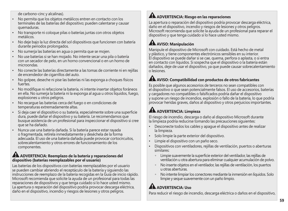de carbono-cinc y alcalinas).

- No permita que los objetos metálicos entren en contacto con los terminales de las baterías del dispositivo; pueden calentarse y causar quemaduras.
- No transporte ni coloque pilas o baterías juntas con otros objetos metálicos.
- No deje bajo la luz directa del sol dispositivos que funcionen con batería durante periodos prolongados.
- No sumerja las baterías en agua o permita que se mojen.
- No use baterías si se han mojado. No intente secar una pila o batería con un secador de pelo, en un horno convencional o en un horno de microondas.
- No conecte las baterías directamente a las tomas de corriente ni en rejillas de encendedor de cigarrillos del auto.
- No golpee, deseche ni pise las baterías ni las exponga a choques físicos fuertes.
- No modifique ni refaccione la batería, ni intente insertar objetos foráneos en ella. No sumerja la batería ni la exponga al agua u otros líquidos, fuego, explosiones u otros peligros.
- No recargue las baterías cerca del fuego o en condiciones de temperaturas extremadamente altas.
- Si deja caer el dispositivo o su batería, especialmente sobre una superficie dura, puede dañar el dispositivo y su batería. Le recomendamos que busque asistencia de un profesional para inspeccionar el dispositivo si cree que se ha dañado.
- Nunca use una batería dañada. Si la batería parece estar rayada o fragmentada, retírela inmediatamente y deséchela de la forma adecuada. El uso de una batería dañada puede provocar cortocircuitos, sobrecalentamiento y otros errores de funcionamiento de los componentes.

### **ADVERTENCIA: Reemplazo de la batería y reparaciones del dispositivo (baterías reemplazables por el usuario)**

Las baterías de los dispositivos con baterías reemplazables por el usuario se pueden cambiar abriendo el receptáculo de la batería y siguiendo las instrucciones de reemplazo de la batería recogidas en la Guía de inicio rápido. Microsoft recomienda que solicite la ayuda de un profesional para todas las reparaciones de dispositivos y que tenga cuidado si lo hace usted mismo. La apertura o reparación del dispositivo podría provocar descarga eléctrica, daño en el dispositivo, incendio y riesgos de lesiones y otros peligros.

## **ADVERTENCIA: Riesgo en las reparaciones**

La apertura o reparación del dispositivo podría provocar descarga eléctrica, daño en el dispositivo, incendio y riesgos de lesiones y otros peligros. Microsoft recomienda que solicite la ayuda de un profesional para reparar el dispositivo y que tenga cuidado si lo hace usted mismo.

# **AVISO: Manipulación**

Manipule el dispositivo de Microsoft con cuidado. Está hecho de metal y plástico, y tiene componentes electrónicos sensibles en su interior. El dispositivo se puede dañar si se cae, quema, perfora o aplasta, o si entra en contacto con líquidos. Si sospecha que el dispositivo o la batería están dañados, deje de usar el dispositivo, ya que puede causar sobrecalentamiento o lesiones.

### **AVISO: Compatibilidad con productos de otros fabricantes**

Es posible que algunos accesorios de terceros no sean compatibles con el dispositivo o que sean potencialmente falsos. El uso de accesorios, baterías y cargadores no compatibles o falsificados podría dañar el dispositivo y supone un riesgo de incendios, explosión o fallo de la batería, lo que podría provocar heridas graves, daños al dispositivo y otros perjuicios importantes.

## **ADVERTENCIA: Limpieza**

El riesgo de incendio, descarga o daño al dispositivo Microsoft durante la limpieza podría reducirse tomando las precauciones siguientes:

- Desconecte todos los cables y apague el dispositivo antes de realizar la limpieza.
- Solo limpie la parte exterior del dispositivo.
- Limpie el dispositivo con un paño seco.
- Dispositivos con ventiladores, rejillas de ventilación, puertos o aberturas similares:
	- $\circ$  Limpie suavemente la superficie exterior del ventilador, las rejillas de ventilación u otra abertura para eliminar cualquier acumulación de polvo.
	- - No inserte objetos en el ventilador, las rejillas de ventilación, los puertos u otras aberturas.
	- - No intente limpiar los conectores mediante la inmersión en líquidos. Solo limpie y seque suavemente con un paño limpio.

# **ALA ADVERTENCIA: Uso**

Para reducir el riesgo de incendio, descarga eléctrica o daños en el dispositivo,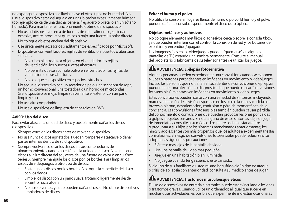no exponga el dispositivo a la lluvia, nieve ni otros tipos de humedad. No use el dispositivo cerca del agua o en una ubicación excesivamente húmeda (por ejemplo cerca de una ducha, bañera, fregadero o pileta, o en un sótano húmedo). Para mantener el funcionamiento óptimo del dispositivo:

- No use el dispositivo cerca de fuentes de calor, alimentos, suciedad excesiva, aceite, productos químicos o bajo una fuerte luz solar directa.
- No coloque objetos encima del dispositivo.
- Use únicamente accesorios o aditamentos especificados por Microsoft.
- Dispositivos con ventiladores, rejillas de ventilación, puertos o aberturas similares:
	- No cubra ni introduzca objetos en el ventilador, las rejillas de ventilación, los puertos u otras aberturas.
	- - No permita que se acumule polvo en el ventilador, las rejillas de ventilación u otras aberturas.
	- · No coloque el dispositivo en espacios estrechos.
- No seque el dispositivo con un secador de pelo, una secadora de ropa, un horno convencional, una tostadora o un horno de microondas. Si el dispositivo se moja, limpie suavemente el exterior con un paño limpio y seco.
- No use aire comprimido.
- No use dispositivos de limpieza de cabezales de DVD.

#### **AVISO: Uso del disco**

Para evitar atascar la unidad de disco y posiblemente dañar los discos o dispositivo:

- Siempre extraiga los discos antes de mover el dispositivo.
- No use nunca discos agrietados. Pueden romperse y atascarse o dañar partes internas dentro de su dispositivo.
- Siempre vuelva a colocar los discos en sus contenedores de almacenamiento cuando no estén en la unidad de disco. No almacene discos a la luz directa del sol, cerca de una fuente de calor o en su Xbox Series X. Siempre manipule los discos por los bordes. Para limpiar los discos de videojuegos u otro tipo de discos:
	- Sostenga los discos por los bordes. No toque la superficie del disco con los dedos.
	- Limpie los discos con un paño suave, frotando ligeramente desde el centro hacia afuera.
	- No use solventes, ya que pueden dañar el disco. No utilice dispositivos limpiadores de discos.

#### **Evitar el humo y el polvo**

No utilice la consola en lugares llenos de humo o polvo. El humo y el polvo pueden dañar la consola, especialmente el disco duro óptico.

#### **Objetos metálicos y adhesivos**

No coloque elementos metálicos o adhesivos cerca o sobre la consola Xbox, ya que pueden interferir con el control, la conexión de red y los botones de expulsión y encendido/apagado.

Las imágenes fijas en los videojuegos pueden "quemarse" en algunas pantallas de TV, creando una sombra permanente. Consulte el manual del propietario o fabricante de su televisor antes de utilizar los juegos.

### **ADVERTENCIA: Epilepsia fotosensitiva**

Algunas personas pueden experimentar una convulsión cuando se exponen a luces o patrones parpadeantes en imágenes en movimiento o videojuegos. Incluso las personas que no tienen antecedentes de convulsiones o epilepsia pueden tener una afección no diagnosticada que puede causar "convulsiones fotosensibles" mientras ven imágenes en movimiento o videojuegos.

Estas convulsiones pueden darse con una variedad de síntomas, incluyendo mareos, alteración de la visión, espasmos en los ojos o la cara, sacudidas de brazos o piernas, desorientación, confusión o pérdida momentánea de la conciencia. Las convulsiones fotosensibles también pueden causar pérdida del conocimiento o convulsiones que pueden provocar lesiones por caídas o golpes a objetos cercanos. Si nota alguno de estos síntomas, deje de jugar de inmediato y consulte a su médico. Los padres deben estar atentos o preguntar a sus hijos por los síntomas mencionados anteriormente; los niños y adolescentes son más propensos que los adultos a experimentar estas convulsiones. El riesgo de convulsiones fotosensibles puede reducirse si se adoptan las siguientes precauciones:

- Siéntese más lejos de la pantalla de vídeo.
- Use una pantalla de vídeo más pequeña.
- Juegue en una habitación bien iluminada.
- No juegue cuando tenga sueño o esté cansado.

Si alguno de sus familiares o usted mismo ha sufrido algún tipo de ataque o crisis de epilepsia con anterioridad, consulte a su médico antes de jugar.

### **ADVERTENCIA: Trastornos musculoesqueléticos**

El uso de dispositivos de entrada electrónica puede estar vinculado a lesiones o trastornos graves. Cuando utilice un ordenador, al igual que sucede en muchas otras actividades, es posible que experimente molestias ocasionales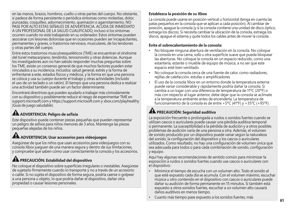en las manos, brazos, hombros, cuello u otras partes del cuerpo. No obstante, si padece de forma persistente o periódica síntomas como molestias, dolor, punzadas, cosquilleo, adormecimiento, quemazón o agarrotamiento, NO PASE POR ALTO ESTAS SEÑALES DE ADVERTENCIA. ACUDA DE INMEDIATO A UN PROFESIONAL DE LA SALUD CUALIFICADO, incluso si los síntomas ocurren cuando no está trabajando en su ordenador. Estos síntomas pueden asociarse con lesiones dolorosas que en ocasiones pueden ser incapacitantes, permanentes y graves, o trastornos nerviosos, musculares, de los tendones y otras partes del cuerpo.

Entre estos trastornos musculoesqueléticos (TME) se encuentran el síndrome del túnel metacarpiano, tendinitis, tenosinovitis y otras dolencias. Aunque los investigadores aún no han sabido responder muchas preguntas sobre los TME, existe un consenso general de que muchos factores pueden estar vinculados a su incidencia, incluidos: salud general, estrés y la forma de enfrentarse a este, estados físicos y médicos, y la forma en que una persona se coloca y usa su cuerpo durante el trabajo y otras actividades (incluido el uso de un teclado o un ratón). El tiempo que una persona dedica a realizar una actividad también puede ser un factor determinante.

Encontrará directrices que pueden ayudarlo a trabajar más cómodamente con su dispositivo y posiblemente reducir el riesgo de experimentar TME en support.microsoft.com y https://support.microsoft.com y xbox.com/playhealthy (Guía de juego saludable).

# **ADVERTENCIA: Peligro de asfixia**

Este dispositivo puede contener piezas pequeñas que pueden representar un peligro de asfixia para niños menores de 3 años. Mantenga las piezas pequeñas alejadas de los niños.

### **ADVERTENCIA: Usar accesorios para videojuegos**

Asegúrese de que los niños que usan accesorios para videojuegos con su consola Xbox jueguen de una manera segura y dentro de sus limitaciones, y compruebe que saben cómo usar correctamente la consola y los accesorios.

# **PRECAUCIÓN: Estabilidad del dispositivo**

No coloque el dispositivo sobre superficies irregulares o inestables. Asegúrese de sujetarlo firmemente cuando lo transporte y no a través de un accesorio o cable. Si no sujeta el dispositivo de forma segura, podría caerse o golpear a una persona u objeto, lo que podría dañar el dispositivo, dañar otra propiedad o causar lesiones personales.

### **Establezca la posición de su Xbox**

La consola puede usarse en posición vertical u horizontal (tenga en cuenta las patas pequeños en la consola que se aplican a cada posición). Al cambiar de posición, apague la consola (y si la consola contiene una unidad de disco óptico, extraiga los discos). Si necesita cambiar la ubicación de la consola, extraiga los discos, apague el sistema y quite todos los cables antes de mover la consola.

#### **Evite el sobrecalentamiento de la consola:**

- No bloquee ninguna abertura de ventilación en la consola. No coloque la consola en una cama, sofá u otra superficie suave que pueda bloquear las aberturas. No coloque la consola en un espacio reducido, como una estantería, estante o mueble de equipo de música, a no ser que este espacio esté bien ventilado.
- No coloque la consola cerca de una fuente de calor, como radiadores, rejillas de calefacción, estufas o amplificadores.
- El uso de la consola Xbox en un entorno donde la temperatura externa puede variar considerable y rápidamente podría dañar la consola. Si cambia a un lugar con una diferencia de temperatura de 11ºC (20ºF) o más con respecto al lugar anterior, debe dejar que la consola se aclimate a la temperatura ambiente antes de encenderla. La temperatura de funcionamiento de la consola es de entre +5ºC (41ºF) y +35ºC (+95ºF).

# **PRECAUCIÓN: Seguridad auditiva**

La exposición frecuente o prolongada a ruidos o sonidos fuertes cuando se utilizan cascos o auriculares puede causar una pérdida auditiva temporal o permanente. La susceptibilidad a la pérdida de audición y a otros posibles problemas de audición varía de una persona a otra. Además, el volumen de sonido producido por un dispositivo puede variar según la naturaleza del sonido, la configuración del dispositivo y los cascos o auriculares utilizados. Como resultado, no hay una configuración de volumen única que sea adecuada para todos o para cada combinación de sonido, configuración y equipo.

Aquí hay algunas recomendaciones de sentido común para minimizar la exposición a ruidos o sonidos fuertes cuando use cascos o auriculares con el dispositivo:

- Minimice el tiempo de escucha con un volumen alto. Todo el sonido al que esté expuesto cada día se acumula. Con el volumen máximo, escuchar música u otro contenido en el dispositivo con cascos o auriculares puede dañar su audición de forma permanente en 15 minutos. Si también está expuesto a otros sonidos fuertes, escuchar a un volumen alto causará daños auditivos en menos tiempo.
- Cuanto más tiempo pase expuesto a los sonidos fuertes, más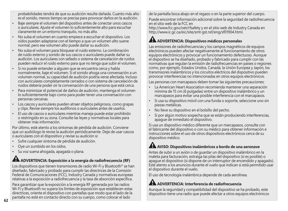probabilidades tendrá de que su audición resulte dañada. Cuanto más alto es el sonido, menos tiempo se precisa para provocar daños en la audición.

- Baje siempre el volumen del dispositivo antes de conectar unos cascos o auriculares. Ajuste el volumen lo suficientemente alto para escuchar claramente en un entorno tranquilo, no más alto.
- No suba el volumen en cuanto empiece a escuchar el dispositivo. Los oídos pueden adaptarse con el tiempo a que un volumen alto suene normal, pero ese volumen alto puede dañar su audición.
- No suba el volumen para bloquear el ruido externo. La combinación de ruido externo y sonido de sus cascos o auriculares puede dañar su audición. Los auriculares con sellado o sistema de cancelación de ruidos pueden reducir el ruido externo para que no tenga que subir el volumen.
- Si no puede entender a alguien que se encuentra cerca y habla normalmente, baje el volumen. Si el sonido ahoga una conversación a un volumen normal, su capacidad de audición podría verse afectada. Incluso con auriculares completamente cerrados o con sistema de cancelación de ruidos debería poder oír la conversación de una persona que está cerca.
- Para minimizar el potencial de daños de audición, mantenga el volumen lo suficientemente bajo como para poder tener una conversación con personas cercanas.
- Los cascos y auriculares pueden atraer objetos peligrosos, como grapas y clips. Revise siempre los audífonos o auriculares antes de usarlos.
- El uso de cascos o auriculares mientras maneja puede estar prohibido o restringido en su zona. Consulte las leyes y normativas locales para obtener más información.

Por último, esté atento a los síntomas de pérdida de audición. Conviene que un audiólogo le revise la audición periódicamente. Deje de usar cascos o auriculares con el dispositivo y revise su audición si:

- Sufre cualquier síntoma de pérdida de audición.
- Oye un zumbido en los oídos.
- Su voz suena ahogada, apagada o plana.

## **ADVERTENCIA: Exposición a la energía de radiofrecuencia (RF)**

Los dispositivos que tienen transmisores de radio Wi-Fi y Bluetooth® se han diseñado, fabricado y probado para cumplir las directrices de la Comisión Federal de Comunicaciones (FCC), Industry Canada y normativas europeas relativas a la exposición a radiofrecuencia y la tasa de absorción específica.

Para garantizar que la exposición a la energía RF generada por las radios Wi-Fi y Bluetooth no supera los límites de exposición que establecen estas directrices, oriente el dispositivo con pantallas que modo que el lado de la pantalla no esté en contacto directo con su cuerpo, como colocar el lado

de la pantalla boca abajo en el regazo o en la parte superior del cuerpo. Puede encontrar información adicional sobre la seguridad de radiofrecuencia en el sitio web de la FCC en

http://www.fcc.gov/oet/rfsafety y en el sitio web de Industry Canada en http://www.ic.gc.ca/eic/site/smt-gst.nsf/eng/sf01904.html.

# **ADVERTENCIA: Dispositivos médicos personales**

Las emisiones de radiofrecuencias y los campos magnéticos de equipos electrónicos pueden afectar negativamente al funcionamiento de otros equipos electrónicos y provocar un funcionamiento defectuoso. Aunque el dispositivo se ha diseñado, probado y fabricado para cumplir con las normativas que regulan la emisión de radiofrecuencias en países o regiones como, por ejemplo, Estados Unidos, Canadá, la Unión Europea y Japón, los transmisores inalámbricos y los circuitos eléctricos del dispositivo pueden provocar interferencias no intencionadas en otros equipos electrónicos.

Las personas con marcapasos deben tomar las siguientes precauciones:

- La American Heart Association recomienda mantener una separación mínima de 15 cm (6 pulgadas) entre un dispositivo inalámbrico y un marcapasos para evitar una posible interferencia con el marcapasos.
- Si usa su dispositivo móvil con una funda o soporte, seleccione uno sin piezas metálicas.
- No lleve su dispositivo en el bolsillo del pecho.
- Si por algún motivo sospecha que se están produciendo interferencias, apague de inmediato el dispositivo.

Si usa un dispositivo médico diferente que un marcapasos, consulte con el fabricante del dispositivo o con su médico para obtener información e instrucciones sobre el uso de otros dispositivos electrónicos cerca de su dispositivo médico.

# **AVISO: Dispositivos inalámbricos a bordo de una aeronave**

Antes de subir a un avión o de guardar un dispositivo inalámbrico en la maleta para facturación, extraiga las pilas del dispositivo (si es posible) o apague el dispositivo (si dispone de un interruptor de encendido y apagado). Esté atento a los anuncios durante el vuelo que indican si está permitido usar el dispositivo durante el vuelo.

El uso de tecnología inalámbrica depende de cada aerolínea.

# **ADVERTENCIA: Interferencia de radiofrecuencia**

Aunque la seguridad y compatibilidad del dispositivo se ha probado, este dispositivo tiene una radio que puede afectar a otros equipos electrónicos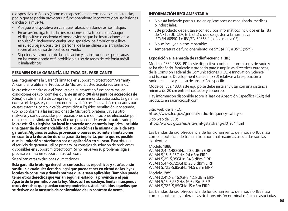o dispositivos médicos (como marcapasos) en determinadas circunstancias, por lo que se podría provocar un funcionamiento incorrecto y causar lesiones o incluso la muerte.

- Apague el dispositivo en cualquier ubicación donde así se indique.
- En un avión, siga todas las instrucciones de la tripulación. Apague el dispositivo o encienda el modo avión según las instrucciones de la tripulación, incluyendo cualquier dispositivo inalámbrico que lleve en su equipaje. Consulte al personal de la aerolínea o a la tripulación sobre el uso de su dispositivo en vuelo.
- Siga todas las normas de la instalación y las instrucciones publicadas en las zonas donde está prohibido el uso de redes de telefonía móvil o inalámbricas.

#### **RESUMEN DE LA GARANTÍA LIMITADA DEL FABRICANTE**

Lea íntegramente la Garantía limitada en support.microsoft.com/warranty. Al comprar o utilizar el Producto de Microsoft, usted acepta sus términos.

Microsoft garantiza que el Producto de Microsoft no funcionará mal en condiciones de uso normales durante **un año (90 días para los accesorios de Xbox)** desde la fecha de compra original a un minorista autorizado. La garantía excluye el desgaste y deterioro normales, daños estéticos, daños causados por causas externas, como la caída, exposición a líquidos, ventilación inadecuada, uso no conforme a las instrucciones de Microsoft, piratería, virus u otro malware, y daños causados por reparaciones o modificaciones efectuadas por otra persona distinta de Microsoft o un proveedor de servicios autorizado por Microsoft. **Si su legislación local le concede una garantía implícita, incluida una garantía de comerciabilidad, su duración es la misma que la de esta garantía. Algunos estados, provincias o países no admiten limitaciones en cuanto a la duración de una garantía implícita, por lo que es posible que la limitación anterior no sea de aplicación en su caso.** Para obtener el servicio de garantía, utilice primero los consejos de solución de problemas disponibles en support.microsoft.com. Si no resuelven su problema, siga el proceso en línea en support.microsoft.com.

Se aplican otras exclusiones y limitaciones.

**Esta garantía le otorga derechos contractuales específicos y se añade, sin sustituir, a cualquier derecho legal que pueda tener en virtud de las leyes locales de consumo y demás normas que le sean aplicables. También puede tener otros derechos que varían según el estado, la provincia o el país. Aparte de lo permitido por la ley, Microsoft no excluye, limita ni suspende otros derechos que puedan corresponderle a usted, incluidos aquellos que se deriven de la ausencia de conformidad de un contrato de venta.**

### **INFORMACIÓN REGLAMENTARIA**

- No está indicado para su uso en aplicaciones de maquinaria, médicas o industriales.
- Este producto debe usarse con equipos informáticos incluidos en la lista de NRTL (UL, CSA, ETL, etc.) o que se ajusten a la normativa IEC/EN 60950-1 o IEC/EN 62368-1 (con la marca CE).
- No se incluyen piezas reparables.
- Temperatura de funcionamiento: de 5ºC (41ºF) a 35ºC (95ºF).

### **Exposición a la energía de radiofrecuencia (RF)**

Modelos 1882, 1883, 1914: este dispositivo contiene transmisores de radio y se ha diseñado, fabricado y probado para cumplir las directrices europeas, de la Comisión Federal de Comunicaciones (FCC) e Innovation, Science and Economic Development Canada (ISED) relativas a la exposición a radiofrecuencia y la tasa de absorción específica.

Modelos 1882, 1883: este equipo se debe instalar y usar con una distancia mínima de 20 cm entre el radiador y el cuerpo.

Hay información disponible sobre la Tasa de Absorción Específica (SAR) del producto en sar.microsoft.com.

Sitio web de la ECC: https://www.fcc.gov/general/radio-frequency-safety-0 Sitio web de ISED: https://www.ic.gc.ca/eic/site/smt-gst.nsf/eng/sf01904.html

Las bandas de radiofrecuencia de funcionamiento del modelo 1882, así como la potencia de transmisión nominal máximas asociadas son las siguientes:

Modelo 1888 WLAN 2,4-2,483GHz, 20,5 dBm EIRP WLAN 5,15-5,25GHz, 24 dBm EIRP WLAN 5,25-5,35GHz, 24,5 dBm EIRP WLAN 5,47-5,725GHz, 25,5 dBm EIRP WLAN 5,725-5,85GHz, 14,5 dBm EIRP

Modelo 1889 WLAN 2,412-2,462GHz, 12,5 dBm EIRP WLAN 5,15-5,25GHz, 16,5 dBm EIRP WLAN 5,725-5,85GHz, 15 dBm EIRP

Las bandas de radiofrecuencia de funcionamiento del modelo 1883, así como la potencia y tolerancias de transmisión nominal máximas asociadas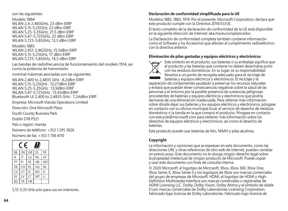#### son las siguientes:

Modelo 1884 WLAN 2,4-2,483GHz, 23 dBm EIRP WLAN 5,15-5,25GHz, 22 dBm EIRP WLAN 5,25-5,35GHz, 21.5 dBm EIRP WLAN 5,47-5,725GHz, 22 dBm EIRP WLAN 5,725-5,85GHz, 13,5 dBm EIRP

#### Modelo 1885

WLAN 2,412-2,462GHz, 15,5dBm EIRP WLAN 5,15-5,25GHz, 17 dBm EIRP WLAN 5,725-5,85GHz, 14,5 dBm EIRP

Las bandas de radiofrecuencia de funcionamiento del modelo 1914, así como la potencia de transmisión

nominal máximas asociadas son las siguientes:

WLAN 2,400 to 2,4835 GHz : 8,2dBm EIRP WLAN 5,15-5,25GHz : 13,27dBm EIRP WLAN 5,25-5,35GHz : 13,9dBm EIRP WLAN 5,47-5,725GHz : 13,43dBm EIRP Bluetooth LE 2,400 to 2,4835 GHz : 7,24dBm EIRP

Empresa: Microsoft Irlanda Operations Limited

Dirección: One Microsoft Place

South County Business Park

Dublín D18 P521

País o región: Irlanda

Número de teléfono: +353 1 295 3826

Número de fax: +353 1 706 4110

| $\epsilon$<br>W<br>t. |    |           |           |                |
|-----------------------|----|-----------|-----------|----------------|
| BE                    | DK | GR        | <b>FS</b> | FR             |
| IF                    | IT | ΠП        | ΝI        | AT             |
| PT                    | FI | <b>SE</b> | GB        | N <sub>O</sub> |
| DE                    | CH | PI        | HU        | <b>SK</b>      |
| CZ                    | CY | ΙŚ        | <b>RO</b> | SI             |
| FF                    | IV | IT        | MT        | П              |
| BG                    | TR | <b>HR</b> |           |                |

5,15-5,35 GHz solo para uso en interiores.

### **Declaración de conformidad simplificada para la UE**

Modelos 1882, 1883, 1914: Por el presente, Microsoft Corporation, declara que este producto cumple con la Directiva 2014/53/UE.

El texto completo de la declaración de conformidad de la UE está disponible en la siguiente dirección de Internet: aka.ms/eucompliancedoc.

La Declaración de conformidad completa también contiene información como el Software y los Accesorios que afectan al cumplimiento radioeléctrico con la directiva anterior.

#### **Eliminación de pilas gastadas y equipos eléctricos y electrónicos**



Este símbolo en el producto, sus baterías o su embalaje significa que el producto y las baterías que contiene no deben desecharse junto con los residuos domésticos. En su lugar, es su responsabilidad llevarlos a un punto de recogida adecuado para el reciclaje de baterías y equipos eléctricos y electrónicos. El reciclaje y la

separación de componentes ayudarán a preservar los recursos naturales y evitará que puedan tener consecuencias negativas sobre la salud de las personas y el entorno por la posible presencia de sustancias peligrosas procedentes de baterías y equipos eléctricos y electrónicos que podría derivarse de una eliminación inadecuada. Para obtener más información sobre dónde dejar sus baterías y los equipos eléctricos y electrónicos, póngase en contacto con su oficina municipal local, el servicio de desecho de residuos domésticos o la tienda en la que compró el producto. Póngase en contacto con erecycle@microsoft.com para obtener más información sobre los desechos de equipos eléctricos y electrónicos, así como el desecho de baterías.

Este producto puede usar baterías de litio, NiMH o pilas alcalinas.

#### **Copyright**

La información y opiniones que se expresan en este documento, como las direcciones URL y otras referencias de sitio web de Internet, pueden cambiar sin previo aviso. Este documento no le otorga ningún derecho legal sobre la propiedad intelectual de ningún producto de Microsoft. Puede copiar y usar este documento con fines de consulta interna.

© 2020 Microsoft, el logotipo de Microsoft, Xbox, Xbox 360, Xbox One, Xbox Series X, Xbox Series S y los logotipos de Xbox son marcas comerciales del grupo de empresas de Microsoft. HDMI, el logotipo de HDMI y High-Definition Multimedia Interface son marcas comerciales o registradas de HDMI Licensing LLC. Dolby, Dolby Vision, Dolby Atmos y el símbolo de doble D son marcas comerciales de Dolby Laboratories Licensing Corporation. Fabricado bajo licencia de Dolby Laboratories. Fabricado bajo licencia de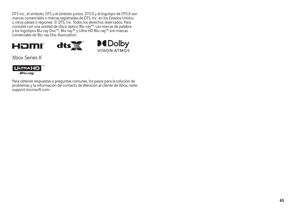DTS Inc., el símbolo, DTS y el símbolo juntos, DTS:X y el logotipo de DTS:X son marcas comerciales o marcas registradas de DTS, Inc. en los Estados Unidos u otros países o regiones. © DTS, Inc. Todos los derechos reservados. Para consolas con una unidad de disco óptico Blu-ray™: Las marcas de palabra y los logotipos Blu-ray Disc™, Blu-ray™ y Ultra HD Blu-ray™ son marcas comerciales de Blu-ray Disc Association.





Xbox Series X



Para obtener respuestas a preguntas comunes, los pasos para la solución de problemas y la información de contacto de Atención al cliente de Xbox, visite support.microsoft.com.